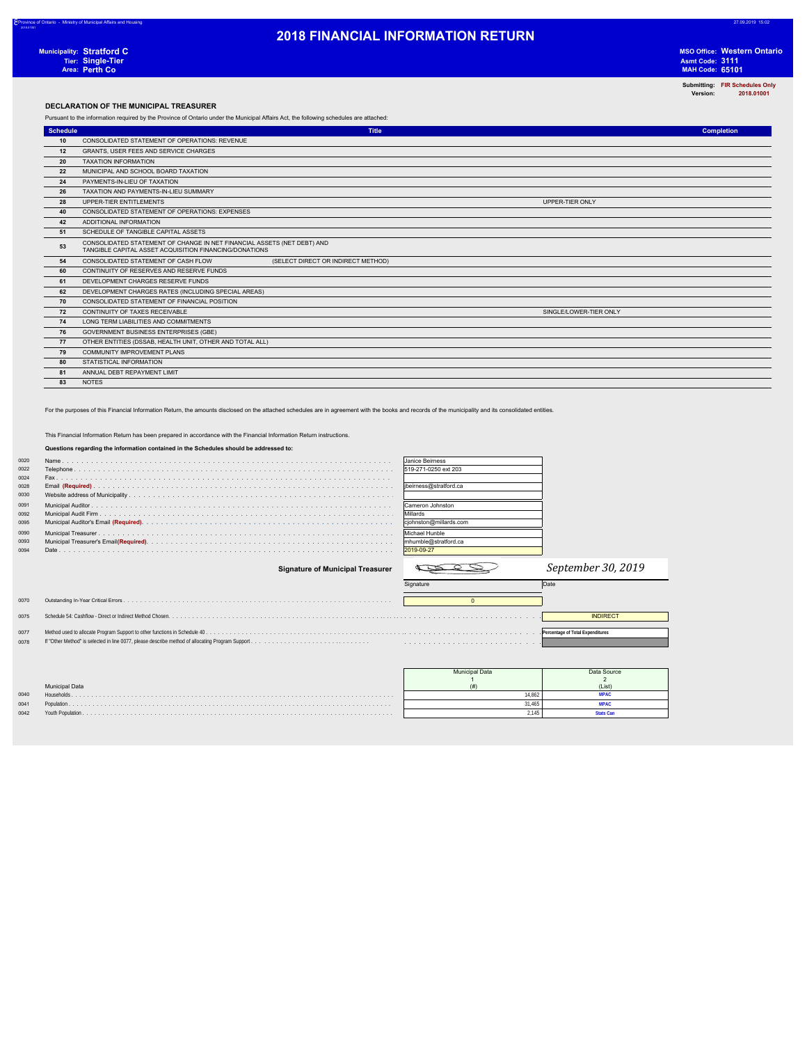8Province of Ontario - Ministry of Municipal Affairs and Housing 27.09.2019 15:02

2018.01001

MSO Office: Western Ontario<br>Asmt Code: 3111<br>MAH Code: 65101

**Submitting: FIR Schedules Only Version: 2018.01001**

### **DECLARATION OF THE MUNICIPAL TREASURER**

Pursuant to the information required by the Province of Ontario under the Municipal Affairs Act, the following schedules are attached:

| Schedule | <b>Title</b>                                                                                                                      | <b>Completion</b> |
|----------|-----------------------------------------------------------------------------------------------------------------------------------|-------------------|
| 10       | CONSOLIDATED STATEMENT OF OPERATIONS: REVENUE                                                                                     |                   |
| 12       | GRANTS, USER FEES AND SERVICE CHARGES                                                                                             |                   |
| 20       | <b>TAXATION INFORMATION</b>                                                                                                       |                   |
| 22       | MUNICIPAL AND SCHOOL BOARD TAXATION                                                                                               |                   |
| 24       | PAYMENTS-IN-LIEU OF TAXATION                                                                                                      |                   |
| 26       | TAXATION AND PAYMENTS-IN-LIEU SUMMARY                                                                                             |                   |
| 28       | UPPER-TIER ENTITLEMENTS<br>UPPER-TIER ONLY                                                                                        |                   |
| 40       | CONSOLIDATED STATEMENT OF OPERATIONS: EXPENSES                                                                                    |                   |
| 42       | ADDITIONAL INFORMATION                                                                                                            |                   |
| 51       | SCHEDULE OF TANGIBLE CAPITAL ASSETS                                                                                               |                   |
| 53       | CONSOLIDATED STATEMENT OF CHANGE IN NET FINANCIAL ASSETS (NET DEBT) AND<br>TANGIBLE CAPITAL ASSET ACQUISITION FINANCING/DONATIONS |                   |
| 54       | (SELECT DIRECT OR INDIRECT METHOD)<br>CONSOLIDATED STATEMENT OF CASH FLOW                                                         |                   |
| 60       | CONTINUITY OF RESERVES AND RESERVE FUNDS                                                                                          |                   |
| 61       | DEVELOPMENT CHARGES RESERVE FUNDS                                                                                                 |                   |
| 62       | DEVELOPMENT CHARGES RATES (INCLUDING SPECIAL AREAS)                                                                               |                   |
| 70       | CONSOLIDATED STATEMENT OF FINANCIAL POSITION                                                                                      |                   |
| 72       | CONTINUITY OF TAXES RECEIVABLE<br>SINGLE/LOWER-TIER ONLY                                                                          |                   |
| 74       | LONG TERM LIABILITIES AND COMMITMENTS                                                                                             |                   |
| 76       | <b>GOVERNMENT BUSINESS ENTERPRISES (GBE)</b>                                                                                      |                   |
| 77       | OTHER ENTITIES (DSSAB, HEALTH UNIT, OTHER AND TOTAL ALL)                                                                          |                   |
| 79       | <b>COMMUNITY IMPROVEMENT PLANS</b>                                                                                                |                   |
| 80       | STATISTICAL INFORMATION                                                                                                           |                   |
| 81       | ANNUAL DEBT REPAYMENT LIMIT                                                                                                       |                   |
| 83       | <b>NOTES</b>                                                                                                                      |                   |

For the purposes of this Financial Information Return, the amounts disclosed on the attached schedules are in agreement with the books and records of the municipality and its consolidated entities.

### This Financial Information Return has been prepared in accordance with the Financial Information Return instructions.

**Questions regarding the information contained in the Schedules should be addressed to:**

| 0020 | <b>Ulanice Beirness</b> |
|------|-------------------------|
| 0022 |                         |
| 0024 |                         |
| 0028 |                         |
| 0030 |                         |
| 0091 | Cameron Johnston        |
| 0092 | Millards                |
| 0095 |                         |
| 0090 | <b>IMichael Hunble</b>  |
| 0093 |                         |
| 0094 |                         |

| anice Beirness        |
|-----------------------|
| 19-271-0250 ext 203   |
|                       |
| beirness@stratford.ca |
|                       |
| ameron Johnston       |
| Aillards              |
| johnston@millards.com |
| lichael Hunble        |
| humble@stratford.ca   |
| 019-09-27             |
|                       |

|      | <b>Signature of Municipal Treasurer</b> |           | September 30, 2019               |
|------|-----------------------------------------|-----------|----------------------------------|
|      |                                         | Signature | Date                             |
| 0070 |                                         |           |                                  |
| 0075 |                                         |           | <b>INDIRECT</b>                  |
| 0077 |                                         |           | Percentage of Total Expenditures |
| 0078 |                                         |           |                                  |

|      |                       | <b>Municipal Data</b> | Data Source |
|------|-----------------------|-----------------------|-------------|
|      |                       |                       |             |
|      | <b>Municipal Data</b> |                       | (List)      |
| 0040 | <b>Households</b>     | 14.862                |             |
| 0041 |                       | 31.465                |             |
| 0042 |                       | .145                  |             |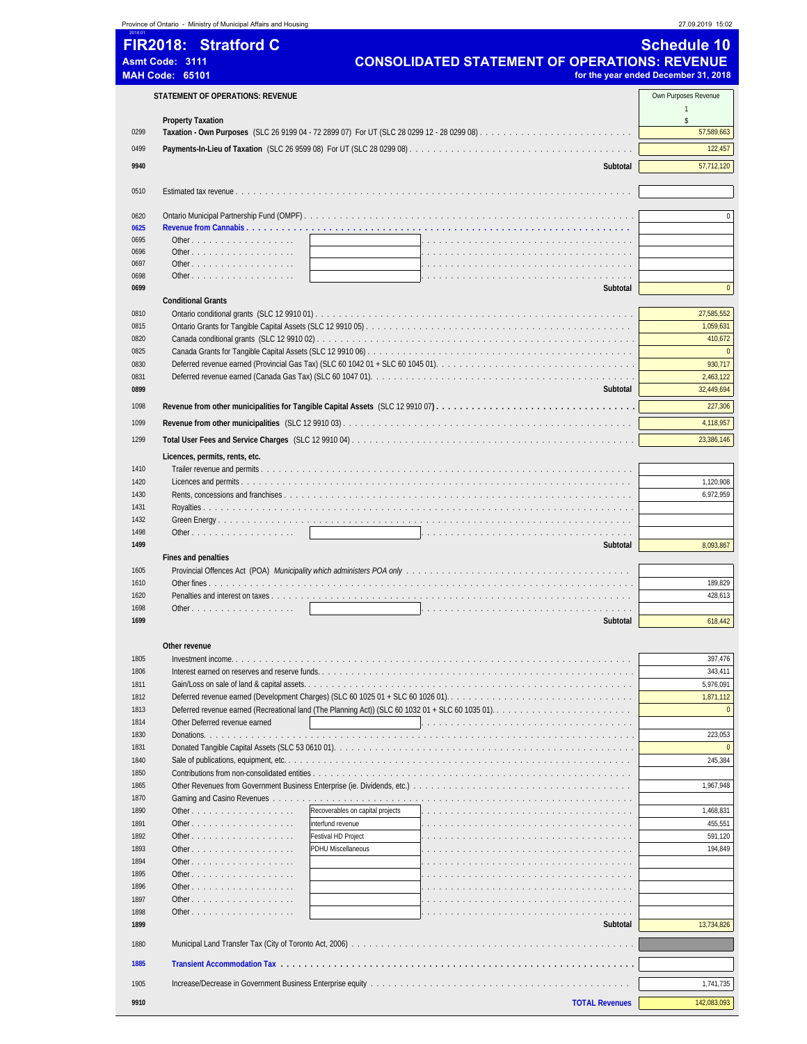|              | Province of Ontario - Ministry of Municipal Affairs and Housing |                                                                                 | 27.09.2019 15:02                     |
|--------------|-----------------------------------------------------------------|---------------------------------------------------------------------------------|--------------------------------------|
|              | FIR2018: Stratford C                                            |                                                                                 | Schedule 10                          |
|              | <b>Asmt Code: 3111</b>                                          | <b>CONSOLIDATED STATEMENT OF OPERATIONS: REVENUE</b>                            |                                      |
|              | <b>MAH Code: 65101</b>                                          |                                                                                 | for the year ended December 31, 2018 |
|              | <b>STATEMENT OF OPERATIONS: REVENUE</b>                         |                                                                                 | Own Purposes Revenue                 |
|              |                                                                 |                                                                                 | $\mathbf{1}$                         |
| 0299         | <b>Property Taxation</b>                                        |                                                                                 | \$<br>57,589,663                     |
| 0499         |                                                                 |                                                                                 | 122,457                              |
|              |                                                                 |                                                                                 |                                      |
| 9940         |                                                                 | Subtotal                                                                        | 57,712,120                           |
| 0510         |                                                                 |                                                                                 |                                      |
|              |                                                                 |                                                                                 | $\mathbf{0}$                         |
| 0620<br>0625 |                                                                 |                                                                                 |                                      |
| 0695         | Other                                                           |                                                                                 |                                      |
| 0696         | Other                                                           |                                                                                 |                                      |
| 0697<br>0698 | Other $\ldots$ $\ldots$ $\ldots$ $\ldots$ $\ldots$ $\ldots$     |                                                                                 |                                      |
| 0699         |                                                                 | Subtotal                                                                        | $\pmb{0}$                            |
|              | <b>Conditional Grants</b>                                       |                                                                                 |                                      |
| 0810         |                                                                 |                                                                                 | 27,585,552                           |
| 0815         |                                                                 |                                                                                 | 1,059,631                            |
| 0820<br>0825 |                                                                 |                                                                                 | 410,672<br>$\mathbf{0}$              |
| 0830         |                                                                 | Deferred revenue earned (Provincial Gas Tax) (SLC 60 1042 01 + SLC 60 1045 01). | 930,717                              |
| 0831         |                                                                 |                                                                                 | 2,463,122                            |
| 0899         |                                                                 | Subtotal                                                                        | 32,449,694                           |
| 1098         |                                                                 |                                                                                 | 227,306                              |
| 1099         |                                                                 |                                                                                 | 4,118,957                            |
| 1299         |                                                                 |                                                                                 | 23,386,146                           |
|              | Licences, permits, rents, etc.                                  |                                                                                 |                                      |
| 1410         |                                                                 |                                                                                 |                                      |
| 1420         |                                                                 |                                                                                 | 1,120,908                            |
| 1430         |                                                                 |                                                                                 | 6,972,959                            |
| 1431         |                                                                 |                                                                                 |                                      |
| 1432         |                                                                 |                                                                                 |                                      |
| 1498<br>1499 | Other                                                           | Subtotal                                                                        | 8,093,867                            |
|              | Fines and penalties                                             |                                                                                 |                                      |
| 1605         |                                                                 |                                                                                 |                                      |
| 1610         |                                                                 |                                                                                 | 189,829                              |
| 1620<br>1698 | Other $\ldots$                                                  |                                                                                 | 428,613                              |
| 1699         |                                                                 | Subtotal                                                                        | 618,442                              |
|              |                                                                 |                                                                                 |                                      |
|              | Other revenue                                                   |                                                                                 |                                      |
| 1805<br>1806 |                                                                 |                                                                                 | 397,476<br>343,411                   |
| 1811         |                                                                 |                                                                                 | 5,976,091                            |
| 1812         |                                                                 |                                                                                 | 1,871,112                            |
| 1813         |                                                                 |                                                                                 | $\pmb{0}$                            |
| 1814         | Other Deferred revenue earned                                   |                                                                                 |                                      |
| 1830<br>1831 |                                                                 |                                                                                 | 223,053<br>$\mathbf{0}$              |
| 1840         |                                                                 |                                                                                 | 245,384                              |
| 1850         |                                                                 |                                                                                 |                                      |
| 1865         |                                                                 |                                                                                 | 1,967,948                            |
| 1870         |                                                                 |                                                                                 |                                      |
| 1890<br>1891 | Other<br>Other                                                  | Recoverables on capital projects<br>interfund revenue                           | 1,468,831<br>455,551                 |
| 1892         | Other                                                           | Festival HD Project                                                             | 591,120                              |
| 1893         | Other                                                           | PDHU Miscellaneous                                                              | 194,849                              |
| 1894         | Other                                                           |                                                                                 |                                      |
| 1895         | Other                                                           |                                                                                 |                                      |
| 1896         | Other                                                           |                                                                                 |                                      |
| 1897<br>1898 | Other<br>Other                                                  |                                                                                 |                                      |
| 1899         |                                                                 | Subtotal                                                                        | 13,734,826                           |
| 1880         |                                                                 |                                                                                 |                                      |
|              |                                                                 |                                                                                 |                                      |
| 1885         |                                                                 |                                                                                 |                                      |
| 1905         |                                                                 |                                                                                 | 1,741,735                            |
| 9910         |                                                                 | <b>TOTAL Revenues</b>                                                           | 142,083,093                          |
|              |                                                                 |                                                                                 |                                      |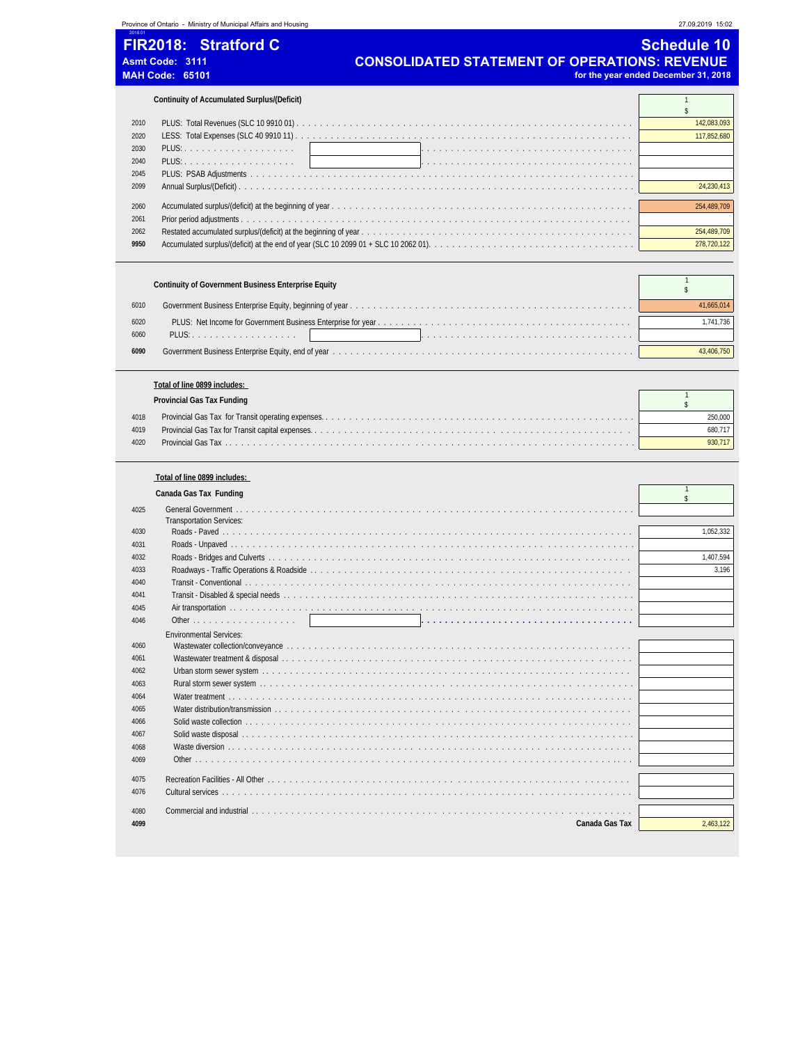### Province of Ontario - Ministry of Municipal Affairs and Housing 27.09.2019 15:02 2018.01

**FIR2018: Stratford C** Schedule 10 Asmt Code: 3111 **CONSOLIDATED STATEMENT OF OPERATIONS: REVENUE**<br>MAH Code: 65101 *CONSOLIDATED STATEMENT OF OPERATIONS: REVENUE* for the year ended December 31, 2018

### **Continuity of Accumulated Surplus/(Deficit)** 1

| 2010 | 142.083.093 |
|------|-------------|
| 2020 |             |
| 2030 |             |
| 2040 |             |
| 2045 |             |
| 2099 |             |
|      |             |
| 2060 |             |
| 2061 |             |
| 2062 | 254,489,709 |
| 9950 |             |

### **Continuity of Covernment Business Enterprise Equity** 1

|      | CONTINUITY OF GOVERNMENT DUSINESS ENTERPRISE EQUITY |            |
|------|-----------------------------------------------------|------------|
| 6010 |                                                     | 41,665,014 |
| 6020 |                                                     | 1.741.736  |
| 6060 |                                                     |            |
| 6090 |                                                     | 3.406.750  |

### **Total of line 0899 includes:**

|      | Provincial Gas Tax Funding |         |
|------|----------------------------|---------|
| 4018 |                            | 250.000 |
| 4019 |                            | 680 717 |
| 4020 |                            | 930 717 |

### **Total of line 0899 includes:**

### **Canada Gas Tax Funding** 2 and 2 and 2 and 2 and 2 and 2 and 2 and 2 and 2 and 2 and 2 and 2 and 2 and 2 and 2 and 2 and 2 and 2 and 2 and 2 and 2 and 2 and 2 and 2 and 2 and 2 and 2 and 2 and 2 and 2 and 2 and 2 and 2 and \$ 4025 General Government . . . . . Transportation Services: 4030 Roads - Paved . . . . . . . . . . . . . . . . . . . . . . . . . . . . . . . . . . . . . . . . . . . . . . . . . . . . . . . . . . . . . . . . . . . . . 1,052,332 4031 Roads - Unpaved . . . . . . . . . . . . . . . . . . . . . . . . . . . . . . . . . . . . . . . . . . . . . . . . . . . . . . . . . . . . . . . . . . . . 4032 Roads - Bridges and Culverts . . . . . . . . . . . . . . . . . . . . . . . . . . . . . . . . . . . . . . . . . . . . . . . . . . . . . . . . . . . . . 1,407,594 4033 Roadways - Traffic Operations & Roadside . . . . . . . . . . . . . . . . . . . . . . . . . . . . . . . . . . . . . . . . . . . . . . . . . . . . . . 3,196 4040 Transit - Conventional . . . . . . . . . . . . . . . . . . . . . . . . . . . . . . . . . . . . . . . . . . . . . . . . . . . . . . . . . . . . . . . . . 4041 Transit - Disabled & special needs . . . . . . . . . . . . . . . . . . . . . . . . . . . . . . . . . . . . . . . . . . . . . . . . . . . . . . . . . . . 4045 Air transportation . . . . . . . . . . . . . . . . . . . . . . . . . . . . . . . . . . . . . . . . . . . . . . . . . . . . . . . . . . . . . . . . . . . . 4046 Other . . . . . . . . . . . . . . . . . . **. . . . . . . . . . . . . . . . . . . . . . . . . . . . . . . . . . . .** Environmental Services: 4060 Wastewater collection/conveyance . . . . . . . . . . 4061 Wastewater treatment & disposal . . . . . . . . . . . . . . . . . . . . . . . . . . . . . . . . . . . . . . . . . . . . . . . . . . . . . . . . . . . 4062 Urban storm sewer system . . . . . . . . . . . . . . . . . . . . . . . . . . . . . . . . . . . . . . . . . . . . . . . . . . . . . . . . . . . . . . 4063 Rural storm sewer system . . . . . . . . . . . . . . . . . . . . . . . . . . . . . . . . . . . . . . . . . . . . . . . . . . . . . . . . . . . . . . . 4064 Water treatment . . . . . . . . . . . . . . . . . . . . . . . . . . . . . . . . . . . . . . . . . . . . . . . . . . . . . . . . . . . . . . . . . . . . 4065 Water distribution/transmission . . . . . . . . 4066 Solid waste collection . . . . . . . . . . . . . . . . . . . . . . . . . . . . . . . . . . . . . . . . . . . . . . . . . . . . . . . . . . . . . . . . . 4067 Solid waste disposal . . . . . . . . . . . . . . . . . . . . . . . . . . . . . . . . . . . . . . . . . . . . . . . . . . . . . . . . . . . . . . . . . . 4068 Waste diversion . . . . . . . . . . . . . . . . . . . . . . . . . . . . . . . . . . . . . . . . . . . . . . . . . . . . . . . . . . . . . . . . . . . . 4069 Other . . . . . . . . . . . . . . . . . . . . . . . . . . . . . . . . . . . . . . . . . . . . . . . . . . . . . . . . . . . . . . . . . . . . . . . . . . 4075 Recreation Facilities - All Other . . . . . . . . . . . . . . . . . . . . . . . . . . . . . . . . . . . . . . . . . . . . . . . . . . . . . . . . . . . . . 4076 Cultural services . . . . . . . . . . . 4080 Commercial and industrial . . . . . . . . . . . . . . . . . . . . . . . . . . . . . . . . . . . . . . . . . . . . . . . . . . . . . . . . . . . . . . . . **4099 Canada Gas Tax** 2,463,122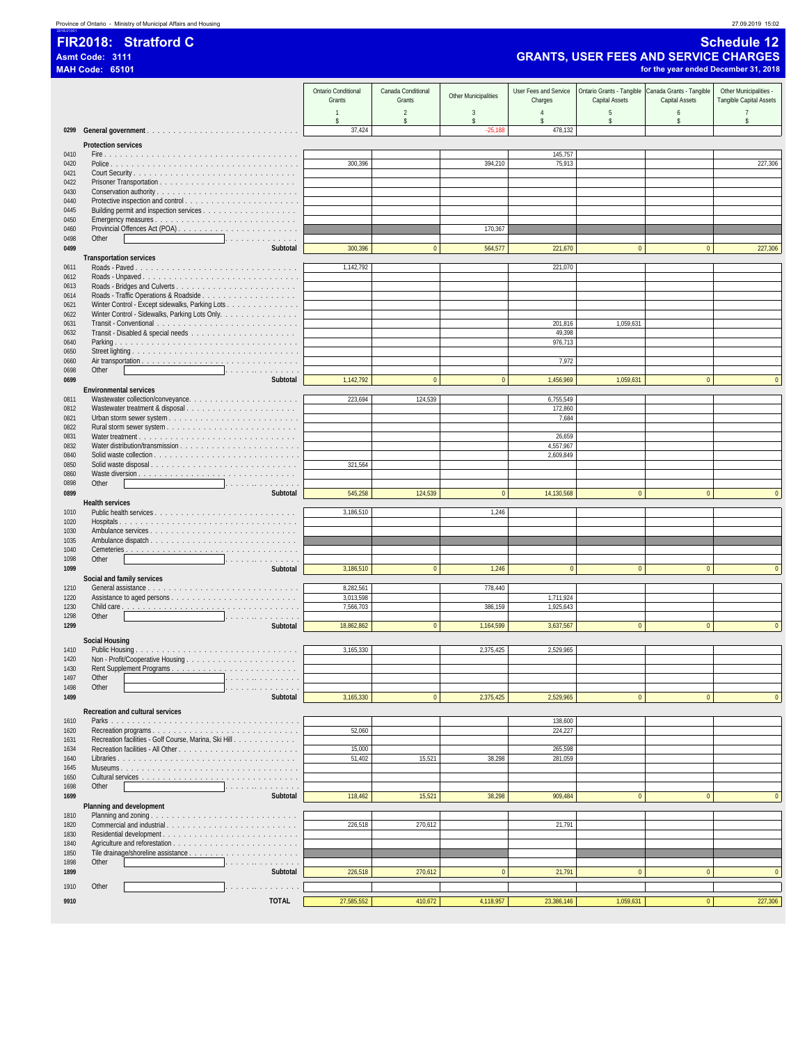|  | 27.09.2019 15:02 |
|--|------------------|
|  |                  |

2018.01001 **FIR2018: Stratford C Schedule 12**

### **Asmt Code: 3111 GRANTS, USER FEES AND SERVICE CHARGES**

|              | <b>MAH Code: 65101</b>                                                                            |                               |                      |                      |                                      |                  | for the year ended December 31, 2018               |                                |
|--------------|---------------------------------------------------------------------------------------------------|-------------------------------|----------------------|----------------------|--------------------------------------|------------------|----------------------------------------------------|--------------------------------|
|              |                                                                                                   | Ontario Conditional           | Canada Conditional   |                      | User Fees and Service                |                  | Ontario Grants - Tangible Canada Grants - Tangible | Other Municipalities -         |
|              |                                                                                                   | Grants                        | Grants               | Other Municipalities | Charges                              | Capital Assets   | Capital Assets                                     | Tangible Capital Assets        |
|              |                                                                                                   | $\mathbf{1}$<br>$\mathsf{\$}$ | $\overline{a}$<br>\$ | $\overline{3}$<br>\$ | $\overline{4}$<br>$\hat{\mathbf{x}}$ | 5<br>$\mathsf S$ | $\boldsymbol{6}$<br>\$                             | $\overline{7}$<br>$\mathbb{S}$ |
| 0299         |                                                                                                   | 37,424                        |                      | $-25,188$            | 478,132                              |                  |                                                    |                                |
|              | <b>Protection services</b>                                                                        |                               |                      |                      |                                      |                  |                                                    |                                |
| 0410         |                                                                                                   |                               |                      |                      | 145,757                              |                  |                                                    |                                |
| 0420<br>0421 |                                                                                                   | 300,396                       |                      | 394,210              | 75,913                               |                  |                                                    | 227,306                        |
| 0422         |                                                                                                   |                               |                      |                      |                                      |                  |                                                    |                                |
| 0430         |                                                                                                   |                               |                      |                      |                                      |                  |                                                    |                                |
| 0440<br>0445 |                                                                                                   |                               |                      |                      |                                      |                  |                                                    |                                |
| 0450         |                                                                                                   |                               |                      |                      |                                      |                  |                                                    |                                |
| 0460<br>0498 | Other                                                                                             |                               |                      | 170,367              |                                      |                  |                                                    |                                |
| 0499         | .<br>Subtotal                                                                                     | 300,396                       | $\mathbf{0}$         | 564,577              | 221,670                              | $\mathbf{0}$     | $\mathbf{0}$                                       | 227,306                        |
|              | <b>Transportation services</b>                                                                    |                               |                      |                      |                                      |                  |                                                    |                                |
| 0611<br>0612 | Roads - Unpaved                                                                                   | 1,142,792                     |                      |                      | 221,070                              |                  |                                                    |                                |
| 0613         |                                                                                                   |                               |                      |                      |                                      |                  |                                                    |                                |
| 0614         |                                                                                                   |                               |                      |                      |                                      |                  |                                                    |                                |
| 0621<br>0622 | Winter Control - Except sidewalks, Parking Lots<br>Winter Control - Sidewalks, Parking Lots Only. |                               |                      |                      |                                      |                  |                                                    |                                |
| 0631         |                                                                                                   |                               |                      |                      | 201,816                              | 1,059,631        |                                                    |                                |
| 0632<br>0640 |                                                                                                   |                               |                      |                      | 49,398<br>976,713                    |                  |                                                    |                                |
| 0650         |                                                                                                   |                               |                      |                      |                                      |                  |                                                    |                                |
| 0660         |                                                                                                   |                               |                      |                      | 7,972                                |                  |                                                    |                                |
| 0698<br>0699 | Other<br>.<br>Subtotal                                                                            | 1,142,792                     | $\bf 0$              | $\bf{0}$             | 1,456,969                            | 1,059,631        | $\mathbf{0}$                                       | $\mathbf{0}$                   |
|              | <b>Environmental services</b>                                                                     |                               |                      |                      |                                      |                  |                                                    |                                |
| 0811         |                                                                                                   | 223,694                       | 124,539              |                      | 6,755,549                            |                  |                                                    |                                |
| 0812<br>0821 |                                                                                                   |                               |                      |                      | 172,860<br>7,684                     |                  |                                                    |                                |
| 0822         |                                                                                                   |                               |                      |                      |                                      |                  |                                                    |                                |
| 0831         |                                                                                                   |                               |                      |                      | 26,659                               |                  |                                                    |                                |
| 0832<br>0840 |                                                                                                   |                               |                      |                      | 4,557,967<br>2,609,849               |                  |                                                    |                                |
| 0850         | Solid waste disposal                                                                              | 321,564                       |                      |                      |                                      |                  |                                                    |                                |
| 0860<br>0898 | Other<br>.                                                                                        |                               |                      |                      |                                      |                  |                                                    |                                |
| 0899         | Subtotal                                                                                          | 545,258                       | 124,539              | $\pmb{0}$            | 14,130,568                           | $\mathbf{0}$     | $\mathbf{0}$                                       | $\mathbf{0}$                   |
|              | <b>Health services</b>                                                                            |                               |                      |                      |                                      |                  |                                                    |                                |
| 1010<br>1020 |                                                                                                   | 3,186,510                     |                      | 1,246                |                                      |                  |                                                    |                                |
| 1030         |                                                                                                   |                               |                      |                      |                                      |                  |                                                    |                                |
| 1035<br>1040 |                                                                                                   |                               |                      |                      |                                      |                  |                                                    |                                |
| 1098         | Other<br>.                                                                                        |                               |                      |                      |                                      |                  |                                                    |                                |
| 1099         | Subtotal                                                                                          | 3,186,510                     | $\pmb{0}$            | 1,246                | $\mathbf{0}$                         | $\mathbf{0}$     | $\mathbf{0}$                                       | $\mathbf{0}$                   |
| 1210         | Social and family services                                                                        | 8,282,561                     |                      | 778,440              |                                      |                  |                                                    |                                |
| 1220         |                                                                                                   | 3,013,598                     |                      |                      | 1,711,924                            |                  |                                                    |                                |
| 1230<br>1298 | Other<br>.                                                                                        | 7,566,703                     |                      | 386,159              | 1,925,643                            |                  |                                                    |                                |
| 1299         | Subtotal                                                                                          | 18,862,862                    | $\mathbf{0}$         | 1,164,599            | 3,637,567                            | $\mathbf{0}$     | $\mathbf{0}$                                       | $\mathbf{0}$                   |
|              | Social Housing                                                                                    |                               |                      |                      |                                      |                  |                                                    |                                |
| 1410         |                                                                                                   | 3,165,330                     |                      | 2,375,425            | 2,529,965                            |                  |                                                    |                                |
| 1420<br>1430 |                                                                                                   |                               |                      |                      |                                      |                  |                                                    |                                |
| 1497         | Other<br>.                                                                                        |                               |                      |                      |                                      |                  |                                                    |                                |
| 1498         | Other<br>والمتواط والمتواط والمتواط والمتواط                                                      |                               |                      |                      |                                      |                  |                                                    |                                |
| 1499         | Subtotal                                                                                          | 3,165,330                     | $\pmb{0}$            | 2,375,425            | 2,529,965                            | $\pmb{0}$        | $\pmb{0}$                                          | $\mathbf{0}$                   |
| 1610         | Recreation and cultural services                                                                  |                               |                      |                      | 138,600                              |                  |                                                    |                                |
| 1620         |                                                                                                   | 52,060                        |                      |                      | 224,227                              |                  |                                                    |                                |
| 1631         | Recreation facilities - Golf Course, Marina, Ski Hill                                             |                               |                      |                      |                                      |                  |                                                    |                                |
| 1634<br>1640 |                                                                                                   | 15,000<br>51,402              | 15,521               | 38,298               | 265,598<br>281,059                   |                  |                                                    |                                |
| 1645         |                                                                                                   |                               |                      |                      |                                      |                  |                                                    |                                |
| 1650<br>1698 | Other<br>.                                                                                        |                               |                      |                      |                                      |                  |                                                    |                                |
| 1699         | Subtotal                                                                                          | 118,462                       | 15,521               | 38,298               | 909,484                              | $\mathbf{0}$     | $\pmb{0}$                                          | $\mathbf{0}$                   |
|              | Planning and development                                                                          |                               |                      |                      |                                      |                  |                                                    |                                |
| 1810<br>1820 |                                                                                                   | 226,518                       | 270,612              |                      | 21,791                               |                  |                                                    |                                |
| 1830         |                                                                                                   |                               |                      |                      |                                      |                  |                                                    |                                |
| 1840         |                                                                                                   |                               |                      |                      |                                      |                  |                                                    |                                |
| 1850<br>1898 | Other<br>.                                                                                        |                               |                      |                      |                                      |                  |                                                    |                                |
| 1899         | Subtotal                                                                                          | 226,518                       | 270,612              | $\bf{0}$             | 21,791                               | $\Omega$         | $\mathbf{0}$                                       | $\mathbf{0}$                   |
| 1910         | Other<br>the second contract of the second                                                        |                               |                      |                      |                                      |                  |                                                    |                                |
| 9910         | <b>TOTAL</b>                                                                                      | 27,585,552                    | 410,672              | 4,118,957            | 23,386,146                           | 1,059,631        | $\mathbf{0}$                                       | 227,306                        |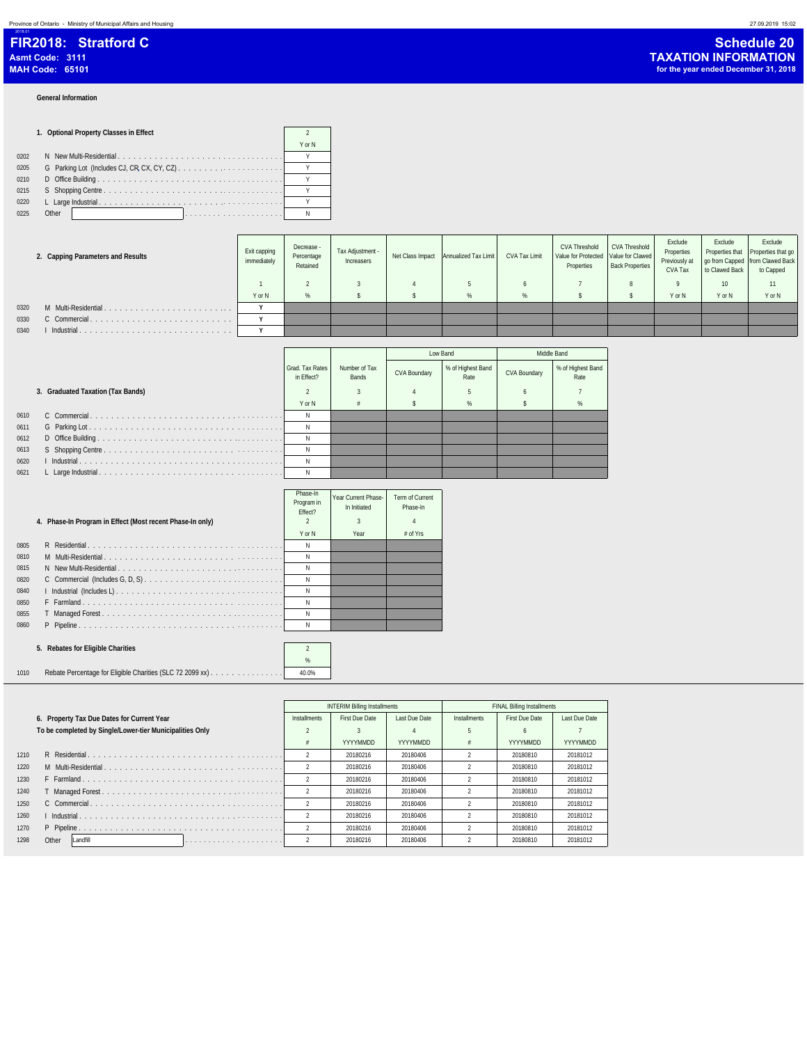### **General Information**

2018.01

### **1. Optional Property Classes in Effect** 2 0202 N New Multi-Residential . . . . . . . . . . . . . . . . . . . . . . . . . . . . . . . . . Y 0205 G Parking Lot (Includes CJ, CR**,** CX, CY, CZ) . . . . . . . . . . . . . . . . . . . . . . Y

| 0210 |       |  |  |  |  |  |  |  |  |  |  |  |  |  |  |  |  |
|------|-------|--|--|--|--|--|--|--|--|--|--|--|--|--|--|--|--|
| 0215 |       |  |  |  |  |  |  |  |  |  |  |  |  |  |  |  |  |
| 0220 |       |  |  |  |  |  |  |  |  |  |  |  |  |  |  |  |  |
| 0225 | Other |  |  |  |  |  |  |  |  |  |  |  |  |  |  |  |  |

|      | 2. Capping Parameters and Results | Exit capping<br>immediately | Decrease -<br>Percentage<br>Retained | Tax Adjustment -<br>Increasers | Net Class Impact Annualized Tax Limit | CVA Tax Limit | <b>CVA Threshold</b><br>Value for Protected   Value for Clawed<br>Properties | CVA Threshold<br><b>Back Properties</b> | Exclude<br>Properties<br>Previously at<br>CVA Tax | Exclude<br>to Clawed Back | Exclude<br>Properties that Properties that go<br>go from Capped from Clawed Back<br>to Capped |
|------|-----------------------------------|-----------------------------|--------------------------------------|--------------------------------|---------------------------------------|---------------|------------------------------------------------------------------------------|-----------------------------------------|---------------------------------------------------|---------------------------|-----------------------------------------------------------------------------------------------|
|      |                                   |                             |                                      |                                |                                       |               |                                                                              |                                         |                                                   | 10                        | 11                                                                                            |
|      |                                   | Y or N                      | %                                    |                                | %                                     | %             |                                                                              |                                         | Y or N                                            | Y or N                    | Y or N                                                                                        |
| 0320 | M Multi-Residential.              |                             |                                      |                                |                                       |               |                                                                              |                                         |                                                   |                           |                                                                                               |
| 0330 | C Commercial.                     |                             |                                      |                                |                                       |               |                                                                              |                                         |                                                   |                           |                                                                                               |
| 0340 | Industrial                        |                             |                                      |                                |                                       |               |                                                                              |                                         |                                                   |                           |                                                                                               |

|      |                                   |                               |                        | Low Band     |                           |              | Middle Band               |
|------|-----------------------------------|-------------------------------|------------------------|--------------|---------------------------|--------------|---------------------------|
|      |                                   | Grad, Tax Rates<br>in Effect? | Number of Tax<br>Bands | CVA Boundary | % of Highest Band<br>Rate | CVA Boundary | % of Highest Band<br>Rate |
|      | 3. Graduated Taxation (Tax Bands) |                               |                        |              |                           |              |                           |
|      |                                   | Y or N                        |                        |              |                           |              |                           |
| 0610 |                                   |                               |                        |              |                           |              |                           |
| 0611 |                                   |                               |                        |              |                           |              |                           |
| 0612 |                                   |                               |                        |              |                           |              |                           |
| 0613 |                                   |                               |                        |              |                           |              |                           |
| 0620 |                                   |                               |                        |              |                           |              |                           |
| 0621 |                                   |                               |                        |              |                           |              |                           |

Y or N

|      | 4. Phase-In Program in Effect (Most recent Phase-In only) | Phase-In<br>Program in<br>Fffect? | Year Current Phase-<br>In Initiated | Term of Current<br>Phase-In<br>4 |  |
|------|-----------------------------------------------------------|-----------------------------------|-------------------------------------|----------------------------------|--|
|      |                                                           | Y or N                            | Year                                | $#$ of Yrs                       |  |
| 0805 |                                                           | N                                 |                                     |                                  |  |
| 0810 |                                                           |                                   |                                     |                                  |  |
| 0815 |                                                           | N                                 |                                     |                                  |  |
| 0820 |                                                           | N                                 |                                     |                                  |  |
| 0840 |                                                           | N                                 |                                     |                                  |  |
| 0850 |                                                           | N                                 |                                     |                                  |  |
| 0855 |                                                           | N                                 |                                     |                                  |  |
| 0860 |                                                           | N                                 |                                     |                                  |  |

### **5. Rebates for Eligible Charities** 2

 $\%$ 1010 Rebate Percentage for Eligible Charities (SLC 72 2099 xx) . . . . . . . . . . . . . . . 40.0%

|      |                                                          |                | <b>INTERIM Billing Installments</b> |                 | <b>FINAL Billing Installments</b> |                |               |  |
|------|----------------------------------------------------------|----------------|-------------------------------------|-----------------|-----------------------------------|----------------|---------------|--|
|      | 6. Property Tax Due Dates for Current Year               | Installments   | First Due Date                      | Last Due Date   | <b>Installments</b>               | First Due Date | Last Due Date |  |
|      | To be completed by Single/Lower-tier Municipalities Only |                |                                     |                 |                                   | $\sqrt{2}$     |               |  |
|      |                                                          | #              | YYYYMMDD                            | <b>YYYYMMDD</b> |                                   | YYYYMMDD       | YYYYMMDD      |  |
| 1210 |                                                          |                | 20180216                            | 20180406        |                                   | 20180810       | 20181012      |  |
| 1220 |                                                          |                | 20180216                            | 20180406        |                                   | 20180810       | 20181012      |  |
| 1230 |                                                          |                | 20180216                            | 20180406        |                                   | 20180810       | 20181012      |  |
| 1240 |                                                          |                | 20180216                            | 20180406        |                                   | 20180810       | 20181012      |  |
| 1250 |                                                          |                | 20180216                            | 20180406        |                                   | 20180810       | 20181012      |  |
| 1260 |                                                          | $\mathfrak{D}$ | 20180216                            | 20180406        |                                   | 20180810       | 20181012      |  |
| 1270 |                                                          |                | 20180216                            | 20180406        |                                   | 20180810       | 20181012      |  |
| 1298 | Other<br>Landfill                                        |                | 20180216                            | 20180406        |                                   | 20180810       | 20181012      |  |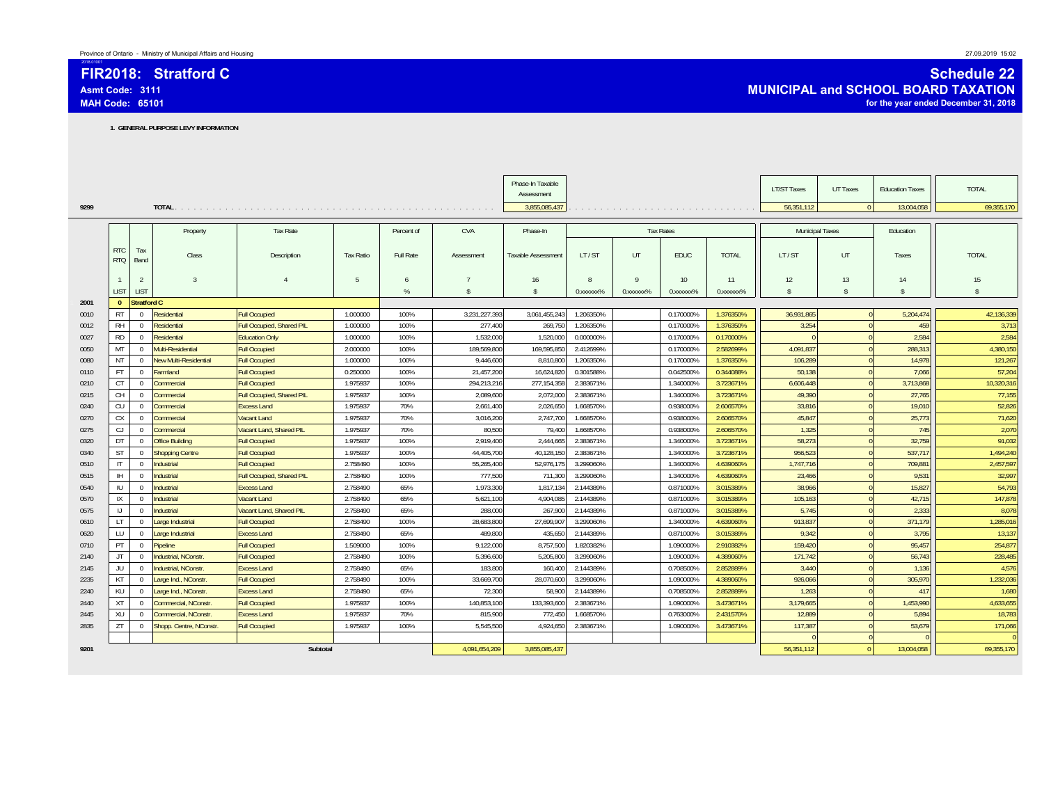**FIR2018: Stratford CAsmt Code: 3111MAH Code: 65101**

2018.01001

### **Schedule 22 MUNICIPAL and SCHOOL BOARD TAXATION for the year ended December 31, 2018**

**1. GENERAL PURPOSE LEVY INFORMATION**

|      |                          |                    |                        |                                  |                  |            |                    | Phase-In Taxable   |           |              |                         |                 | <b>LT/ST Taxes</b> | UT Taxes       | <b>Education Taxes</b> | <b>TOTAL</b>       |
|------|--------------------------|--------------------|------------------------|----------------------------------|------------------|------------|--------------------|--------------------|-----------|--------------|-------------------------|-----------------|--------------------|----------------|------------------------|--------------------|
|      |                          |                    |                        |                                  |                  |            |                    | Assessment         |           |              |                         |                 |                    |                |                        |                    |
| 9299 |                          |                    |                        |                                  |                  |            |                    | 3,855,085,437      |           |              |                         |                 | 56.351.112         | $\overline{0}$ | 13,004,058             | 69,355,170         |
|      |                          |                    |                        |                                  |                  |            |                    |                    |           |              |                         |                 |                    |                |                        |                    |
|      |                          |                    | Property               | Tax Rate                         |                  | Percent of | CVA                | Phase-In           |           |              | <b>Tax Rates</b>        |                 | Municipal Taxes    |                | Education              |                    |
|      |                          |                    |                        |                                  |                  |            |                    |                    |           |              |                         |                 |                    |                |                        |                    |
|      | <b>RTC</b><br><b>RTQ</b> | Tax<br>Band        | Class                  | Description                      | <b>Tax Ratio</b> | Full Rate  | Assessment         | Taxable Assessment | LT/ST     | UT           | EDUC                    | <b>TOTAL</b>    | LT/ST              | UT             | Taxes                  | <b>TOTAL</b>       |
|      |                          |                    |                        |                                  |                  |            |                    |                    |           |              |                         |                 |                    |                |                        |                    |
|      |                          | $\overline{2}$     | $\overline{3}$         | $\overline{4}$                   | 5                | 6          | $\overline{7}$     | 16                 | 8         | $\mathbf Q$  | 10                      | 11              | 12                 | 13             | 14                     | 15                 |
|      | <b>LIST</b>              | <b>LIST</b>        |                        |                                  |                  | $\%$       | $\mathbf{\hat{s}}$ | $\mathbf{\hat{s}}$ | 0.xxxxxx% | $0.$ xxxxxx% | 0. XXXXXX <sup>96</sup> | $0.$ xxxxx $\%$ | $\mathbf{\hat{S}}$ | -S             | $\hat{\mathbf{S}}$     | $\hat{\mathbf{S}}$ |
| 2001 | $\Omega$                 | <b>Stratford C</b> |                        |                                  |                  |            |                    |                    |           |              |                         |                 |                    |                |                        |                    |
| 0010 | <b>RT</b>                | $\overline{0}$     | Residential            | <b>Full Occupied</b>             | 1.000000         | 100%       | 3,231,227,393      | 3,061,455,243      | 1.206350% |              | 0.170000%               | 1.376350%       | 36,931,865         | $\Omega$       | 5,204,474              | 42,136,339         |
| 0012 | <b>RH</b>                | $\overline{0}$     | Residential            | <b>Full Occupied, Shared PIL</b> | 1.000000         | 100%       | 277,400            | 269,750            | 1.206350% |              | 0.170000%               | 1.376350%       | 3,254              | $\Omega$       | 459                    | 3,713              |
| 0027 | <b>RD</b>                | $\mathbf{0}$       | Residential            | <b>Education Only</b>            | 1.000000         | 100%       | 1.532.000          | 1.520.000          | 0.000000% |              | 0.170000%               | 0.170000%       | $\Omega$           |                | 2.584                  | 2,584              |
| 0050 | MT                       | $\overline{0}$     | Multi-Residential      | <b>Full Occupied</b>             | 2.000000         | 100%       | 189,569,800        | 169,595,850        | 2.412699% |              | 0.170000%               | 2.582699%       | 4,091,837          |                | 288,313                | 4,380,150          |
| 0080 | <b>NT</b>                | $\overline{0}$     | New Multi-Residential  | <b>Full Occupied</b>             | 1.000000         | 100%       | 9,446,600          | 8,810,800          | 1.206350% |              | 0.170000%               | 1.376350%       | 106,289            |                | 14,978                 | 121,267            |
| 0110 | <b>FT</b>                | $\overline{0}$     | armland                | <b>Full Occupied</b>             | 0.250000         | 100%       | 21,457,200         | 16,624,820         | 0.301588% |              | 0.042500%               | 0.344088%       | 50.138             |                | 7.066                  | 57,204             |
| 0210 | CT                       | $\overline{0}$     | <b>Commercial</b>      | <b>Full Occupied</b>             | 1.975937         | 100%       | 294,213,216        | 277, 154, 358      | 2.383671% |              | 1.340000%               | 3.723671%       | 6,606,448          |                | 3,713,868              | 10,320,31          |
| 0215 | CH                       | $\overline{0}$     | <b>Commercial</b>      | Full Occupied, Shared PIL        | 1.975937         | 100%       | 2.089.600          | 2,072,000          | 2.383671% |              | 1.340000%               | 3.723671%       | 49.390             |                | 27.765                 | 77,155             |
| 0240 | CU                       | $\overline{0}$     | Commercial             | <b>Excess Land</b>               | 1.975937         | 70%        | 2.661.400          | 2.026.650          | 1.668570% |              | 0.938000%               | 2.606570%       | 33.816             |                | 19,010                 | 52,826             |
| 0270 | <b>CX</b>                | $\overline{0}$     | Commercial             | Vacant Land                      | 1.975937         | 70%        | 3.016.200          | 2.747.700          | 1.668570% |              | 0.938000%               | 2.606570%       | 45.847             |                | 25,773                 | 71,620             |
| 0275 | CJ                       | $\mathbf{0}$       | <b>Commercial</b>      | Vacant Land, Shared PIL          | 1.975937         | 70%        | 80.500             | 79,400             | 1.668570% |              | 0.938000%               | 2.606570%       | 1,325              |                | 745                    | 2,070              |
| 0320 | DT                       | $\overline{0}$     | <b>Office Building</b> | <b>Full Occupied</b>             | 1.975937         | 100%       | 2.919.400          | 2,444,665          | 2.383671% |              | 1.340000%               | 3.723671%       | 58.273             |                | 32.759                 | 91,032             |
| 0340 | <b>ST</b>                | $\overline{0}$     | <b>Shopping Centre</b> | <b>Full Occupied</b>             | 1.975937         | 100%       | 44.405.700         | 40.128.150         | 2.383671% |              | 1.340000%               | 3.723671%       | 956.523            |                | 537.717                | 1,494,240          |
| 0510 | $\mathsf{I}$             | $\overline{0}$     | Industrial             | <b>Full Occupied</b>             | 2.758490         | 100%       | 55,265,400         | 52,976,175         | 3.299060% |              | 1.340000%               | 4.639060%       | 1,747,716          |                | 709,881                | 2,457,597          |
| 0515 | H                        | $\mathbf{0}$       | <b>Industrial</b>      | Full Occupied, Shared PIL        | 2.758490         | 100%       | 777.500            | 711,300            | 3.299060% |              | 1.340000%               | 4.639060%       | 23,466             |                | 9.531                  | 32,997             |
| 0540 | IU                       | $\overline{0}$     | Industrial             | <b>Excess Land</b>               | 2.758490         | 65%        | 1.973.300          | 1.817.134          | 2.144389% |              | 0.871000%               | 3.015389%       | 38,966             |                | 15.827                 | 54.793             |
| 0570 | IX                       | $\mathbf{0}$       | Industrial             | Vacant Land                      | 2.758490         | 65%        | 5.621.100          | 4.904.085          | 2.144389% |              | 0.871000%               | 3.015389%       | 105.163            |                | 42.715                 | 147,878            |
| 0575 | IJ                       | $\overline{0}$     | <b>Industrial</b>      | Vacant Land, Shared PIL          | 2.758490         | 65%        | 288,000            | 267,900            | 2.144389% |              | 0.871000%               | 3.015389%       | 5.745              |                | 2,333                  | 8,078              |
| 0610 | LT                       | $\overline{0}$     | arge Industrial        | <b>Full Occupied</b>             | 2.758490         | 100%       | 28.683.800         | 27,699,907         | 3.299060% |              | 1.340000%               | 4.639060%       | 913,837            |                | 371.179                | 1,285,016          |
| 0620 | LU                       | $\overline{0}$     | Large Industrial       | <b>Excess Land</b>               | 2.758490         | 65%        | 489.800            | 435.650            | 2.144389% |              | 0.871000%               | 3.015389%       | 9.342              |                | 3.795                  | 13,137             |
| 0710 | PT                       | $\mathbf{0}$       | Pipeline               | <b>Full Occupied</b>             | 1.509000         | 100%       | 9.122.000          | 8,757,500          | 1.820382% |              | 1.090000%               | 2.910382%       | 159,420            |                | 95,457                 | 254,877            |
| 2140 | JT                       | $\Omega$           | Industrial, NConstr.   | <b>Full Occupied</b>             | 2.758490         | 100%       | 5.396.600          | 5,205,800          | 3.299060% |              | 1.090000%               | 4.389060%       | 171.742            |                | 56.743                 | 228,485            |
| 2145 | JU                       | $\overline{0}$     | Industrial, NConstr.   | <b>Excess Land</b>               | 2.758490         | 65%        | 183.800            | 160.400            | 2.144389% |              | 0.708500%               | 2.852889%       | 3.440              |                | 1.136                  | 4,576              |
| 2235 | KT                       | $\overline{0}$     | Large Ind., NConstr    | <b>Full Occupied</b>             | 2.758490         | 100%       | 33,669,700         | 28,070,600         | 3.299060% |              | 1.090000%               | 4.389060%       | 926,066            |                | 305,970                | 1,232,036          |
| 2240 | KU                       | $\overline{0}$     | Large Ind., NConstr    | <b>Excess Land</b>               | 2.758490         | 65%        | 72,300             | 58,900             | 2.144389% |              | 0.708500%               | 2.852889%       | 1,263              |                | 417                    | 1,680              |
| 2440 | <b>XT</b>                | $\Omega$           | Commercial, NConstr    | <b>Full Occupied</b>             | 1.975937         | 100%       | 140.853.100        | 133.393.600        | 2.383671% |              | 1.090000%               | 3.473671%       | 3.179.665          |                | 1.453.990              | 4,633,655          |
| 2445 | XU                       | $\overline{0}$     | Commercial, NConstr    | <b>Excess Land</b>               | 1.975937         | 70%        | 815,900            | 772,450            | 1.668570% |              | 0.763000%               | 2.431570%       | 12,889             |                | 5.894                  | 18,783             |
| 2835 | ZT                       | $\overline{0}$     | Shopp. Centre, NConstr | <b>Full Occupied</b>             | 1.975937         | 100%       | 5.545.500          | 4,924,650          | 2.383671% |              | 1.090000%               | 3.473671%       | 117,387            |                | 53,679                 | 171,066            |
|      |                          |                    |                        |                                  |                  |            |                    |                    |           |              |                         |                 |                    |                |                        |                    |
| 9201 |                          |                    |                        | Subtotal                         |                  |            | 4,091,654,209      | 3,855,085,437      |           |              |                         |                 | 56,351,112         | $\Omega$       | 13,004,058             | 69,355,170         |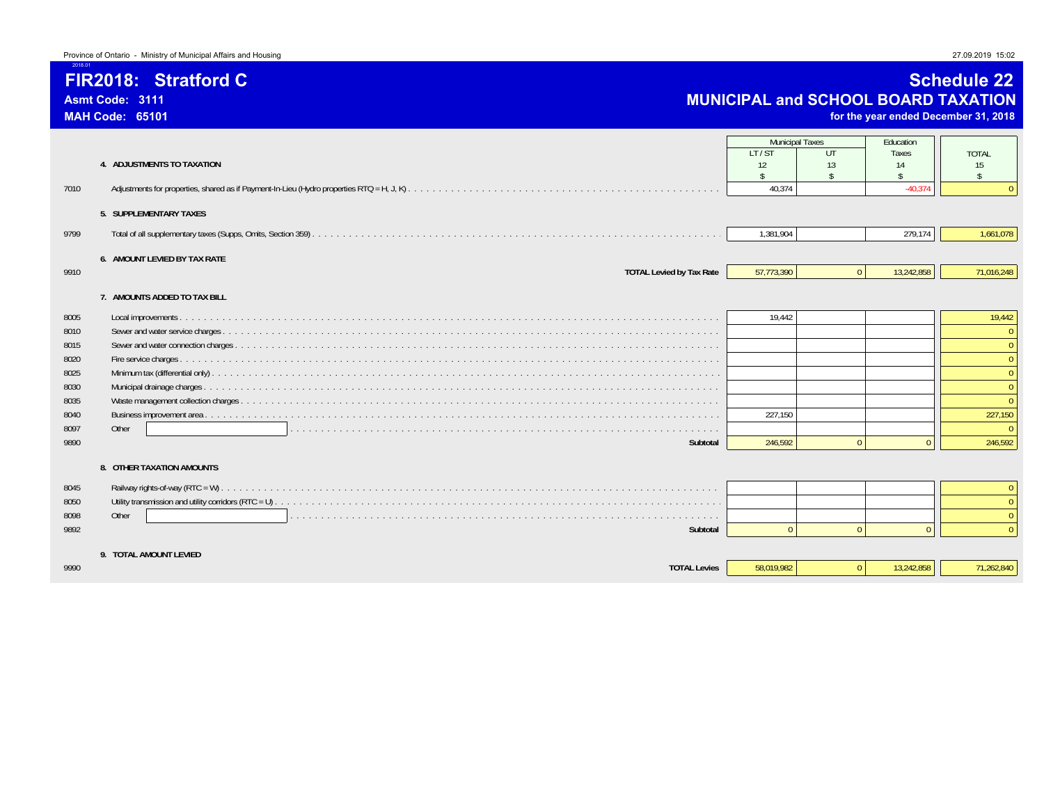### **FIR2018: Stratford C**

**Asmt Code: 3111MAH Code: 65101**

2018.01

### **Schedule 22 MUNICIPAL and SCHOOL BOARD TAXATION**

**for the year ended December 31, 2018**

| 7010                                                                         | 4. ADJUSTMENTS TO TAXATION                                      | <b>Municipal Taxes</b><br>LT/ST<br>12<br>$\hat{\mathbf{r}}$<br>40.374 | UT<br>13<br>$\zeta$ | Education<br>Taxes<br>14<br>$\zeta$<br>$-40.374$ | <b>TOTAL</b><br>15<br>$\mathsf{\$}$                                          |
|------------------------------------------------------------------------------|-----------------------------------------------------------------|-----------------------------------------------------------------------|---------------------|--------------------------------------------------|------------------------------------------------------------------------------|
|                                                                              | 5. SUPPLEMENTARY TAXES                                          |                                                                       |                     |                                                  |                                                                              |
| 9799                                                                         |                                                                 | 1,381,904                                                             |                     | 279,174                                          | 1,661,078                                                                    |
| 9910                                                                         | 6. AMOUNT LEVIED BY TAX RATE<br><b>TOTAL Levied by Tax Rate</b> | 57,773,390                                                            | $\mathbf{0}$        | 13,242,858                                       | 71,016,248                                                                   |
|                                                                              | 7. AMOUNTS ADDED TO TAX BILL                                    |                                                                       |                     |                                                  |                                                                              |
| 8005<br>8010<br>8015<br>8020<br>8025<br>8030<br>8035<br>8040<br>8097<br>9890 | Other<br>Subtotal<br>8. OTHER TAXATION AMOUNTS                  | 19.442<br>227.150<br>246.592                                          | $\Omega$            | $\Omega$                                         | 19,442<br>$\Omega$<br>$\Omega$<br>$\Omega$<br>$\Omega$<br>227,150<br>246,592 |
| 8045<br>8050<br>8098<br>9892                                                 | Other<br>Subtotal                                               | $\sqrt{ }$                                                            | $\Omega$            | $\Omega$                                         | $\Omega$<br>$\Omega$<br>$\Omega$<br>$\Omega$                                 |
| 9990                                                                         | 9. TOTAL AMOUNT LEVIED<br><b>TOTAL Levies</b>                   | 58,019,982                                                            | $\overline{0}$      | 13,242,858                                       | 71,262,840                                                                   |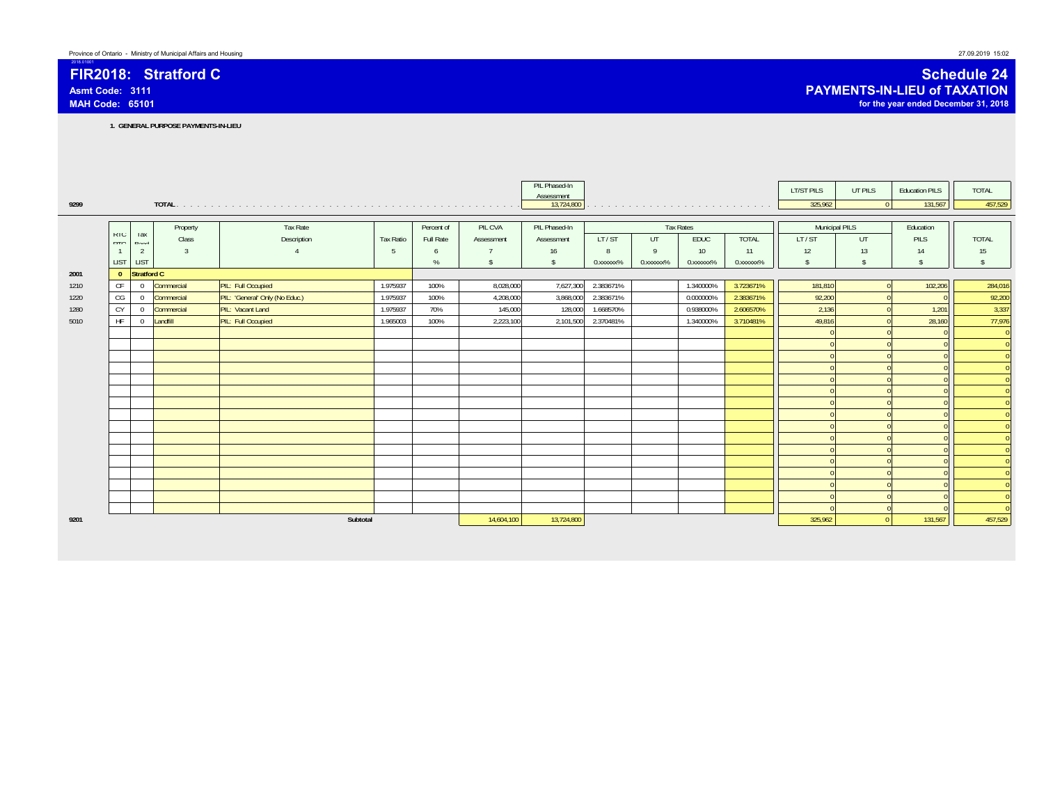### **FIR2018: Stratford CAsmt Code: 3111MAH Code: 65101**

2018.01001

**1. GENERAL PURPOSE PAYMENTS-IN-LIEU**

|      |                   |                     |               |                                |                  |            |                    | PIL Phased-In<br>Assessment |                        |              |                                                                  |                        | LT/ST PILS         | UT PILS            | <b>Education PILS</b> | TOTAL              |
|------|-------------------|---------------------|---------------|--------------------------------|------------------|------------|--------------------|-----------------------------|------------------------|--------------|------------------------------------------------------------------|------------------------|--------------------|--------------------|-----------------------|--------------------|
| 9299 |                   |                     |               |                                |                  |            |                    | 13,724,800                  |                        |              | the companion of the companion of the companion of the companion |                        | 325,962            | $\overline{0}$     | 131,567               | 457,529            |
|      |                   |                     |               |                                |                  |            |                    |                             |                        |              |                                                                  |                        |                    |                    |                       |                    |
|      |                   |                     | Property      | Tax Rate                       |                  | Percent of | PIL CVA            | PIL Phased-In               |                        |              | <b>Tax Rates</b>                                                 |                        | Municipal PILS     |                    | Education             |                    |
|      | KIU<br><b>DTO</b> | <b>I</b> dX<br>Rond | Class         | Description                    | <b>Tax Ratio</b> | Full Rate  | Assessment         | Assessment                  | LT/ST                  | UT           | EDUC                                                             | <b>TOTAL</b>           | LT/ST              | UT.                | PILS                  | TOTAL              |
|      | $\overline{1}$    | $\overline{2}$      | $\mathcal{R}$ |                                | 5                | 6          |                    | 16                          | 8                      | $\mathbf{q}$ | 10                                                               | 11                     | 12                 | 13                 | 14                    | 15                 |
|      | <b>LIST</b>       | LIST                |               |                                |                  | %          | $\mathbf{\hat{s}}$ | s                           | 0. XXXXXX <sup>%</sup> | 0.xxxxxx%    | 0.xxxxxx%                                                        | 0. XXXXXX <sup>%</sup> | $\mathbf{\hat{s}}$ | $\mathbf{\hat{s}}$ | $\mathbf{s}$          | $\mathbf{\hat{S}}$ |
| 2001 | $\mathbf{0}$      | Stratford C         |               |                                |                  |            |                    |                             |                        |              |                                                                  |                        |                    |                    |                       |                    |
| 1210 | CF                | $\overline{0}$      | Commercial    | PIL: Full Occupied             | 1.975937         | 100%       | 8,028,000          | 7,627,300                   | 2.383671%              |              | 1.340000%                                                        | 3.723671%              | 181,810            |                    | 102,206               | 284,016            |
| 1220 | CG                | $\overline{0}$      | Commercial    | PIL: 'General' Only (No Educ.) | 1.975937         | 100%       | 4,208,000          | 3,868,000                   | 2.383671%              |              | 0.000000%                                                        | 2.383671%              | 92,200             |                    |                       | 92,200             |
| 1280 | CY                | $\overline{0}$      | Commercial    | PIL: Vacant Land               | 1.975937         | 70%        | 145,000            | 128,000                     | 1.668570%              |              | 0.938000%                                                        | 2.606570%              | 2,136              |                    | 1,201                 | 3,337              |
| 5010 | <b>HF</b>         | $\mathbf{0}$        | Landfill      | PIL: Full Occupied             | 1.965003         | 100%       | 2,223,100          | 2,101,500                   | 2.370481%              |              | 1.340000%                                                        | 3.710481%              | 49,816             |                    | 28,160                | 77,976             |
|      |                   |                     |               |                                |                  |            |                    |                             |                        |              |                                                                  |                        |                    |                    |                       |                    |
|      |                   |                     |               |                                |                  |            |                    |                             |                        |              |                                                                  |                        |                    |                    |                       |                    |
|      |                   |                     |               |                                |                  |            |                    |                             |                        |              |                                                                  |                        |                    |                    |                       |                    |
|      |                   |                     |               |                                |                  |            |                    |                             |                        |              |                                                                  |                        |                    |                    |                       |                    |
|      |                   |                     |               |                                |                  |            |                    |                             |                        |              |                                                                  |                        |                    |                    |                       |                    |
|      |                   |                     |               |                                |                  |            |                    |                             |                        |              |                                                                  |                        |                    |                    |                       |                    |
|      |                   |                     |               |                                |                  |            |                    |                             |                        |              |                                                                  |                        |                    |                    |                       |                    |
|      |                   |                     |               |                                |                  |            |                    |                             |                        |              |                                                                  |                        |                    |                    |                       |                    |
|      |                   |                     |               |                                |                  |            |                    |                             |                        |              |                                                                  |                        |                    |                    |                       |                    |
|      |                   |                     |               |                                |                  |            |                    |                             |                        |              |                                                                  |                        |                    |                    |                       |                    |
|      |                   |                     |               |                                |                  |            |                    |                             |                        |              |                                                                  |                        |                    |                    |                       |                    |
|      |                   |                     |               |                                |                  |            |                    |                             |                        |              |                                                                  |                        |                    |                    |                       |                    |
|      |                   |                     |               |                                |                  |            |                    |                             |                        |              |                                                                  |                        |                    |                    |                       |                    |
|      |                   |                     |               |                                |                  |            |                    |                             |                        |              |                                                                  |                        |                    |                    |                       |                    |
|      |                   |                     |               |                                |                  |            |                    |                             |                        |              |                                                                  |                        |                    |                    |                       |                    |
|      |                   |                     |               |                                |                  |            |                    |                             |                        |              |                                                                  |                        |                    |                    |                       |                    |
| 9201 |                   |                     |               | Subtotal                       |                  | 14,604,100 | 13,724,800         |                             |                        |              |                                                                  | 325,962                | $\Omega$           | 131,567            | 457,529               |                    |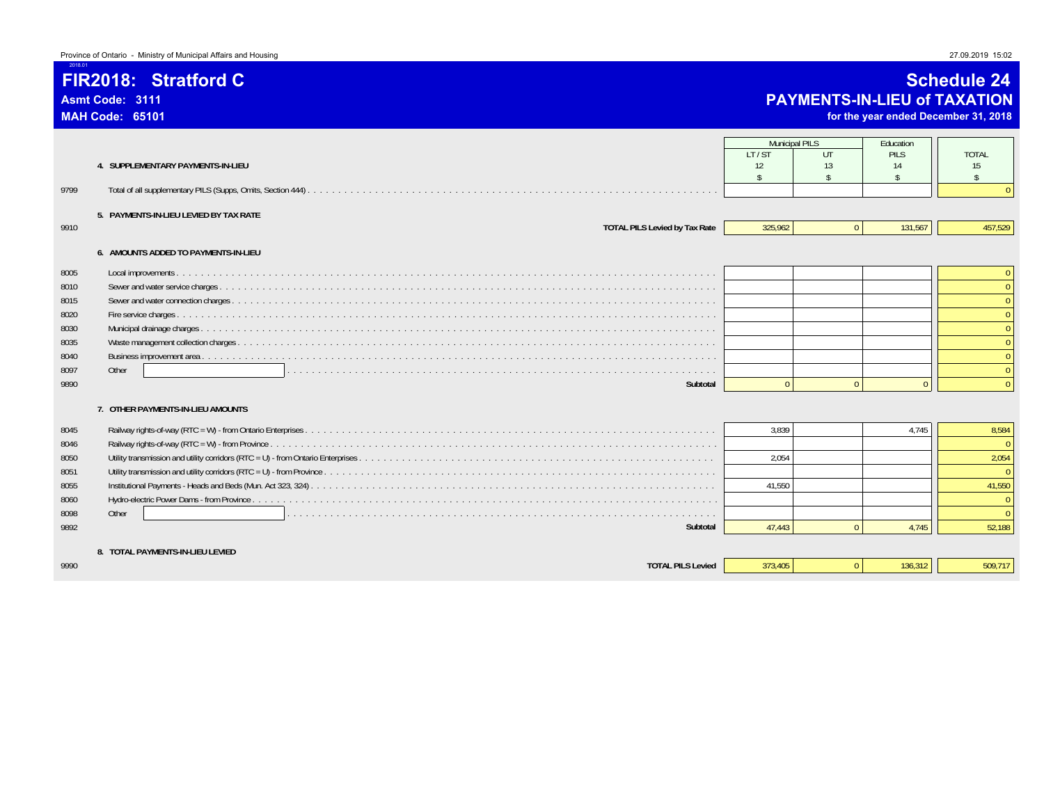**FIR2018: Stratford C**

**Asmt Code: 3111MAH Code: 65101**

2018.01

### **Schedule 24 PAYMENTS-IN-LIEU of TAXATION**

**for the year ended December 31, 2018**

|      |                                        | <b>Municipal PILS</b><br>LT/ST | UT             | Education<br><b>PILS</b> | <b>TOTAL</b>       |
|------|----------------------------------------|--------------------------------|----------------|--------------------------|--------------------|
|      | 4. SUPPLEMENTARY PAYMENTS-IN-LIEU      | 12                             | 13             | 14                       | 15                 |
| 9799 |                                        | $\mathbf{\hat{S}}$             |                | $\hat{\mathbf{r}}$       | $\mathbf{\hat{S}}$ |
|      | 5. PAYMENTS-IN-LIEU LEVIED BY TAX RATE |                                |                |                          |                    |
| 9910 | <b>TOTAL PILS Levied by Tax Rate</b>   | 325.962                        | $\overline{0}$ | 131,567                  | 457,529            |
|      | 6. AMOUNTS ADDED TO PAYMENTS-IN-LIEU   |                                |                |                          |                    |
| 8005 |                                        |                                |                |                          | $\overline{0}$     |
| 8010 |                                        |                                |                |                          | $\Omega$           |
| 8015 |                                        |                                |                |                          |                    |
| 8020 |                                        |                                |                |                          | $\Omega$           |
| 8030 |                                        |                                |                |                          | $\Omega$           |
| 8035 |                                        |                                |                |                          |                    |
| 8040 |                                        |                                |                |                          | $\Omega$           |
| 8097 | Other                                  |                                |                |                          | $\Omega$           |
| 9890 | Subtotal                               |                                | $\Omega$       | $\Omega$                 | $\Omega$           |
|      | 7. OTHER PAYMENTS-IN-LIEU AMOUNTS      |                                |                |                          |                    |
| 8045 |                                        | 3,839                          |                | 4.745                    | 8,584              |
| 8046 |                                        |                                |                |                          |                    |
| 8050 |                                        | 2.054                          |                |                          | 2,054              |
| 8051 |                                        |                                |                |                          | $\Omega$           |
| 8055 |                                        | 41,550                         |                |                          | 41,550             |
| 8060 |                                        |                                |                |                          | $\Omega$           |
| 8098 | Other                                  |                                |                |                          | $\Omega$           |
| 9892 | Subtotal                               | 47.443                         | $\Omega$       | 4.745                    | 52,188             |
|      | 8. TOTAL PAYMENTS-IN-LIEU LEVIED       |                                |                |                          |                    |
| 9990 | <b>TOTAL PILS Levied</b>               | 373.405                        | $\Omega$       | 136.312                  | 509,717            |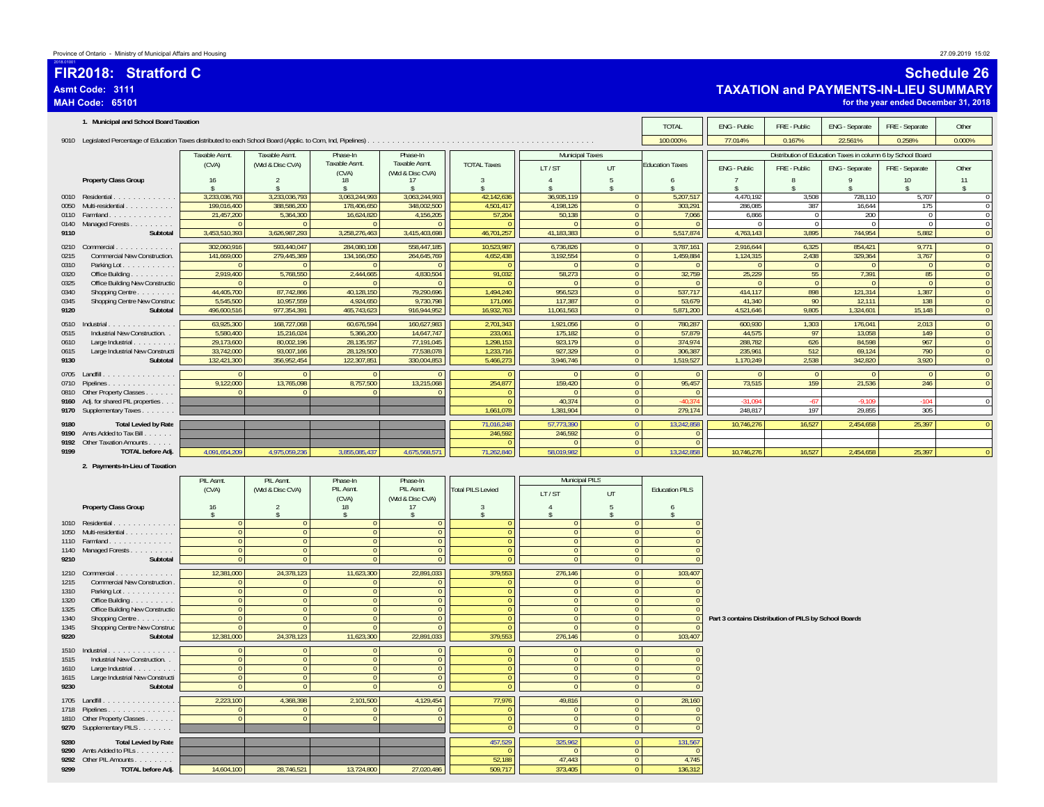|              | FIR2018: Stratford C<br>Asmt Code: 3111<br><b>MAH Code: 65101</b>                                                               |                                  |                                      |                                  |                                     |                            |                              |                                    |                                              |                                                       |                                  | <b>TAXATION and PAYMENTS-IN-LIEU SUMMARY</b>                | for the year ended December 31, 2018 | <b>Schedule 26</b>                 |
|--------------|---------------------------------------------------------------------------------------------------------------------------------|----------------------------------|--------------------------------------|----------------------------------|-------------------------------------|----------------------------|------------------------------|------------------------------------|----------------------------------------------|-------------------------------------------------------|----------------------------------|-------------------------------------------------------------|--------------------------------------|------------------------------------|
|              | 1. Municipal and School Board Taxation                                                                                          |                                  |                                      |                                  |                                     |                            |                              |                                    | <b>TOTAL</b>                                 | ENG - Public                                          | FRE - Public                     | ENG - Separate                                              | FRE - Separate                       | Other                              |
|              |                                                                                                                                 |                                  |                                      |                                  |                                     |                            |                              |                                    | 100.000%                                     | 77.014%                                               | 0.167%                           | 22.561%                                                     | 0.258%                               | 0.000%                             |
|              |                                                                                                                                 | Taxable Asmt.                    | Taxable Asmt                         | Phase-In                         | Phase-In                            |                            | <b>Municipal Taxes</b>       |                                    |                                              |                                                       |                                  | Distribution of Education Taxes in column 6 by School Board |                                      |                                    |
|              |                                                                                                                                 | (CVA)                            | (Wtd & Disc CVA)                     | Taxable Asmt.                    | Taxable Asmt.                       | <b>TOTAL Taxes</b>         | LT/ST                        | UT                                 | <b>Education Taxes</b>                       | ENG - Public                                          | FRE - Public                     | ENG - Separate                                              | FRE - Separate                       | Other                              |
|              | Property Class Group                                                                                                            | 16                               | 2                                    | (CVA)<br>18                      | (Wtd & Disc CVA)<br>17              | -3                         | $\overline{4}$               | 5                                  | 6                                            |                                                       | 8                                | $\mathsf q$                                                 | 10 <sup>10</sup>                     | 11                                 |
|              | 0010 Residential                                                                                                                | \$.<br>3,233,036,793             | $\mathbf{\hat{s}}$<br>3.233.036.793  | $\mathsf{s}$<br>3,063,244,993    | $\mathbf{\hat{S}}$<br>3,063,244,993 | -S<br>42,142,636           | s<br>36,935,119              | $\mathbf{\hat{s}}$<br>$\mathbf{0}$ | s<br>5,207,517                               | 4,470,192                                             | $\mathbf{\hat{S}}$<br>3,508      | 728,110                                                     | $\hat{\mathbf{x}}$<br>5,707          | $\mathbf{\hat{S}}$<br>$\mathbf{0}$ |
| 0050         | Multi-residential                                                                                                               | 199,016,400                      | 388,586,200                          | 178,406,650                      | 348,002,500                         | 4,501,417                  | 4,198,126                    | $\mathbf{0}$                       | 303,291                                      | 286,085                                               | 387                              | 16,644                                                      | 175                                  | $\mathbb O$                        |
|              | 0110  Farmland<br>0140 Managed Forests                                                                                          | 21,457,200<br>$\overline{0}$     | 5,364,300<br>$\Omega$                | 16,624,820<br>$\mathbf{0}$       | 4,156,205<br>$\overline{0}$         | 57,204<br>$\Omega$         | 50,138<br>$\Omega$           | $\overline{0}$                     | $\overline{0}$<br>7,066<br>$\sqrt{ }$        | 6,866<br>$\mathbf{0}$                                 | $\overline{0}$<br>$\overline{0}$ | 200<br>$\overline{0}$                                       | $\overline{0}$<br>$\overline{0}$     | $\mathbf{0}$<br>$\mathbf{0}$       |
| 9110         | Subtotal                                                                                                                        | 3,453,510,393                    | 3,626,987,293                        | 3,258,276,463                    | 3,415,403,698                       | 46,701,257                 | 41,183,383                   |                                    | 5,517,874<br>$\overline{0}$                  | 4,763,143                                             | 3,895                            | 744,954                                                     | 5,882                                | $\mathbf{0}$                       |
|              | 0210 Commercial                                                                                                                 | 302,060,916                      | 593,440,047                          | 284,080,108                      | 558,447,185                         | 10,523,987                 | 6,736,826                    |                                    | $\overline{0}$<br>3,787,161                  | 2,916,644                                             | 6,325                            | 854,421                                                     | 9,771                                | $\overline{0}$                     |
| 0215         | Commercial New Construction.                                                                                                    | 141,669,000                      | 279,445,369                          | 134,166,050                      | 264,645,769                         | 4,652,438<br>- C           | 3,192,554                    |                                    | $\overline{0}$<br>1,459,884                  | 1,124,315                                             | 2,438                            | 329,364                                                     | 3,767                                | $\overline{0}$                     |
| 0310<br>0320 | Parking Lot.<br>Office Building.                                                                                                | $\overline{0}$<br>2,919,400      | 5,768,550                            | $\Omega$<br>2,444,665            | $\Omega$<br>4,830,504               | 91,032                     | 58,273                       | $\mathbf{0}$<br>$\Omega$           | $\Omega$<br>32,759                           | $\mathbf{0}$<br>25,229                                | $\overline{0}$<br>55             | 7,391                                                       | $\overline{0}$<br>85                 | $\mathbf{0}$<br>$\mathbf{0}$       |
| 0325         | Office Building New Constructio                                                                                                 | $\Omega$                         |                                      | $\mathbf{0}$                     | $\mathbf{0}$                        |                            | $\Omega$                     | $\mathbf{0}$                       | $\Omega$                                     | $\Omega$                                              | $\Omega$                         | $\Omega$                                                    | $\mathbf{0}$                         | $\mathbf{0}$                       |
| 0340<br>0345 | Shopping Centre<br>Shopping Centre New Construc                                                                                 | 44,405,700<br>5,545,500          | 87,742,866<br>10,957,559             | 40,128,150<br>4,924,650          | 79,290,696<br>9,730,798             | 1,494,240<br>171,066       | 956,523<br>117,387           | $\overline{0}$<br>$\overline{0}$   | 537,717<br>53,679                            | 414,117<br>41,340                                     | 898<br>90                        | 121,314<br>12,111                                           | 1,387<br>138                         | $\overline{0}$<br>$\overline{0}$   |
| 9120         | Subtotal                                                                                                                        | 496,600,516                      | 977,354,391                          | 465,743,623                      | 916,944,952                         | 16,932,763                 | 11,061,563                   |                                    | $\overline{0}$<br>5,871,200                  | 4,521,646                                             | 9,805                            | 1,324,601                                                   | 15,148                               | $\mathbf{0}$                       |
| 0510         | Industrial                                                                                                                      | 63,925,300                       | 168,727,068                          | 60,676,594                       | 160,627,983                         | 2,701,343                  | 1,921,056                    |                                    | $\overline{0}$<br>780,287                    | 600,930                                               | 1,303                            | 176,041                                                     | 2,013                                | $\overline{0}$                     |
| 0515<br>0610 | Industrial New Construction<br>Large Industrial                                                                                 | 5,580,400<br>29,173,600          | 15,216,024<br>80,002,196             | 5,366,200<br>28,135,557          | 14,647,747<br>77,191,045            | 233,061<br>1,298,153       | 175,182<br>923,179           | $\mathbf{0}$<br>$\mathbf{0}$       | 57,879<br>374,974                            | 44,575<br>288,782                                     | 97<br>626                        | 13,058<br>84,598                                            | 149<br>967                           | $\mathbf{0}$<br>$\mathbf{0}$       |
| 0615         | Large Industrial New Constructi                                                                                                 | 33,742,000                       | 93,007,166                           | 28,129,500                       | 77,538,078                          | 1,233,716                  | 927,329                      |                                    | $\overline{0}$<br>306,387                    | 235,961                                               | 512                              | 69,124                                                      | 790                                  | $\mathbf{0}$                       |
| 9130         | Subtotal                                                                                                                        | 132,421,300                      | 356,952,454                          | 122,307,851                      | 330,004,853                         | 5,466,273                  | 3,946,746                    |                                    | $\overline{0}$<br>1,519,527                  | 1,170,249                                             | 2,538                            | 342,820                                                     | 3,920                                | $\mathbf{0}$                       |
|              | 0705 Landfill.<br>$\begin{array}{cccccccccccccc} . & . & . & . & . & . & . & . & . & . & . & . & . & . & . & . & . \end{array}$ | $\Omega$                         |                                      | $\Omega$                         | $\Omega$                            | $\Omega$                   | $\Omega$                     | $\mathbf{0}$                       | $\Omega$                                     | $\Omega$                                              | $\overline{0}$                   | $\overline{0}$                                              | $\mathbf{0}$                         | $\overline{0}$                     |
|              | 0710 Pipelines<br>0810 Other Property Classes                                                                                   | 9,122,000<br>$\Omega$            | 13,765,098                           | 8,757,500<br>$\Omega$            | 13,215,068<br>$\Omega$              | 254,877<br>$\Omega$        | 159,420                      | $\overline{0}$                     | $\overline{0}$<br>95,457<br>$\sqrt{ }$       | 73,515                                                | 159                              | 21,536                                                      | 246                                  | $\mathbf{0}$                       |
| 9160         | Adj. for shared PIL properties                                                                                                  |                                  |                                      |                                  |                                     | $\Omega$                   | 40,374                       | $\mathbf{0}$                       | $-40,374$                                    | $-31,094$                                             | $-67$                            | $-9,109$                                                    | $-104$                               | $\mathbf 0$                        |
|              | 9170 Supplementary Taxes                                                                                                        |                                  |                                      |                                  |                                     | 1,661,078                  | 1,381,904                    |                                    | $\overline{0}$<br>279,174                    | 248,817                                               | 197                              | 29,855                                                      | 305                                  |                                    |
| 9180<br>9190 | <b>Total Levied by Rate</b><br>Amts Added to Tax Bill.<br>1.1.1.1                                                               |                                  |                                      |                                  |                                     | 71,016,248<br>246,592      | 57,773,390<br>246,592        | $\bf{0}$<br>$\overline{0}$         | 13,242,858<br>$\Omega$                       | 10,746,276                                            | 16,527                           | 2,454,658                                                   | 25,397                               | $\overline{0}$                     |
| 9192         | Other Taxation Amounts                                                                                                          |                                  |                                      |                                  |                                     | $\Omega$                   | $\Omega$                     | $\overline{0}$                     | $\Omega$                                     |                                                       |                                  |                                                             |                                      |                                    |
| 9199         | <b>TOTAL before Adj.</b>                                                                                                        | 4,091,654,209                    | 4,975,059,236                        | 3,855,085,437                    | 4,675,568,571                       | 71,262,840                 | 58,019,982                   | $\Omega$                           | 13,242,858                                   | 10,746,276                                            | 16,527                           | 2,454,658                                                   | 25,397                               | $\mathbf{0}$                       |
|              | 2. Payments-In-Lieu of Taxation                                                                                                 |                                  |                                      |                                  |                                     |                            |                              |                                    |                                              |                                                       |                                  |                                                             |                                      |                                    |
|              |                                                                                                                                 | PIL Asmt.                        | PIL Asmt.                            | Phase-In                         | Phase-In                            |                            | Municipal PILS               |                                    |                                              |                                                       |                                  |                                                             |                                      |                                    |
|              |                                                                                                                                 | (CVA)                            | (Wtd & Disc CVA)                     | PIL Asmt.<br>(CVA)               | PIL Asmt.<br>(Wtd & Disc CVA)       | <b>Total PILS Levied</b>   | LT/ST                        | UT                                 | <b>Education PILS</b>                        |                                                       |                                  |                                                             |                                      |                                    |
|              | <b>Property Class Group</b>                                                                                                     | 16<br>\$                         | $\overline{2}$<br>$\mathbf{\hat{s}}$ | 18<br>$\sqrt{2}$                 | 17<br>\$                            | 3<br>$\mathsf{s}$          | $\overline{4}$<br>s          | 5<br>$\mathbf{\hat{s}}$            | 6<br>s                                       |                                                       |                                  |                                                             |                                      |                                    |
|              | 1010 Residential                                                                                                                | $\overline{0}$                   | $\Omega$                             | $\overline{0}$                   | $\bf{0}$                            | $\Omega$                   | $\mathbf{0}$                 | $\Omega$                           |                                              |                                                       |                                  |                                                             |                                      |                                    |
| 1050         | Multi-residential<br>1110    Farmland                                                                                           | $\overline{0}$<br>$\overline{0}$ | $\Omega$<br>$\mathbf{0}$             | $\overline{0}$<br>$\overline{0}$ | $\mathbf{0}$<br>$\mathbf{0}$        | $\Omega$<br>$\Omega$       | $\mathbf{0}$<br>$\mathbf{0}$ | $\mathbf{0}$<br>$\overline{0}$     | $\Omega$<br>$\Omega$                         |                                                       |                                  |                                                             |                                      |                                    |
|              | 1140 Managed Forests                                                                                                            | $\overline{0}$                   | $\mathbf{0}$                         | $\overline{0}$                   | $\mathbf{0}$                        | $\Omega$                   | $\mathbf{0}$                 | $\mathbf{0}$                       | $\Omega$                                     |                                                       |                                  |                                                             |                                      |                                    |
| 9210         | Subtotal                                                                                                                        | $\overline{0}$                   | $\overline{0}$                       | $\mathbf{0}$                     | $\mathbf{0}$                        | $\Omega$                   | $\mathbf{0}$                 |                                    | $\overline{0}$<br>$\Omega$                   |                                                       |                                  |                                                             |                                      |                                    |
| 1210         | Commercial                                                                                                                      | 12,381,000                       | 24,378,123<br>$\Omega$               | 11,623,300                       | 22,891,033                          | 379,553<br>$\Omega$        | 276,146<br>$\Omega$          | $\bullet$<br>$\mathbf{0}$          | 103,407<br>$\Omega$                          |                                                       |                                  |                                                             |                                      |                                    |
| 1215<br>1310 | <b>Commercial New Construction</b><br>Parking Lot.                                                                              | $\overline{0}$<br>$\overline{0}$ | $\Omega$                             | $\overline{0}$<br>$\overline{0}$ | $\overline{0}$<br>$\overline{0}$    | $\overline{0}$             | $\overline{0}$               | $\mathbf{0}$                       | $\Omega$                                     |                                                       |                                  |                                                             |                                      |                                    |
| 1320         | Office Building                                                                                                                 | $\overline{0}$                   | $\mathbf{0}$                         | $\overline{0}$                   | $\mathbf{0}$                        | $\overline{0}$             | $\Omega$                     | $\overline{0}$                     | $\Omega$                                     |                                                       |                                  |                                                             |                                      |                                    |
| 1325<br>1340 | Office Building New Constructio<br>Shopping Centre                                                                              | $\circ$<br>$\mathbf{0}$          | $\mathbf{0}$<br>$\Omega$             | $\overline{0}$<br>$\overline{0}$ | $\overline{0}$<br>$\mathbf{0}$      | $\overline{0}$<br>$\Omega$ | $\mathbf{0}$<br>$\mathbf{0}$ | $\overline{0}$<br>$\mathbf{0}$     |                                              | Part 3 contains Distribution of PILS by School Boards |                                  |                                                             |                                      |                                    |
| 1345         | Shopping Centre New Construc                                                                                                    | $\overline{0}$                   | $\mathbf{0}$                         | $\overline{0}$                   | $\overline{0}$                      | $\overline{0}$             | $\Omega$                     | $\overline{0}$                     |                                              |                                                       |                                  |                                                             |                                      |                                    |
| 9220         | Subtotal                                                                                                                        | 12,381,000                       | 24,378,123                           | 11,623,300                       | 22,891,033                          | 379,553                    | 276,146                      |                                    | 103,407<br>$\overline{0}$                    |                                                       |                                  |                                                             |                                      |                                    |
| 1515         | 1510 Industrial<br>Industrial New Construction.                                                                                 | $\overline{0}$<br>$\overline{0}$ | $\overline{0}$<br>$\Omega$           | $\overline{0}$<br>$\Omega$       | 0 <br>$\mathbf{0}$                  | $\overline{0}$<br>$\Omega$ | $\mathbf{0}$<br>$\Omega$     | $\Omega$                           | $\overline{0}$<br>$\mathbf{0}$               |                                                       |                                  |                                                             |                                      |                                    |
| 1610         | Large Industrial $\ldots$ , $\ldots$                                                                                            | $\overline{0}$                   | $\Omega$                             | $\overline{0}$                   | $\overline{0}$                      | $\mathbf{0}$               | $\mathbf{0}$                 | $\overline{0}$                     | $\Omega$                                     |                                                       |                                  |                                                             |                                      |                                    |
| 1615<br>9230 | Large Industrial New Constructi<br>Subtotal                                                                                     | $\overline{0}$<br>$\overline{0}$ | $\Omega$<br>$\overline{0}$           | $\overline{0}$                   | $\overline{0}$<br>$\mathbf{0}$      | 0                          | $\mathbf{0}$                 | $\mathbf{0}$                       | $\Omega$<br>$\overline{0}$<br>$\overline{0}$ |                                                       |                                  |                                                             |                                      |                                    |
|              |                                                                                                                                 |                                  | 4,368,398                            | $\overline{0}$                   |                                     | $\mathbf{0}$               | $\mathbf{0}$                 |                                    |                                              |                                                       |                                  |                                                             |                                      |                                    |
|              | 1705 Landfill.<br>1718 Pipelines                                                                                                | 2,223,100<br>$\overline{0}$      | $\Omega$                             | 2,101,500<br>$\mathbf{0}$        | 4,129,454<br> 0                     | 77,976<br>$\mathbf{0}$     | 49,816<br>$\mathbf{0}$       | $\mathbf{0}$                       | $\overline{0}$<br>28,160<br>$\Omega$         |                                                       |                                  |                                                             |                                      |                                    |
|              | 1810 Other Property Classes                                                                                                     | $\overline{0}$                   | $\overline{0}$                       | $\overline{0}$                   | $\mathbf{0}$                        | $\overline{0}$             | $\mathbf{0}$                 | $\overline{0}$                     | $\overline{0}$                               |                                                       |                                  |                                                             |                                      |                                    |
|              | 9270 Supplementary PILS                                                                                                         |                                  |                                      |                                  |                                     | $\mathbf{0}$               | $\mathbf{0}$                 |                                    | $\overline{0}$<br>$\mathbf{0}$               |                                                       |                                  |                                                             |                                      |                                    |
| 9280         | <b>Total Levied by Rate</b><br>9290 Amts Added to PILs                                                                          |                                  |                                      |                                  |                                     | 457,529<br>$\Omega$        | 325,962<br>$\Omega$          | $\overline{0}$<br>$\overline{0}$   | 131,567<br>$\Omega$                          |                                                       |                                  |                                                             |                                      |                                    |
|              | 9292 Other PIL Amounts                                                                                                          |                                  |                                      |                                  |                                     | 52,188                     | 47,443                       | $\overline{0}$                     | 4,745                                        |                                                       |                                  |                                                             |                                      |                                    |
| 9299         | TOTAL before Adj.                                                                                                               | 14,604,100                       | 28,746,521                           | 13,724,800                       | 27.020.486                          | 509,717                    | 373,405                      |                                    | 136,312<br>$\overline{0}$                    |                                                       |                                  |                                                             |                                      |                                    |

2018.01001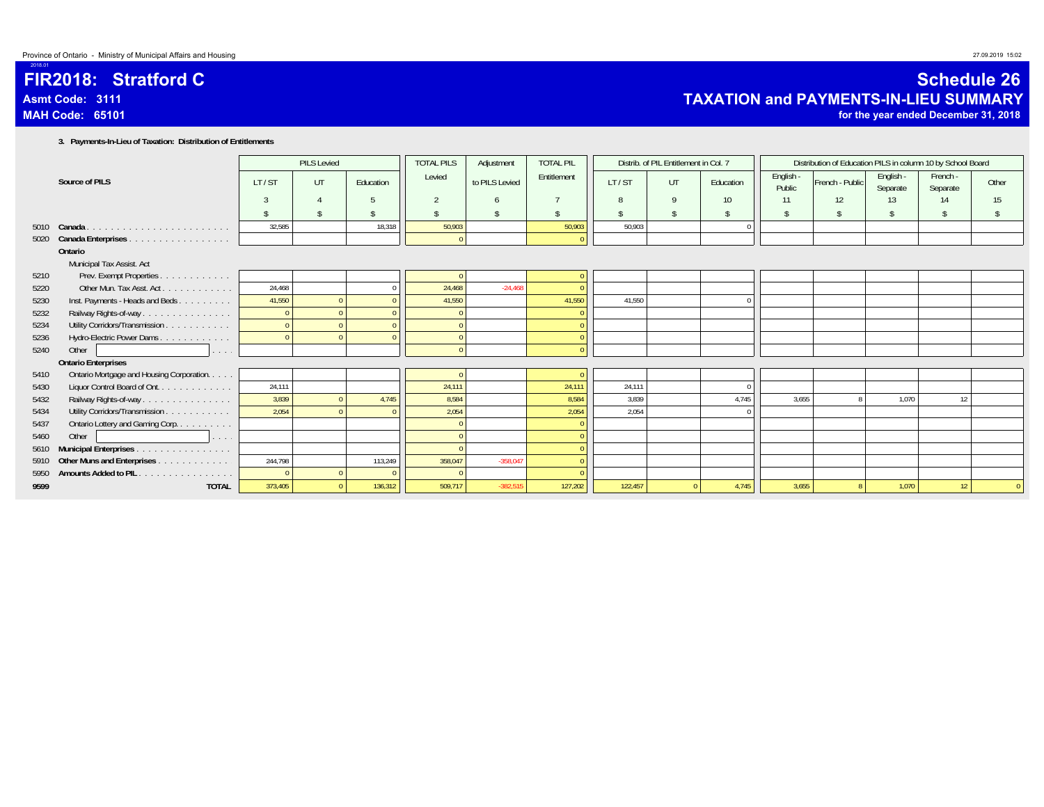### **FIR2018: Stratford CAsmt Code: 3111MAH Code: 65101**

 $-20$ 

### **Schedule 26 TAXATION and PAYMENTS-IN-LIEU SUMMARY**

**for the year ended December 31, 2018**

**3. Payments-In-Lieu of Taxation: Distribution of Entitlements**

|      |                                           |         | <b>PILS Levied</b> |           | <b>TOTAL PILS</b> | Adjustment     | <b>TOTAL PIL</b>   |         | Distrib. of PIL Entitlement in Col. 7 |                    |                     | Distribution of Education PILS in column 10 by School Board |                       |                      |       |
|------|-------------------------------------------|---------|--------------------|-----------|-------------------|----------------|--------------------|---------|---------------------------------------|--------------------|---------------------|-------------------------------------------------------------|-----------------------|----------------------|-------|
|      | Source of PILS                            | LT/ST   | UT                 | Education | Levied            | to PILS Levied | Entitlement        | LT/ST   | UT                                    | Education          | English -<br>Public | French - Public                                             | English -<br>Separate | French -<br>Separate | Other |
|      |                                           |         |                    |           | 2                 |                |                    | 8       | 9                                     | 10 <sup>°</sup>    | 11                  | 12                                                          | 13                    | 14                   | 15    |
|      |                                           |         |                    |           |                   | ¢,             | $\hat{\mathbf{r}}$ |         | $\mathbf{\hat{S}}$                    | $\hat{\mathbf{S}}$ |                     |                                                             |                       |                      |       |
|      | 5010 Canada                               | 32,585  |                    | 18.318    | 50.903            |                | 50,903             | 50.903  |                                       |                    |                     |                                                             |                       |                      |       |
| 5020 | Canada Enterprises                        |         |                    |           |                   |                |                    |         |                                       |                    |                     |                                                             |                       |                      |       |
|      | Ontario                                   |         |                    |           |                   |                |                    |         |                                       |                    |                     |                                                             |                       |                      |       |
|      | Municipal Tax Assist. Act                 |         |                    |           |                   |                |                    |         |                                       |                    |                     |                                                             |                       |                      |       |
| 5210 | Prev. Exempt Properties.<br>.             |         |                    |           |                   |                |                    |         |                                       |                    |                     |                                                             |                       |                      |       |
| 5220 | Other Mun. Tax Asst. Act.                 | 24.468  |                    |           | 24.468            | $-24,468$      |                    |         |                                       |                    |                     |                                                             |                       |                      |       |
| 5230 | Inst. Payments - Heads and Beds           | 41,550  |                    |           | 41,550            |                | 41,550             | 41,550  |                                       |                    |                     |                                                             |                       |                      |       |
| 5232 | Railway Rights-of-way                     |         |                    |           |                   |                |                    |         |                                       |                    |                     |                                                             |                       |                      |       |
| 5234 | Utility Corridors/Transmission            |         |                    |           |                   |                |                    |         |                                       |                    |                     |                                                             |                       |                      |       |
| 5236 | Hydro-Electric Power Dams                 |         |                    |           |                   |                |                    |         |                                       |                    |                     |                                                             |                       |                      |       |
| 5240 | Other<br>.                                |         |                    |           |                   |                |                    |         |                                       |                    |                     |                                                             |                       |                      |       |
|      | <b>Ontario Enterprises</b>                |         |                    |           |                   |                |                    |         |                                       |                    |                     |                                                             |                       |                      |       |
| 5410 | Ontario Mortgage and Housing Corporation. |         |                    |           |                   |                |                    |         |                                       |                    |                     |                                                             |                       |                      |       |
| 5430 | Liquor Control Board of Ont.              | 24,111  |                    |           | 24.111            |                | 24,111             | 24,111  |                                       |                    |                     |                                                             |                       |                      |       |
| 5432 | Railway Rights-of-way                     | 3,839   |                    | 4.745     | 8,584             |                | 8,584              | 3,839   |                                       | 4.745              | 3,655               |                                                             | 1,070                 | 12                   |       |
| 5434 | Utility Corridors/Transmission            | 2,054   |                    |           | 2,054             |                | 2,054              | 2,054   |                                       |                    |                     |                                                             |                       |                      |       |
| 5437 | Ontario Lottery and Gaming Corp           |         |                    |           |                   |                |                    |         |                                       |                    |                     |                                                             |                       |                      |       |
| 5460 | Other<br>and a state                      |         |                    |           |                   |                |                    |         |                                       |                    |                     |                                                             |                       |                      |       |
| 5610 | <b>Municipal Enterprises</b> .            |         |                    |           |                   |                |                    |         |                                       |                    |                     |                                                             |                       |                      |       |
| 5910 | Other Muns and Enterprises                | 244,798 |                    | 113,249   | 358,047           | $-358,047$     |                    |         |                                       |                    |                     |                                                             |                       |                      |       |
| 5950 | <b>Amounts Added to PIL</b><br>.          |         |                    |           |                   |                |                    |         |                                       |                    |                     |                                                             |                       |                      |       |
| 9599 | <b>TOTAL</b>                              | 373,405 |                    | 136,312   | 509,717           | $-382,515$     | 127,202            | 122,457 |                                       | 4,745              | 3,655               |                                                             | 1,070                 | 12                   |       |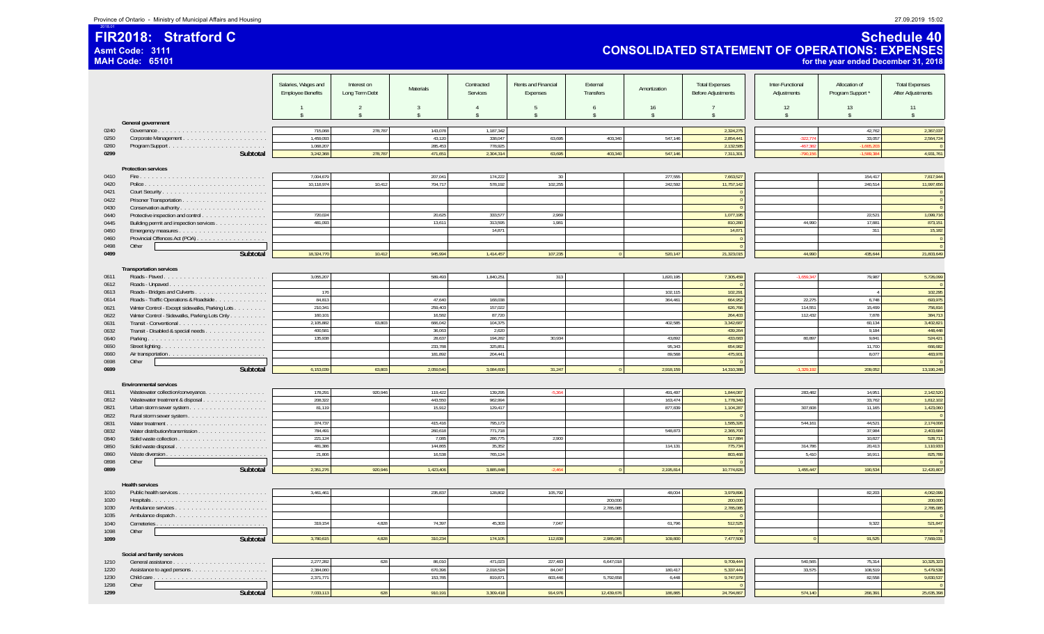**FIR2018: Stratford C**

2018.01

**Asmt Code: 3111**

**MAH Code: 65101**

### **Schedule 40 CONSOLIDATED STATEMENT OF OPERATIONS: EXPENSES for the year ended December 31, 2018**

|              |                                                                                                                                                                                  | Salaries, Wages and<br><b>Employee Benefits</b> | Interest on<br>Long Term Debt | <b>Materials</b>        | Contracted<br>Services               | Rents and Financial<br>Expenses | External<br>Transfers   | Amortization             | <b>Total Expenses</b><br><b>Before Adjustments</b> | Inter-Functional<br>Adjustments | Allocation of<br>Program Support* | <b>Total Expenses</b><br>After Adjustments |
|--------------|----------------------------------------------------------------------------------------------------------------------------------------------------------------------------------|-------------------------------------------------|-------------------------------|-------------------------|--------------------------------------|---------------------------------|-------------------------|--------------------------|----------------------------------------------------|---------------------------------|-----------------------------------|--------------------------------------------|
|              |                                                                                                                                                                                  |                                                 | 2<br>$\hat{S}$                | 3<br>$\hat{\mathbf{x}}$ | $\overline{4}$<br>$\hat{\mathbf{x}}$ | -5<br>$\hat{\mathbf{x}}$        | 6<br>$\mathbf{\hat{S}}$ | 16<br>$\mathbf{\hat{s}}$ | $\hat{\mathbf{x}}$                                 | 12<br>$\mathbf{\hat{S}}$        | 13<br>$\mathbf{\hat{s}}$          | 11<br>$\mathbf{\hat{S}}$                   |
|              | General government                                                                                                                                                               |                                                 |                               |                         |                                      |                                 |                         |                          |                                                    |                                 |                                   |                                            |
| 0240         |                                                                                                                                                                                  | 715,068                                         | 278,787                       | 143,078                 | 1,187,342                            |                                 |                         |                          | 2,324,275                                          |                                 | 42,762                            | 2,367,037                                  |
| 0250         |                                                                                                                                                                                  | 1,459,093                                       |                               | 43,120                  | 338,047                              | 63,695                          | 403,340                 | 547,146                  | 2,854,441                                          | $-322,77$                       | 33,057                            | 2,564,724                                  |
| 0260         |                                                                                                                                                                                  | 1,068,207                                       |                               | 285,453                 | 778,925                              |                                 |                         |                          | 2,132,585                                          | $-467.38$                       | 1.665.20                          |                                            |
| 0299         | Subtotal                                                                                                                                                                         | 3,242,368                                       | 278,787                       | 471,651                 | 2,304,314                            | 63,695                          | 403,340                 | 547,146                  | 7,311,301                                          | 790,15                          | 1.589.3                           | 4,931,761                                  |
|              | <b>Protection services</b>                                                                                                                                                       |                                                 |                               |                         |                                      |                                 |                         |                          |                                                    |                                 |                                   |                                            |
| 0410         |                                                                                                                                                                                  | 7.004.679                                       |                               | 207.041                 | 174,222                              | 30                              |                         | 277.555                  | 7.663.527                                          |                                 | 154.417                           | 7.817.944                                  |
| 0420         |                                                                                                                                                                                  | 10,118,974                                      | 10,412                        | 704,717                 | 578,192                              | 102,255                         |                         | 242,592                  | 11,757,142                                         |                                 | 240,514                           | 11,997,656                                 |
| 0421         |                                                                                                                                                                                  |                                                 |                               |                         |                                      |                                 |                         |                          |                                                    |                                 |                                   | $\mathbf 0$                                |
| 0422         |                                                                                                                                                                                  |                                                 |                               |                         |                                      |                                 |                         |                          |                                                    |                                 |                                   | $\overline{0}$                             |
| 0430         |                                                                                                                                                                                  |                                                 |                               |                         |                                      |                                 |                         |                          |                                                    |                                 |                                   |                                            |
| 0440         | Protective inspection and control                                                                                                                                                | 720,024<br>481.093                              |                               | 20,625                  | 333,577                              | 2,969                           |                         |                          | 1,077,195                                          |                                 | 22,521                            | 1,099,716                                  |
| 0445<br>0450 | Building permit and inspection services                                                                                                                                          |                                                 |                               | 13,611                  | 313,595<br>14,871                    | 1.981                           |                         |                          | 810,280<br>14,871                                  | 44.990                          | 17,881<br>311                     | 873,151<br>15,182                          |
| 0460         | Provincial Offences Act (POA)                                                                                                                                                    |                                                 |                               |                         |                                      |                                 |                         |                          |                                                    |                                 |                                   | $\overline{0}$                             |
| 0498         | Other                                                                                                                                                                            |                                                 |                               |                         |                                      |                                 |                         |                          |                                                    |                                 |                                   | $\sqrt{2}$                                 |
| 0499         | Subtotal                                                                                                                                                                         | 18,324,770                                      | 10,412                        | 945,994                 | 1,414,457                            | 107,235                         | $\Omega$                | 520,147                  | 21,323,015                                         | 44.990                          | 435,644                           | 21,803,649                                 |
|              |                                                                                                                                                                                  |                                                 |                               |                         |                                      |                                 |                         |                          |                                                    |                                 |                                   |                                            |
|              | <b>Transportation services</b>                                                                                                                                                   |                                                 |                               |                         |                                      |                                 |                         |                          |                                                    |                                 |                                   |                                            |
| 0611         | Roads - Paved.                                                                                                                                                                   | 3,055,207                                       |                               | 589,493                 | 1,840,251                            | 313                             |                         | 1,820,195                | 7,305,459                                          | $-1,659,34$                     | 79,987                            | 5,726,099                                  |
| 0612<br>0613 |                                                                                                                                                                                  | 176                                             |                               |                         |                                      |                                 |                         | 102,115                  | 102,291                                            |                                 | $\overline{4}$                    | 102,295                                    |
| 0614         | Roads - Traffic Operations & Roadside                                                                                                                                            | 84.813                                          |                               | 47.640                  | 168.038                              |                                 |                         | 364,461                  | 664.952                                            | 22,275                          | 6.748                             | 693,975                                    |
| 0621         | Winter Control - Except sidewalks, Parking Lots                                                                                                                                  | 210,341                                         |                               | 259,403                 | 157,022                              |                                 |                         |                          | 626,766                                            | 114,551                         | 15,499                            | 756,816                                    |
| 0622         | Winter Control - Sidewalks, Parking Lots Only                                                                                                                                    | 160,101                                         |                               | 16,582                  | 87,720                               |                                 |                         |                          | 264,403                                            | 112,432                         | 7,878                             | 384,713                                    |
| 0631         | $\textbf{Transit} \cdot \textbf{Conventional} \, \, \ldots \, \, \ldots \, \, \ldots \, \, \ldots \, \, \ldots \, \, \ldots \, \, \ldots \, \, \ldots \, \, \ldots \, \, \ldots$ | 2.105.882                                       | 63.803                        | 666.042                 | 104.375                              |                                 |                         | 402.585                  | 3,342,687                                          |                                 | 60.134                            | 3,402,821                                  |
| 0632         | Transit - Disabled & special needs                                                                                                                                               | 400,581                                         |                               | 36,063                  | 2,620                                |                                 |                         |                          | 439,264                                            |                                 | 9,184                             | 448,448                                    |
| 0640         |                                                                                                                                                                                  | 135,938                                         |                               | 28,637                  | 194,282                              | 30,934                          |                         | 43,892                   | 433,683                                            | 80,897                          | 9,841                             | 524,421                                    |
| 0650         |                                                                                                                                                                                  |                                                 |                               | 233,788                 | 325,851                              |                                 |                         | 95,343                   | 654,982                                            |                                 | 11,700                            | 666,682                                    |
| 0660         |                                                                                                                                                                                  |                                                 |                               | 181,892                 | 204,441                              |                                 |                         | 89.568                   | 475,901                                            |                                 | 8,077                             | 483,978                                    |
| 0698<br>0699 | Other<br>Subtotal                                                                                                                                                                | 6,153,039                                       | 63,803                        | 2,059,540               | 3,084,600                            | 31,247                          | $\overline{0}$          | 2,918,159                | 14,310,388                                         | $-1,329,19$                     | 209,052                           | 13,190,248                                 |
|              |                                                                                                                                                                                  |                                                 |                               |                         |                                      |                                 |                         |                          |                                                    |                                 |                                   |                                            |
|              | <b>Environmental services</b>                                                                                                                                                    |                                                 |                               |                         |                                      |                                 |                         |                          |                                                    |                                 |                                   |                                            |
| 0811         | Wastewater collection/conveyance.                                                                                                                                                | 178,291                                         | 920,946                       | 119,422                 | 139,295                              | $-5,364$                        |                         | 491,497                  | 1,844,087                                          | 283,482                         | 14,951                            | 2,142,520                                  |
| 0812         | Wastewater treatment & disposal                                                                                                                                                  | 208.322                                         |                               | 443.550                 | 962.994                              |                                 |                         | 163.474                  | 1.778.340                                          |                                 | 33.762                            | 1.812.102                                  |
| 0821         |                                                                                                                                                                                  | 81,119                                          |                               | 15,912                  | 129,417                              |                                 |                         | 877,839                  | 1,104,287                                          | 307,608                         | 11,165                            | 1,423,060                                  |
| 0822         |                                                                                                                                                                                  |                                                 |                               |                         |                                      |                                 |                         |                          |                                                    |                                 |                                   |                                            |
| 0831         |                                                                                                                                                                                  | 374.737<br>784,491                              |                               | 415.416<br>260,618      | 795,173<br>771,718                   |                                 |                         | 548,873                  | 1.585.326<br>2,365,700                             | 544.161                         | 44,521<br>37,984                  | 2,174,008<br>2,403,684                     |
| 0832<br>0840 | Water distribution/transmission                                                                                                                                                  | 221,124                                         |                               | 7,085                   | 286,775                              | 2,900                           |                         |                          | 517,884                                            |                                 | 10,827                            | 528,711                                    |
| 0850         |                                                                                                                                                                                  | 481,386                                         |                               | 144,865                 | 35,352                               |                                 |                         | 114,131                  | 775,734                                            | 314,786                         | 20,413                            | 1.110.933                                  |
| 0860         |                                                                                                                                                                                  | 21,806                                          |                               | 16,538                  | 765,124                              |                                 |                         |                          | 803,468                                            | 5.410                           | 16,911                            | 825,789                                    |
| 0898         | Other                                                                                                                                                                            |                                                 |                               |                         |                                      |                                 |                         |                          |                                                    |                                 |                                   |                                            |
| 0899         | Subtotal                                                                                                                                                                         | 2,351,276                                       | 920.946                       | 1,423,406               | 3,885,848                            | $-2.464$                        | $\overline{0}$          | 2,195,814                | 10,774,826                                         | 1.455.447                       | 190,534                           | 12,420,807                                 |
|              |                                                                                                                                                                                  |                                                 |                               |                         |                                      |                                 |                         |                          |                                                    |                                 |                                   |                                            |
|              | <b>Health services</b>                                                                                                                                                           | 3,461,461                                       |                               | 235,837                 | 128,802                              | 105,792                         |                         | 48,004                   | 3,979,896                                          |                                 | 82,203                            | 4,062,099                                  |
| 1010<br>1020 |                                                                                                                                                                                  |                                                 |                               |                         |                                      |                                 | 200.000                 |                          | 200,000                                            |                                 |                                   | 200,000                                    |
| 1030         | Ambulance services                                                                                                                                                               |                                                 |                               |                         |                                      |                                 | 2,785,085               |                          | 2,785,085                                          |                                 |                                   | 2,785,085                                  |
| 1035         |                                                                                                                                                                                  |                                                 |                               |                         |                                      |                                 |                         |                          |                                                    |                                 |                                   |                                            |
| 1040         | Cemeteries. <u>.</u>                                                                                                                                                             | 319,154                                         | 4,828                         | 74,397                  | 45,303                               | 7,047                           |                         | 61,796                   | 512,525                                            |                                 | 9,322                             | 521,847                                    |
| 1098         | Other                                                                                                                                                                            |                                                 |                               |                         |                                      |                                 |                         |                          |                                                    |                                 |                                   |                                            |
| 1099         | Subtotal                                                                                                                                                                         | 3,780,615                                       | 4,828                         | 310,234                 | 174,105                              | 112,839                         | 2,985,085               | 109,800                  | 7,477,506                                          | $\Omega$                        | 91,525                            | 7,569,031                                  |
|              |                                                                                                                                                                                  |                                                 |                               |                         |                                      |                                 |                         |                          |                                                    |                                 |                                   |                                            |
| 1210         | Social and family services                                                                                                                                                       | 2,277,282                                       | 628                           | 86,010                  | 471,023                              | 227,483                         | 6,647,018               |                          | 9,709,444                                          | 540,565                         | 75,314                            | 10,325,323                                 |
| 1220         |                                                                                                                                                                                  | 2,384,060                                       |                               | 670,396                 | 2,018,524                            | 84,047                          |                         | 180,417                  | 5,337,444                                          | 33,575                          | 108,519                           | 5,479,538                                  |
| 1230         |                                                                                                                                                                                  | 2,371,771                                       |                               | 153,785                 | 819,871                              | 603,446                         | 5,792,658               | 6,448                    | 9,747,979                                          |                                 | 82,558                            | 9,830,537                                  |
| 1298         | Other                                                                                                                                                                            |                                                 |                               |                         |                                      |                                 |                         |                          |                                                    |                                 |                                   | $\sqrt{ }$                                 |
| 1299         | Subtotal                                                                                                                                                                         | 7,033,113                                       | 628                           | 910,191                 | 3,309,418                            | 914,976                         | 12,439,676              | 186,865                  | 24,794,867                                         | 574,140                         | 266,391                           | 25,635,398                                 |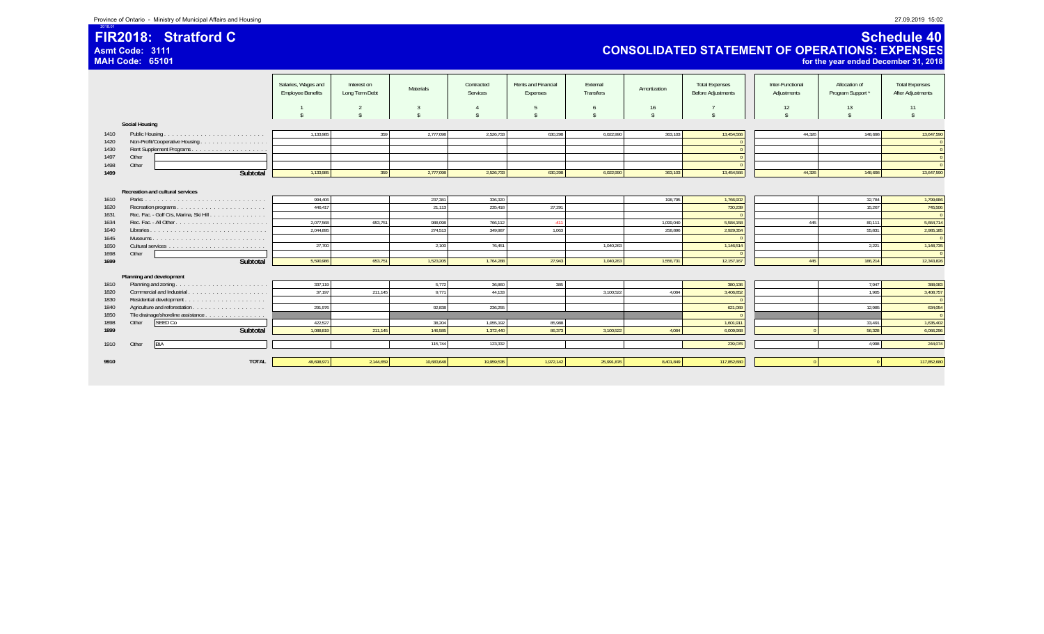### **FIR2018: Stratford CAsmt Code: 3111**

**MAH Code: 65101**

2018.01

### **Schedule 40 CONSOLIDATED STATEMENT OF OPERATIONS: EXPENSES for the year ended December 31, 2018**

|              |                                        | Salaries, Wages and<br><b>Employee Benefits</b> | Interest on<br>Long Term Debt | Materials  | Contracted<br>Services | Rents and Financial<br>Expenses | External<br>Transfers | Amortization | <b>Total Expenses</b><br><b>Before Adjustments</b> | Inter-Functional<br>Adjustments | Allocation of<br>Program Support* | <b>Total Expenses</b><br><b>After Adjustments</b> |
|--------------|----------------------------------------|-------------------------------------------------|-------------------------------|------------|------------------------|---------------------------------|-----------------------|--------------|----------------------------------------------------|---------------------------------|-----------------------------------|---------------------------------------------------|
|              |                                        |                                                 |                               |            |                        |                                 | -6                    | 16           |                                                    | 12                              | 13                                | 11                                                |
|              | <b>Social Housing</b>                  |                                                 |                               |            |                        |                                 |                       |              |                                                    |                                 |                                   |                                                   |
| 1410         |                                        | 1,133,985                                       | 359                           | 2,777,098  | 2,526,733              | 630,298                         | 6,022,990             | 363,103      | 13,454,566                                         | 44.326                          | 148.698                           | 13,647,590                                        |
| 1420         | Non-Profit/Cooperative Housing         |                                                 |                               |            |                        |                                 |                       |              |                                                    |                                 |                                   |                                                   |
| 1430         |                                        |                                                 |                               |            |                        |                                 |                       |              |                                                    |                                 |                                   |                                                   |
| 1497         | Other                                  |                                                 |                               |            |                        |                                 |                       |              |                                                    |                                 |                                   |                                                   |
| 1498         | Other                                  |                                                 |                               |            |                        |                                 |                       |              |                                                    |                                 |                                   |                                                   |
| 1499         | Subtotal                               | 1,133,985                                       | 359                           | 2,777,098  | 2,526,733              | 630,298                         | 6,022,990             | 363,103      | 13,454,566                                         | 44,326                          | 148,698                           | 13,647,590                                        |
|              | Recreation and cultural services       |                                                 |                               | 237,381    |                        |                                 |                       |              |                                                    |                                 |                                   |                                                   |
| 1610         |                                        | 994,406                                         |                               |            | 336,320                |                                 |                       | 198,795      | 1,766,902                                          |                                 | 32,784                            | 1,799,686                                         |
| 1620         |                                        | 446,417                                         |                               | 21,113     | 235,418                | 27,291                          |                       |              | 730,239                                            |                                 | 15,267                            | 745,506                                           |
| 1631<br>1634 | Rec. Fac. - Golf Crs, Marina, Ski Hill | 2,077,568                                       | 653,751                       | 988.098    | 766,112                | $-411$                          |                       | 1.099.040    | 5,584,158                                          | 445                             | 80,111                            | 5,664,714                                         |
| 1640         |                                        | 2,044,895                                       |                               | 274,513    | 349,987                | 1,063                           |                       | 258,896      | 2,929,354                                          |                                 | 55,831                            | 2,985,185                                         |
| 1645         |                                        |                                                 |                               |            |                        |                                 |                       |              |                                                    |                                 |                                   |                                                   |
| 1650         |                                        | 27,700                                          |                               | 2,100      | 76,451                 |                                 | 1,040,263             |              | 1,146,514                                          |                                 | 2,221                             | 1,148,735                                         |
| 1698         | Other                                  |                                                 |                               |            |                        |                                 |                       |              |                                                    |                                 |                                   |                                                   |
| 1699         | Subtotal                               | 5,590,986                                       | 653,751                       | 1,523,205  | 1,764,288              | 27,943                          | 1,040,263             | 1,556,731    | 12,157,167                                         | 445                             | 186,214                           | 12,343,826                                        |
|              |                                        |                                                 |                               |            |                        |                                 |                       |              |                                                    |                                 |                                   |                                                   |
|              | Planning and development               |                                                 |                               |            |                        |                                 |                       |              |                                                    |                                 |                                   |                                                   |
| 1810         |                                        | 337,119                                         |                               | 5,772      | 36,860                 | 385                             |                       |              | 380,136                                            |                                 | 7,947                             | 388,083                                           |
| 1820         |                                        | 37,197                                          | 211,145                       | 9.771      | 44,133                 |                                 | 3.100.522             | 4.084        | 3,406,852                                          |                                 | 1.905                             | 3,408,757                                         |
| 1830         |                                        |                                                 |                               |            |                        |                                 |                       |              |                                                    |                                 |                                   |                                                   |
| 1840         |                                        | 291,976                                         |                               | 92,838     | 236,255                |                                 |                       |              | 621,069                                            |                                 | 12,985                            | 634,054                                           |
| 1850         | Tile drainage/shoreline assistance     |                                                 |                               |            |                        |                                 |                       |              |                                                    |                                 |                                   |                                                   |
| 1898         | SEED Co<br>Other                       | 422.527                                         |                               | 38,204     | 1,055,192              | 85,988                          |                       |              | 1,601,911                                          |                                 | 33,491                            | 1,635,402                                         |
| 1899         | Subtotal                               | 1,088,819                                       | 211,145                       | 146,585    | 1,372,440              | 86,373                          | 3,100,522             | 4,084        | 6,009,968                                          |                                 | 56,328                            | 6,066,296                                         |
| 1910         | BIA<br>Other                           |                                                 |                               | 115,744    | 123.332                |                                 |                       |              | 239,076                                            |                                 | 4.998                             | 244,074                                           |
|              |                                        |                                                 |                               |            |                        |                                 |                       |              |                                                    |                                 |                                   |                                                   |
| 9910         | <b>TOTAL</b>                           | 48,698,971                                      | 2,144,659                     | 10,683,648 | 19,959,535             | 1,972,142                       | 25,991,876            | 8,401,849    | 117,852,680                                        |                                 |                                   | 117,852,680                                       |
|              |                                        |                                                 |                               |            |                        |                                 |                       |              |                                                    |                                 |                                   |                                                   |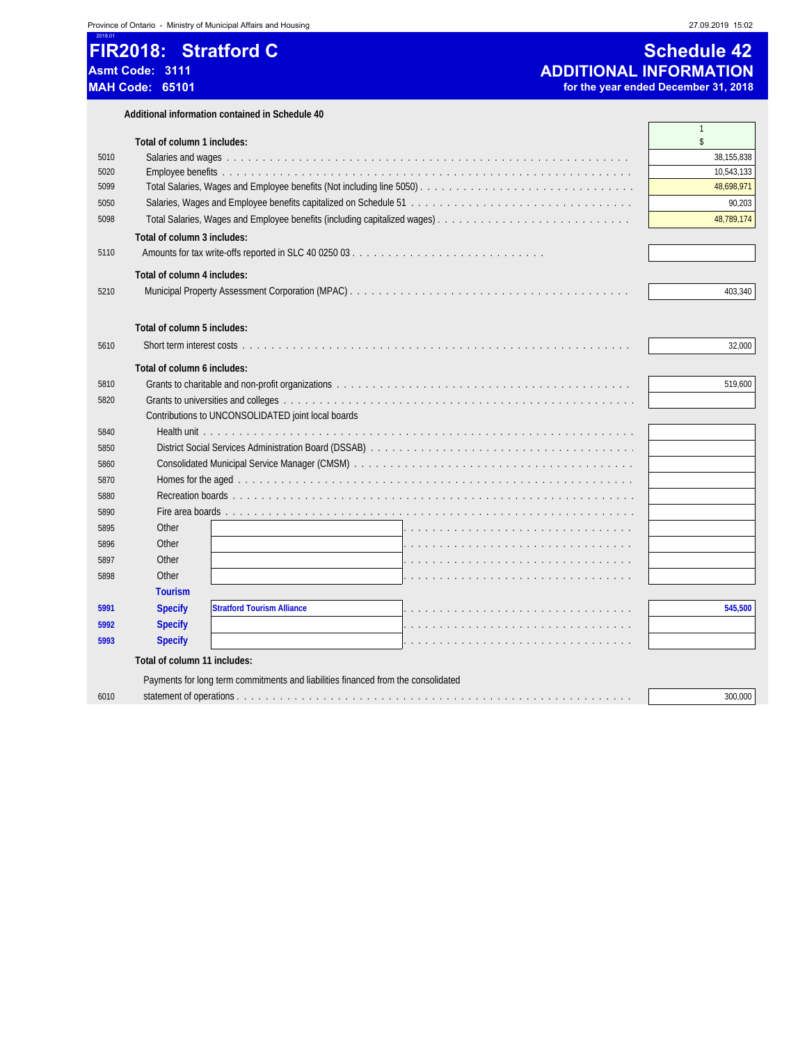# 2018.01 **FIR2018: Stratford C Schedule 42 Asmt Code: 3111 ADDITIONAL INFORMATION**

for the year ended December 31, 2018

|      | Additional information contained in Schedule 40                                   |                    |
|------|-----------------------------------------------------------------------------------|--------------------|
|      | Total of column 1 includes:                                                       | $\mathbf{1}$<br>\$ |
| 5010 |                                                                                   | 38,155,838         |
| 5020 |                                                                                   | 10,543,133         |
| 5099 |                                                                                   | 48,698,971         |
| 5050 |                                                                                   | 90,203             |
| 5098 |                                                                                   | 48,789,174         |
|      | Total of column 3 includes:                                                       |                    |
| 5110 |                                                                                   |                    |
|      | Total of column 4 includes:                                                       |                    |
| 5210 |                                                                                   | 403.340            |
|      | Total of column 5 includes:                                                       |                    |
| 5610 |                                                                                   | 32,000             |
|      | Total of column 6 includes:                                                       |                    |
| 5810 |                                                                                   | 519,600            |
| 5820 |                                                                                   |                    |
|      | Contributions to UNCONSOLIDATED joint local boards                                |                    |
| 5840 |                                                                                   |                    |
| 5850 |                                                                                   |                    |
| 5860 |                                                                                   |                    |
| 5870 |                                                                                   |                    |
| 5880 |                                                                                   |                    |
| 5890 |                                                                                   |                    |
| 5895 | Other                                                                             |                    |
| 5896 | Other                                                                             |                    |
| 5897 | Other                                                                             |                    |
| 5898 | Other                                                                             |                    |
|      | <b>Tourism</b>                                                                    |                    |
| 5991 | <b>Stratford Tourism Alliance</b><br><b>Specify</b>                               | 545,500            |
| 5992 | <b>Specify</b>                                                                    |                    |
| 5993 | <b>Specify</b>                                                                    |                    |
|      | Total of column 11 includes:                                                      |                    |
|      | Payments for long term commitments and liabilities financed from the consolidated |                    |
| 6010 |                                                                                   | 300,000            |
|      |                                                                                   |                    |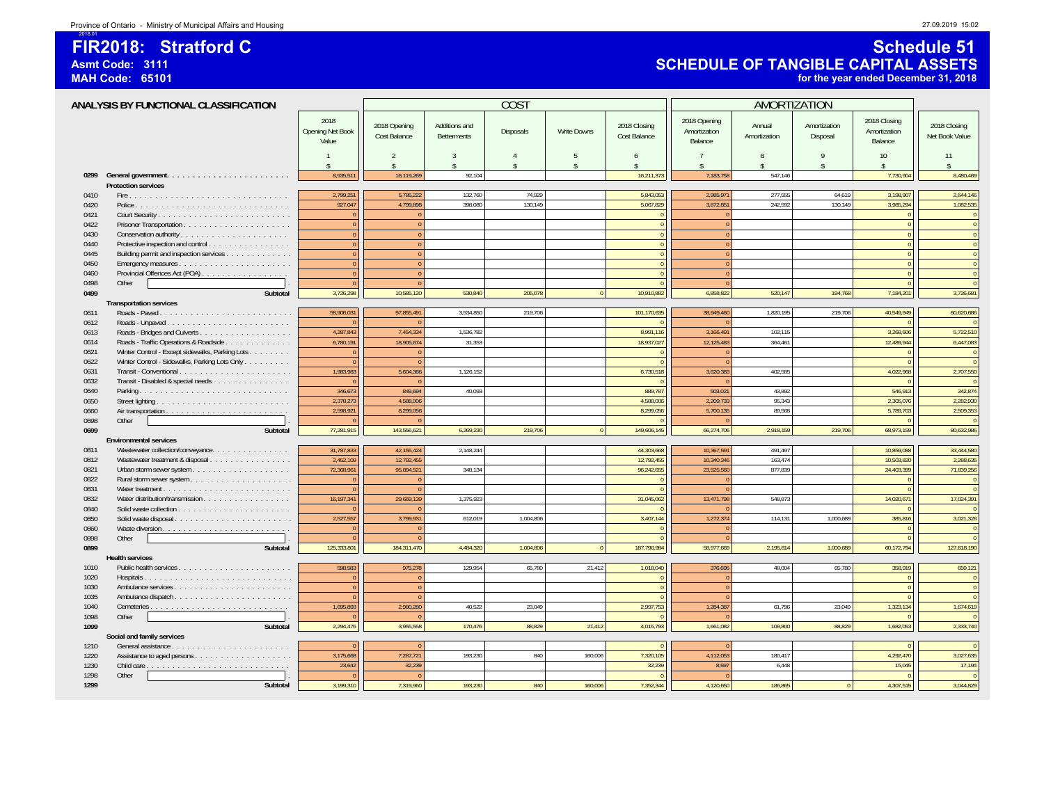### **FIR2018: Stratford CAsmt Code: 3111**

**MAH Code: 65101**

2018.01

### **Schedule 51 SCHEDULE OF TANGIBLE CAPITAL ASSETS for the year ended December 31, 2018**

|      | ANALYSIS BY FUNCTIONAL CLASSIFICATION           |                                      |                                     |                                     | COS <sub>1</sub>   |                                      |                              | AMORTIZATION                            |                         |                          |                                         |                                |
|------|-------------------------------------------------|--------------------------------------|-------------------------------------|-------------------------------------|--------------------|--------------------------------------|------------------------------|-----------------------------------------|-------------------------|--------------------------|-----------------------------------------|--------------------------------|
|      |                                                 | 2018<br>Opening Net Book<br>Value    | 2018 Opening<br>Cost Balance        | Additions and<br><b>Betterments</b> | Disposals          | <b>Write Downs</b>                   | 2018 Closing<br>Cost Balance | 2018 Opening<br>Amortization<br>Balance | Annual<br>Amortization  | Amortization<br>Disposal | 2018 Closing<br>Amortization<br>Balance | 2018 Closing<br>Net Book Value |
|      |                                                 | $\overline{1}$<br>$\hat{\mathbf{r}}$ | $\mathcal{P}$<br>$\hat{\mathbf{S}}$ | $\mathcal{R}$<br>$\hat{\mathbf{x}}$ | $\mathbf{\hat{S}}$ | $\overline{5}$<br>$\mathbf{\hat{s}}$ | 6<br>\$                      | 7                                       | 8<br>$\hat{\mathbf{r}}$ | 9<br>$\hat{S}$           | 10<br>$\hat{\mathbf{x}}$                | 11<br>$\hat{\mathbf{x}}$       |
|      |                                                 | 8,935,511                            | 16,119,269                          | 92,104                              |                    |                                      | 16,211,373                   | 7,183,758                               | 547,146                 |                          | 7,730,904                               | 8,480,469                      |
|      | <b>Protection services</b>                      |                                      |                                     |                                     |                    |                                      |                              |                                         |                         |                          |                                         |                                |
| 0410 |                                                 | 2,799,251                            | 5,785,222                           | 132,760                             | 74.929             |                                      | 5,843,053                    | 2,985,971                               | 277,555                 | 64,619                   | 3,198,907                               | 2,644,146                      |
| 0420 |                                                 | 927,047                              | 4.799.898                           | 398.080                             | 130.149            |                                      | 5,067,829                    | 3,872,851                               | 242.592                 | 130.149                  | 3,985,294                               | 1,082,535                      |
| 0421 |                                                 | $\overline{0}$                       |                                     |                                     |                    |                                      |                              | $\Omega$                                |                         |                          | $\sqrt{2}$                              | $\overline{0}$                 |
| 0422 |                                                 | $\overline{0}$                       | $\sqrt{ }$                          |                                     |                    |                                      |                              | $\Omega$                                |                         |                          | $\theta$                                | $\overline{0}$                 |
| 0430 |                                                 | $\overline{0}$                       | $\Omega$                            |                                     |                    |                                      | $\sqrt{2}$                   | $\Omega$                                |                         |                          | $\theta$                                | $\overline{0}$                 |
| 0440 | Protective inspection and control               | $\pmb{0}$                            | $\overline{0}$                      |                                     |                    |                                      | $\overline{0}$               | $\overline{0}$                          |                         |                          | $\overline{0}$                          | $\overline{0}$                 |
| 0445 | Building permit and inspection services         | $\overline{0}$                       |                                     |                                     |                    |                                      |                              | $\Omega$                                |                         |                          |                                         | $\overline{0}$                 |
| 0450 |                                                 | $\mathbf{0}$                         | $\Omega$                            |                                     |                    |                                      |                              | $\overline{0}$                          |                         |                          |                                         | $\overline{0}$                 |
| 0460 | Provincial Offences Act (POA)                   | $\mathbf{0}$                         | $\Omega$                            |                                     |                    |                                      |                              | $\Omega$                                |                         |                          |                                         | $\overline{0}$                 |
| 0498 | Other                                           | $\Omega$                             | $\Omega$                            |                                     |                    |                                      |                              | $\overline{0}$                          |                         |                          |                                         | $\Omega$                       |
| 0499 | Subtotal                                        | 3,726,298                            | 10,585,120                          | 530,840                             | 205,078            | $\Omega$                             | 10,910,882                   | 6,858,822                               | 520,147                 | 194,768                  | 7,184,201                               | 3,726,681                      |
|      | <b>Transportation services</b>                  |                                      |                                     |                                     |                    |                                      |                              |                                         |                         |                          |                                         |                                |
| 0611 |                                                 | 58,906,031                           | 97,855,491                          | 3,534,850                           | 219,706            |                                      | 101,170,635                  | 38,949,460                              | 1,820,195               | 219,706                  | 40,549,949                              | 60,620,686                     |
| 0612 |                                                 | $\theta$                             |                                     |                                     |                    |                                      |                              | $\Omega$                                |                         |                          |                                         | $\Omega$                       |
| 0613 |                                                 | 4,287,843                            | 7,454,334                           | 1,536,782                           |                    |                                      | 8,991,116                    | 3,166,491                               | 102,115                 |                          | 3,268,606                               | 5,722,510                      |
| 0614 | Roads - Traffic Operations & Roadside           | 6,780,191                            | 18,905,674                          | 31,353                              |                    |                                      | 18,937,027                   | 12,125,483                              | 364,461                 |                          | 12,489,944                              | 6,447,083                      |
| 0621 | Winter Control - Except sidewalks, Parking Lots | $\mathbf{0}$                         |                                     |                                     |                    |                                      |                              | $\Omega$                                |                         |                          |                                         | $\overline{0}$                 |
| 0622 | Winter Control - Sidewalks, Parking Lots Only   | $\theta$                             |                                     |                                     |                    |                                      |                              | $\Omega$                                |                         |                          |                                         | $\overline{0}$                 |
| 0631 |                                                 | 1,983,983                            | 5.604.366                           | 1.126.152                           |                    |                                      | 6,730,518                    | 3.620.383                               | 402.585                 |                          | 4.022.968                               | 2,707,550                      |
| 0632 | Transit - Disabled & special needs              | $\Omega$                             |                                     |                                     |                    |                                      |                              |                                         |                         |                          |                                         | $\Omega$                       |
| 0640 |                                                 | 346,673                              | 849,694                             | 40,093                              |                    |                                      | 889,787                      | 503,021                                 | 43,892                  |                          | 546,913                                 | 342,874                        |
| 0650 |                                                 | 2,378,273                            | 4.588.006                           |                                     |                    |                                      | 4.588.006                    | 2,209,733                               | 95,343                  |                          | 2,305,076                               | 2,282,930                      |
| 0660 |                                                 | 2,598,921                            | 8,299,056                           |                                     |                    |                                      | 8,299,056                    | 5,700,135                               | 89,568                  |                          | 5,789,703                               | 2,509,353                      |
| 0698 | Other                                           | $\theta$                             |                                     |                                     |                    |                                      |                              |                                         |                         |                          |                                         | $\overline{0}$                 |
| 0699 | Subtotal                                        | 77,281,915                           | 143,556,621                         | 6,269,230                           | 219,706            | $\overline{0}$                       | 149,606,145                  | 66,274,706                              | 2,918,159               | 219,706                  | 68,973,159                              | 80,632,986                     |
|      | <b>Environmental services</b>                   |                                      |                                     |                                     |                    |                                      |                              |                                         |                         |                          |                                         |                                |
| 0811 | Wastewater collection/conveyance.               | 31,787,833                           | 42,155,424                          | 2,148,244                           |                    |                                      | 44,303,668                   | 10,367,591                              | 491,497                 |                          | 10,859,088                              | 33,444,580                     |
| 0812 | Wastewater treatment & disposal                 | 2,452,109                            | 12,792,455                          |                                     |                    |                                      | 12,792,455                   | 10,340,346                              | 163,474                 |                          | 10,503,820                              | 2,288,635                      |
| 0821 |                                                 | 72,368,961                           | 95,894,521                          | 348,134                             |                    |                                      | 96,242,655                   | 23,525,560                              | 877,839                 |                          | 24,403,399                              | 71,839,256                     |
| 0822 |                                                 | $\theta$                             |                                     |                                     |                    |                                      |                              | $\Omega$                                |                         |                          |                                         | $\mathbf{0}$                   |
| 0831 |                                                 | $\Omega$                             |                                     |                                     |                    |                                      |                              | $\Omega$                                |                         |                          |                                         | $\overline{0}$                 |
| 0832 |                                                 | 16,197,341                           | 29,669,139                          | 1,375,923                           |                    |                                      | 31,045,062                   | 13,471,798                              | 548,873                 |                          | 14,020,671                              | 17,024,391                     |
| 0840 |                                                 |                                      |                                     |                                     |                    |                                      |                              |                                         |                         |                          |                                         | $\Omega$                       |
| 0850 | Solid waste disposal                            | 2,527,557                            | 3,799,931                           | 612,019                             | 1.004.806          |                                      | 3,407,144                    | 1,272,374                               | 114,131                 | 1.000.689                | 385,816                                 | 3,021,328                      |
| 0860 |                                                 | $\Omega$                             |                                     |                                     |                    |                                      |                              | $\overline{0}$                          |                         |                          | $\Omega$                                | $\overline{\mathbf{0}}$        |
| 0898 | Other                                           | $\epsilon$                           |                                     |                                     |                    |                                      |                              | $\sqrt{2}$                              |                         |                          |                                         |                                |
| 0899 | Subtotal                                        | 125,333,801                          | 184,311,470                         | 4,484,320                           | 1,004,806          |                                      | 187,790,984                  | 58,977,669                              | 2,195,814               | 1,000,689                | 60,172,794                              | 127,618,190                    |
|      | <b>Health services</b>                          |                                      |                                     |                                     |                    |                                      |                              |                                         |                         |                          |                                         |                                |
| 1010 |                                                 | 598,583                              | 975,278                             | 129,954                             | 65,780             | 21,412                               | 1,018,040                    | 376,695                                 | 48,004                  | 65,780                   | 358,919                                 | 659,121                        |
| 1020 |                                                 | $\sqrt{2}$                           |                                     |                                     |                    |                                      |                              | $\overline{0}$                          |                         |                          |                                         | $\overline{0}$                 |
| 1030 |                                                 | $\Omega$                             |                                     |                                     |                    |                                      |                              | $\Omega$                                |                         |                          | $\theta$                                | $\overline{0}$                 |
| 1035 |                                                 | $\Omega$                             |                                     |                                     |                    |                                      |                              | $\overline{0}$                          |                         |                          |                                         | $\Omega$                       |
| 1040 |                                                 | 1,695,893                            | 2,980,280                           | 40,522                              | 23,049             |                                      | 2,997,753                    | 1,284,387                               | 61,796                  | 23,049                   | 1,323,134                               | 1,674,619                      |
| 1098 | Other                                           |                                      |                                     |                                     |                    |                                      |                              | $\Omega$                                |                         |                          |                                         | $\Omega$                       |
| 1099 | Subtotal                                        | 2,294,476                            | 3,955,558                           | 170,476                             | 88,829             | 21,412                               | 4,015,793                    | 1,661,082                               | 109,800                 | 88.829                   | 1,682,053                               | 2,333,740                      |
|      | Social and family services                      |                                      |                                     |                                     |                    |                                      |                              |                                         |                         |                          |                                         |                                |
| 1210 |                                                 |                                      |                                     |                                     |                    |                                      |                              |                                         |                         |                          |                                         | $\Omega$                       |
| 1220 |                                                 | 3,175,668                            | 7,287,721                           | 193,230                             | 840                | 160,006                              | 7,320,105                    | 4,112,053                               | 180,417                 |                          | 4,292,470                               | 3,027,635                      |
| 1230 |                                                 | 23,642                               | 32,239                              |                                     |                    |                                      | 32,239                       | 8.597                                   | 6,448                   |                          | 15,045                                  | 17,194                         |
| 1298 | Other                                           | $\theta$                             |                                     |                                     |                    |                                      |                              | $\Omega$                                |                         |                          |                                         | $\overline{0}$                 |
| 1299 | Subtotal                                        | 3.199.310                            | 7.319.960                           | 193.230                             | 840                | 160.006                              | 7,352,344                    | 4,120,650                               | 186,865                 | $\overline{0}$           | 4,307,515                               | 3,044,829                      |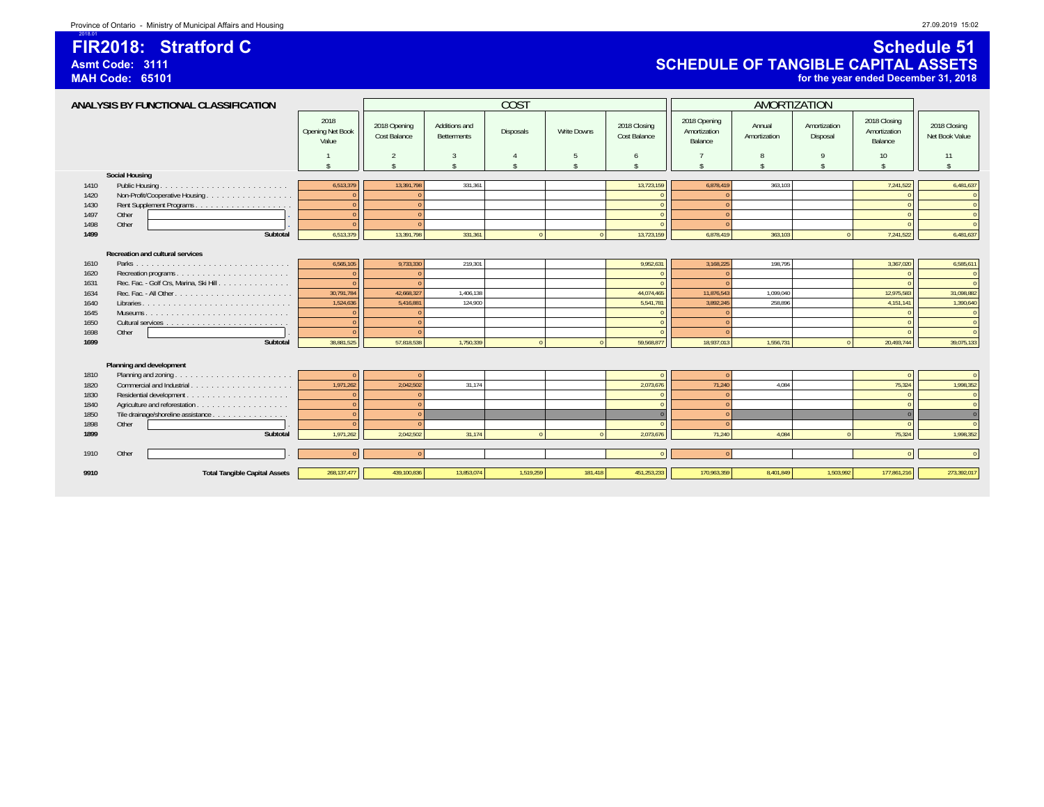### **FIR2018: Stratford CAsmt Code: 3111**

**MAH Code: 65101**

2018.01

### **Schedule 51 SCHEDULE OF TANGIBLE CAPITAL ASSETS for the year ended December 31, 2018**

| ANALYSIS BY FUNCTIONAL CLASSIFICATION |                                         |                                   |                              | <b>COST</b>                  |                  |                    | <b>AMORTIZATION</b>          |                                         |                        |                          |                                         |                                |
|---------------------------------------|-----------------------------------------|-----------------------------------|------------------------------|------------------------------|------------------|--------------------|------------------------------|-----------------------------------------|------------------------|--------------------------|-----------------------------------------|--------------------------------|
|                                       |                                         | 2018<br>Opening Net Book<br>Value | 2018 Opening<br>Cost Balance | Additions and<br>Betterments | <b>Disposals</b> | <b>Write Downs</b> | 2018 Closing<br>Cost Balance | 2018 Opening<br>Amortization<br>Balance | Annual<br>Amortization | Amortization<br>Disposal | 2018 Closing<br>Amortization<br>Balance | 2018 Closing<br>Net Book Value |
|                                       |                                         |                                   | 2                            | 3                            |                  | 5                  | 6                            |                                         | 8                      | 9                        | 10                                      | 11                             |
|                                       |                                         | $\triangle$                       | ¢                            | ¢                            |                  |                    |                              |                                         |                        | $\hat{\mathbf{x}}$       | $\hat{\zeta}$                           | $\hat{\mathbf{x}}$             |
|                                       | <b>Social Housing</b>                   |                                   |                              |                              |                  |                    |                              |                                         |                        |                          |                                         |                                |
| 1410                                  |                                         | 6,513,379                         | 13,391,798                   | 331,361                      |                  |                    | 13,723,159                   | 6,878,419                               | 363,103                |                          | 7,241,522                               | 6,481,637                      |
| 1420                                  |                                         | $\sqrt{ }$                        |                              |                              |                  |                    |                              |                                         |                        |                          |                                         | $\Omega$                       |
| 1430                                  |                                         | $\sqrt{ }$                        | $\Omega$                     |                              |                  |                    | $\Omega$                     | $\Omega$                                |                        |                          |                                         | $\Omega$                       |
| 1497                                  | Other                                   | $\sqrt{ }$                        | $\Omega$                     |                              |                  |                    |                              |                                         |                        |                          |                                         | $\overline{0}$                 |
| 1498                                  | Other                                   | $\sqrt{ }$                        | $\sqrt{ }$                   |                              |                  |                    |                              |                                         |                        |                          |                                         | $\Omega$                       |
| 1499                                  | Subtotal                                | 6,513,379                         | 13,391,798                   | 331,361                      | $\sqrt{2}$       | $\sqrt{2}$         | 13,723,159                   | 6,878,419                               | 363,103                |                          | 7,241,522                               | 6,481,637                      |
|                                       |                                         |                                   |                              |                              |                  |                    |                              |                                         |                        |                          |                                         |                                |
|                                       | Recreation and cultural services        |                                   |                              |                              |                  |                    |                              |                                         |                        |                          |                                         |                                |
| 1610                                  |                                         | 6,565,105<br>$\sqrt{ }$           | 9,733,330                    | 219,301                      |                  |                    | 9,952,631                    | 3,168,225                               | 198,795                |                          | 3,367,020                               | 6,585,611                      |
| 1620                                  | Rec. Fac. - Golf Crs, Marina, Ski Hill. | $\sqrt{ }$                        |                              |                              |                  |                    |                              |                                         |                        |                          |                                         | $\Omega$<br>$\Omega$           |
| 1631<br>1634                          |                                         | 30,791,784                        | 42,668,327                   | 1,406,138                    |                  |                    | 44,074,465                   | 11,876,543                              | 1,099,040              |                          | 12,975,583                              | 31,098,882                     |
| 1640                                  |                                         | 1,524,636                         | 5,416,881                    | 124.900                      |                  |                    | 5,541,781                    | 3,892,245                               | 258,896                |                          | 4,151,141                               | 1,390,640                      |
| 1645                                  |                                         | $\sqrt{ }$                        |                              |                              |                  |                    |                              |                                         |                        |                          |                                         | $\Omega$                       |
| 1650                                  |                                         |                                   |                              |                              |                  |                    |                              |                                         |                        |                          |                                         | $\Omega$                       |
| 1698                                  | Other                                   |                                   |                              |                              |                  |                    |                              |                                         |                        |                          |                                         | $\Omega$                       |
| 1699                                  | Subtotal                                | 38,881,525                        | 57,818,538                   | 1,750,339                    | $\Omega$         | $\Omega$           | 59,568,87                    | 18,937,013                              | 1,556,731              |                          | 20,493,744                              | 39,075,133                     |
|                                       |                                         |                                   |                              |                              |                  |                    |                              |                                         |                        |                          |                                         |                                |
|                                       | Planning and development                |                                   |                              |                              |                  |                    |                              |                                         |                        |                          |                                         |                                |
| 1810                                  |                                         |                                   |                              |                              |                  |                    |                              |                                         |                        |                          |                                         | $\Omega$                       |
| 1820                                  | Commercial and Industrial.              | 1,971,262                         | 2.042.502                    | 31.174                       |                  |                    | 2,073,676                    | 71,240                                  | 4,084                  |                          | 75,324                                  | 1,998,352                      |
| 1830                                  |                                         | $\sqrt{ }$                        |                              |                              |                  |                    |                              |                                         |                        |                          |                                         | $\Omega$                       |
| 1840                                  |                                         | $\sqrt{ }$                        | $\Omega$                     |                              |                  |                    |                              | $\Omega$                                |                        |                          |                                         | $\Omega$                       |
| 1850                                  | Tile drainage/shoreline assistance      | $\sqrt{ }$                        |                              |                              |                  |                    |                              |                                         |                        |                          |                                         | $\Omega$                       |
| 1898                                  | Other                                   |                                   |                              |                              |                  |                    |                              | $\Omega$                                |                        |                          |                                         | $\Omega$                       |
| 1899                                  | Subtotal                                | 1.971.262                         | 2.042.502                    | 31.174                       |                  |                    | 2.073.67                     | 71.240                                  | 4.084                  |                          | 75.324                                  | 1,998,352                      |
|                                       |                                         |                                   |                              |                              |                  |                    |                              |                                         |                        |                          |                                         |                                |
| 1910                                  | Other                                   |                                   |                              |                              |                  |                    |                              |                                         |                        |                          |                                         | $\Omega$                       |
|                                       |                                         |                                   |                              |                              |                  |                    |                              |                                         |                        |                          |                                         |                                |
| 9910                                  | <b>Total Tangible Capital Assets</b>    | 268, 137, 477                     | 439,100,836                  | 13,853,074                   | 1,519,259        | 181.418            | 451,253,233                  | 170,963,359                             | 8,401,849              | 1,503,992                | 177,861,216                             | 273,392,017                    |
|                                       |                                         |                                   |                              |                              |                  |                    |                              |                                         |                        |                          |                                         |                                |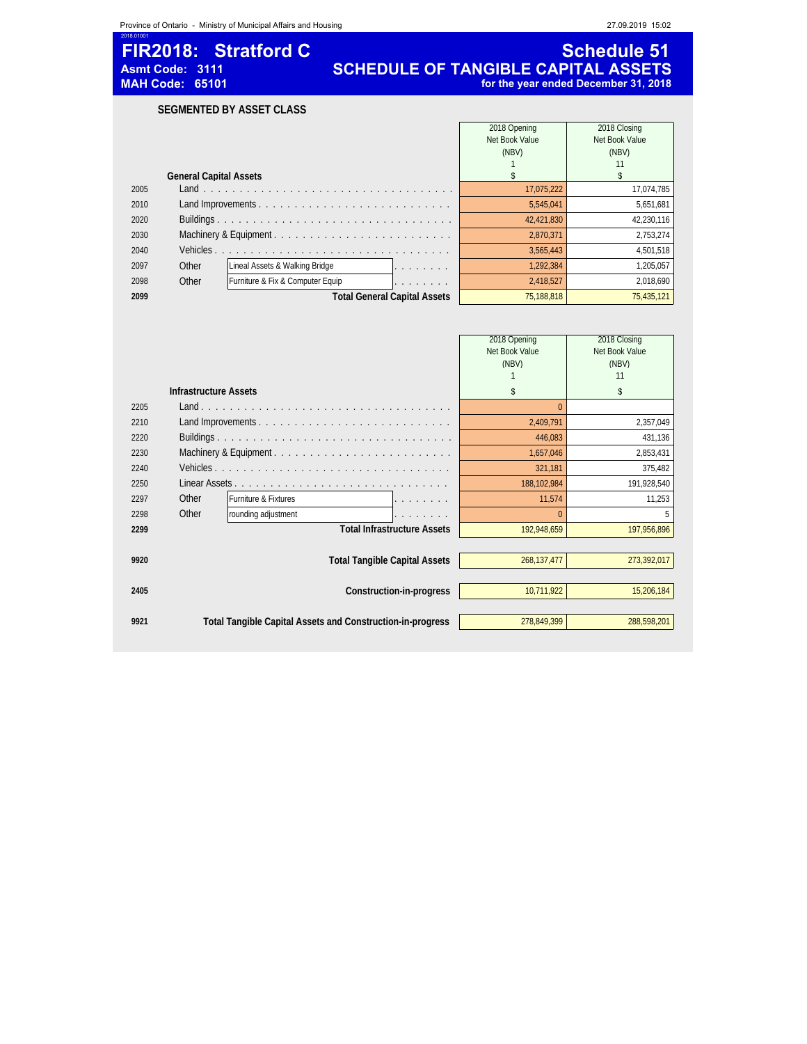2018.01001

### **FIR2018: Stratford C**<br>Asmt Code: 3111 **SCHEDULE OF TANGIBLE CAPITAL ASSETS**<br>MAH Code: 65101 **SCHEDULE OF TANGIBLE CAPITAL ASSETS**<br>for the year ended December 31, 2018 **Asmt Code: 3111 SCHEDULE OF TANGIBLE CAPITAL ASSETS MAH Code: 65101 for the year ended December 31, 2018**

**SEGMENTED BY ASSET CLASS**

|      |                               |                                                        | 2018 Opening   | 2018 Closing   |
|------|-------------------------------|--------------------------------------------------------|----------------|----------------|
|      |                               |                                                        | Net Book Value | Net Book Value |
|      |                               |                                                        | (NBV)          | (NBV)          |
|      |                               |                                                        |                |                |
|      | <b>General Capital Assets</b> |                                                        |                |                |
| 2005 |                               |                                                        | 17,075,222     | 17,074,785     |
| 2010 |                               |                                                        | 5,545,041      | 5,651,681      |
| 2020 |                               |                                                        | 42,421,830     | 42,230,116     |
| 2030 |                               | Machinery & Equipment                                  | 2.870.371      | 2,753,274      |
| 2040 | Vehicles.                     |                                                        | 3.565.443      | 4.501.518      |
| 2097 | Other                         | Lineal Assets & Walking Bridge<br>and a series and     | 1.292.384      | 1.205.057      |
| 2098 | Other                         | Furniture & Fix & Computer Equip<br>and a series and a | 2.418.527      | 2,018,690      |
| 2099 |                               | <b>Total General Capital Assets</b>                    | 75.188.818     | 75,435,121     |

|      |                              |                                                            | 2018 Opening<br>Net Book Value<br>(NBV) | 2018 Closing<br>Net Book Value<br>(NBV)<br>11 |
|------|------------------------------|------------------------------------------------------------|-----------------------------------------|-----------------------------------------------|
|      | <b>Infrastructure Assets</b> |                                                            | \$                                      | \$                                            |
| 2205 |                              |                                                            |                                         | $\Omega$                                      |
| 2210 |                              |                                                            | 2,409,791                               | 2,357,049                                     |
| 2220 |                              |                                                            | 446,083                                 | 431,136                                       |
| 2230 |                              | Machinery & Equipment                                      | 1,657,046                               | 2,853,431                                     |
| 2240 |                              |                                                            | 321,181                                 | 375,482                                       |
| 2250 |                              |                                                            | 188,102,984                             | 191,928,540                                   |
| 2297 | Other                        | Furniture & Fixtures                                       | 11,574                                  | 11,253                                        |
| 2298 | Other                        | rounding adjustment                                        |                                         |                                               |
| 2299 |                              | <b>Total Infrastructure Assets</b>                         | 192,948,659                             | 197,956,896                                   |
|      |                              |                                                            |                                         |                                               |
| 9920 |                              | <b>Total Tangible Capital Assets</b>                       | 268,137,477                             | 273,392,017                                   |
|      |                              |                                                            |                                         |                                               |
| 2405 |                              | Construction-in-progress                                   | 10,711,922                              | 15,206,184                                    |
|      |                              |                                                            |                                         |                                               |
| 9921 |                              | Total Tangible Capital Assets and Construction-in-progress | 278.849.399                             | 288,598,201                                   |
|      |                              |                                                            |                                         |                                               |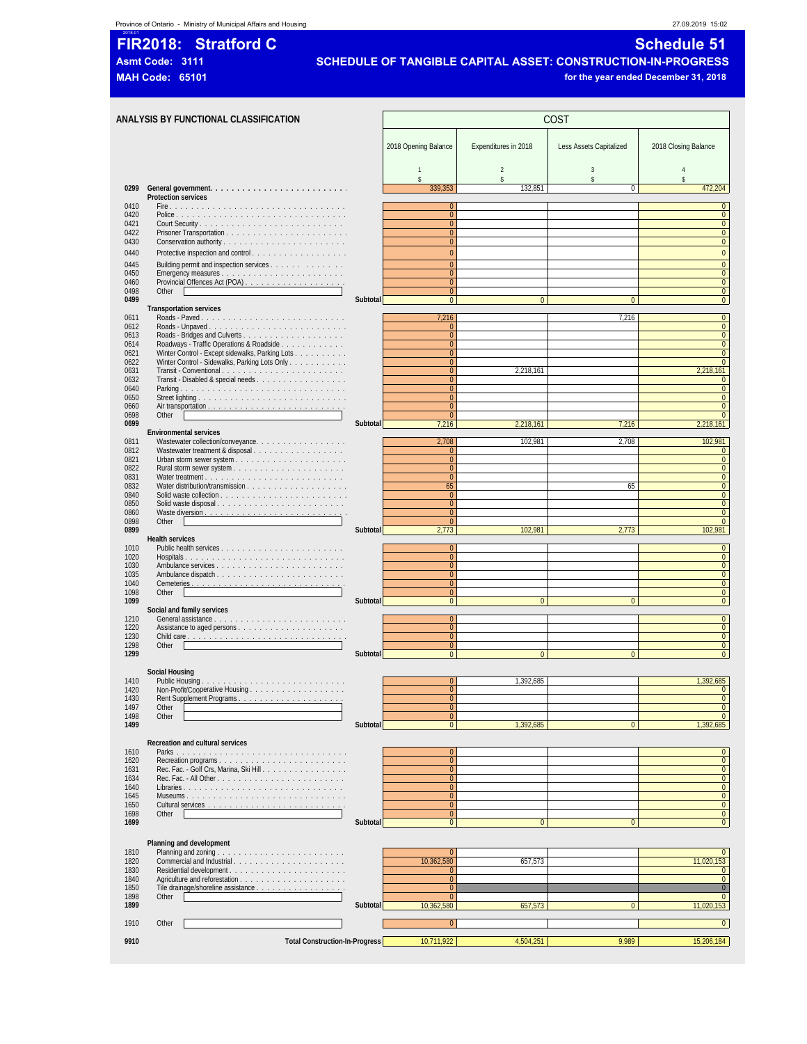### **t** Province of Ontario - Ministry of Municipal Affairs and Housing 27.09.2019 15:02

# 2018.01 **FIR2018: Stratford C Schedule 51**

**Asmt Code: 3111 SCHEDULE OF TANGIBLE CAPITAL ASSET: CONSTRUCTION-IN-PROGRESS**

**MAH Code: 65101 for the year ended December 31, 2018**

|              | ANALYSIS BY FUNCTIONAL CLASSIFICATION                                                            | COST     |                                  |                                                 |                |                                  |
|--------------|--------------------------------------------------------------------------------------------------|----------|----------------------------------|-------------------------------------------------|----------------|----------------------------------|
|              |                                                                                                  |          | 2018 Opening Balance             | Expenditures in 2018<br>Less Assets Capitalized |                |                                  |
|              |                                                                                                  |          | $\mathbf{1}$                     | $\overline{2}$                                  | 3              | $\overline{4}$                   |
| 0299         |                                                                                                  |          | \$<br>339.353                    | \$<br>132,851                                   | \$<br>$\Omega$ | \$<br>472.204                    |
| 0410         | Protection services                                                                              |          | $\mathbf{0}$                     |                                                 |                | $\mathbf{0}$                     |
| 0420<br>0421 |                                                                                                  |          | $\overline{0}$<br>$\overline{0}$ |                                                 |                | $\overline{0}$<br>$\mathbf{0}$   |
| 0422<br>0430 |                                                                                                  |          | $\mathbf{0}$<br>$\overline{0}$   |                                                 |                | $\pmb{0}$<br>$\overline{0}$      |
| 0440         |                                                                                                  |          | $\mathbf{0}$                     |                                                 |                | $\overline{0}$                   |
| 0445         | Building permit and inspection services                                                          |          | $\overline{0}$                   |                                                 |                | $\overline{0}$                   |
| 0450<br>0460 |                                                                                                  |          | $\overline{0}$<br>$\overline{0}$ |                                                 |                | $\overline{0}$<br>$\overline{0}$ |
| 0498<br>0499 | Other                                                                                            | Subtotal | $\overline{0}$<br>$\mathbf{0}$   | $\overline{0}$                                  | $\pmb{0}$      | $\mathbf 0$<br>$\mathbf{0}$      |
| 0611         | <b>Transportation services</b>                                                                   |          | 7,216                            |                                                 | 7,216          | $\overline{0}$                   |
| 0612         | Roads - Unpaved                                                                                  |          | $\mathbf{0}$                     |                                                 |                | $\overline{0}$                   |
| 0613<br>0614 | Roadways - Traffic Operations & Roadside                                                         |          | $\mathbf{0}$<br>$\overline{0}$   |                                                 |                | $\mathbf 0$<br>$\overline{0}$    |
| 0621<br>0622 | Winter Control - Except sidewalks, Parking Lots<br>Winter Control - Sidewalks, Parking Lots Only |          | $\mathbf{0}$<br>$\overline{0}$   |                                                 |                | $\overline{0}$<br>$\overline{0}$ |
| 0631<br>0632 |                                                                                                  |          | $\overline{0}$<br>$\overline{0}$ | 2,218,161                                       |                | 2,218,161<br>$\mathbf{0}$        |
| 0640         |                                                                                                  |          | $\overline{0}$                   |                                                 |                | $\overline{0}$                   |
| 0650<br>0660 |                                                                                                  |          | $\overline{0}$<br>$\mathbf{0}$   |                                                 |                | $\overline{0}$<br>$\overline{0}$ |
| 0698<br>0699 | Other                                                                                            | Subtotal | $\overline{0}$<br>7,216          | 2,218,161                                       | 7,216          | $\overline{0}$<br>2,218,161      |
| 0811         | <b>Environmental services</b><br>Wastewater collection/conveyance.                               |          | 2,708                            | 102,981                                         | 2,708          | 102,981                          |
| 0812<br>0821 | Wastewater treatment & disposal                                                                  |          | $\overline{0}$<br>$\overline{0}$ |                                                 |                | $\mathbf{0}$<br>$\overline{0}$   |
| 0822         |                                                                                                  |          | $\overline{0}$                   |                                                 |                | $\overline{0}$                   |
| 0831<br>0832 |                                                                                                  |          | $\overline{0}$<br>65             |                                                 | 65             | $\mathbf 0$<br>$\overline{0}$    |
| 0840<br>0850 |                                                                                                  |          | $\overline{0}$<br>$\overline{0}$ |                                                 |                | $\overline{0}$<br>$\overline{0}$ |
| 0860<br>0898 | Other                                                                                            |          | $\overline{0}$<br>$\mathbf{0}$   |                                                 |                | $\overline{0}$<br>$\mathbf 0$    |
| 0899         |                                                                                                  | Subtotal | 2,773                            | 102,981                                         | 2,773          | 102,981                          |
| 1010         | <b>Health services</b>                                                                           |          | $\overline{0}$                   |                                                 |                | $\overline{0}$                   |
| 1020<br>1030 | Hospitals                                                                                        |          | $\mathbf{0}$<br>$\overline{0}$   |                                                 |                | $\mathbf 0$<br>$\overline{0}$    |
| 1035<br>1040 |                                                                                                  |          | $\mathbf{0}$<br>$\overline{0}$   |                                                 |                | $\overline{0}$<br>$\overline{0}$ |
| 1098<br>1099 | Other                                                                                            |          | $\mathbf{0}$                     |                                                 |                | $\overline{0}$<br>$\overline{0}$ |
|              | Social and family services                                                                       | Subtotal | $\mathbf{0}$                     | $\overline{0}$                                  | $\overline{0}$ |                                  |
| 1210<br>1220 |                                                                                                  |          | $\overline{0}$<br>$\overline{0}$ |                                                 |                | $\overline{0}$<br>$\overline{0}$ |
| 1230<br>1298 | Other                                                                                            |          | $\mathbf{0}$<br>$\mathbf{0}$     |                                                 |                | $\overline{0}$<br>$\mathbf{0}$   |
| 1299         |                                                                                                  | Subtotal | $\mathbf{0}$                     | $\mathbf{0}$                                    | $\overline{0}$ | $\overline{0}$                   |
|              | Social Housing                                                                                   |          |                                  |                                                 |                |                                  |
| 1410<br>1420 | Non-Profit/Cooperative Housing                                                                   |          | $\mathbf{0}$<br>$\Omega$         | 1,392,685                                       |                | 1,392,685                        |
| 1430<br>1497 | Rent Supplement Programs<br>Other                                                                |          | $\mathbf{0}$<br>$\pmb{0}$        |                                                 |                | $\overline{0}$<br>$\overline{0}$ |
| 1498<br>1499 | Other                                                                                            | Subtotal | $\mathbf{0}$<br>$\overline{0}$   | 1.392.685                                       | $\overline{0}$ | $\overline{0}$<br>1,392,685      |
|              | Recreation and cultural services                                                                 |          |                                  |                                                 |                |                                  |
| 1610         |                                                                                                  |          | $\overline{0}$                   |                                                 |                | $\overline{0}$                   |
| 1620<br>1631 | Rec. Fac. - Golf Crs, Marina, Ski Hill                                                           |          | $\mathbf{0}$<br>$\mathbf{0}$     |                                                 |                | $\mathbf{0}$<br>$\mathbf{0}$     |
| 1634<br>1640 | Libraries                                                                                        |          | $\mathbf{0}$<br>$\overline{0}$   |                                                 |                | $\overline{0}$<br>$\overline{0}$ |
| 1645<br>1650 |                                                                                                  |          | $\mathbf{0}$<br>$\overline{0}$   |                                                 |                | $\overline{0}$<br>$\overline{0}$ |
| 1698         | Other                                                                                            |          | $\mathbf{0}$                     |                                                 |                | $\mathbf{0}$<br>$\overline{0}$   |
| 1699         |                                                                                                  | Subtotal | $\overline{0}$                   | $\mathbf{0}$                                    | $\overline{0}$ |                                  |
| 1810         | Planning and development                                                                         |          | $\overline{0}$                   |                                                 |                | $\mathbf{0}$                     |
| 1820         | Commercial and Industrial                                                                        |          | 10,362,580                       | 657,573                                         |                | 11,020,153                       |
| 1830<br>1840 |                                                                                                  |          | $\mathbf{0}$<br>$\mathbf{0}$     |                                                 |                | $\mathbf{0}$<br>$\overline{0}$   |
| 1850<br>1898 | Tile drainage/shoreline assistance<br>Other                                                      |          | $\overline{0}$<br>$\mathbf{0}$   |                                                 |                | $\overline{0}$<br>$\overline{0}$ |
| 1899         |                                                                                                  | Subtotal | 10,362,580                       | 657,573                                         | $\Omega$       | 11,020,153                       |
| 1910         | Other                                                                                            |          | $\mathbf{0}$                     |                                                 |                | $\overline{0}$                   |
| 9910         | <b>Total Construction-In-Progress</b>                                                            |          | 10,711,922                       | 4,504,251                                       | 9,989          | 15,206,184                       |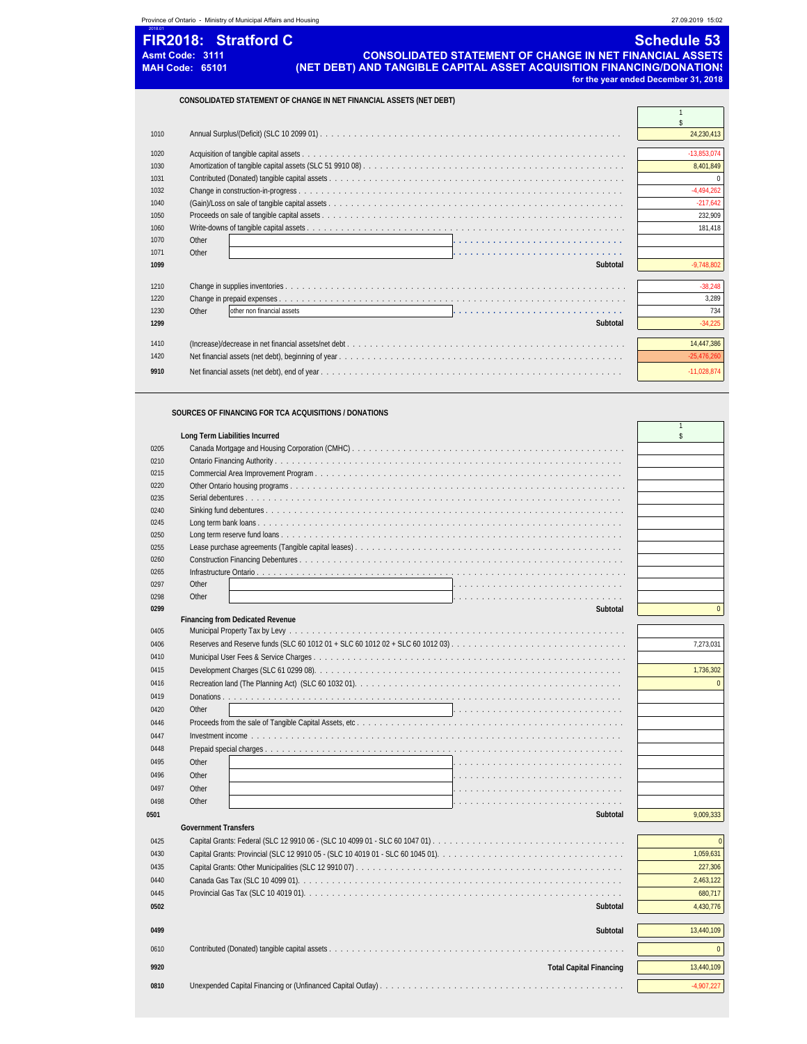|      | Province of Ontario - Ministry of Municipal Affairs and Housing                                                                                                                                                      | 27.09.2019 15:02                                           |
|------|----------------------------------------------------------------------------------------------------------------------------------------------------------------------------------------------------------------------|------------------------------------------------------------|
|      | <b>FIR2018: Stratford C</b><br><b>CONSOLIDATED STATEMENT OF CHANGE IN NET FINANCIAL ASSETS</b><br>Asmt Code: 3111<br>(NET DEBT) AND TANGIBLE CAPITAL ASSET ACQUISITION FINANCING/DONATION:<br><b>MAH Code: 65101</b> | <b>Schedule 53</b><br>for the year ended December 31, 2018 |
|      | CONSOLIDATED STATEMENT OF CHANGE IN NET FINANCIAL ASSETS (NET DEBT)                                                                                                                                                  |                                                            |
| 1010 |                                                                                                                                                                                                                      | \$<br>24,230,413                                           |
| 1020 |                                                                                                                                                                                                                      | $-13.853.074$                                              |
| 1030 |                                                                                                                                                                                                                      | 8.401.849                                                  |
| 1031 |                                                                                                                                                                                                                      |                                                            |
| 1032 |                                                                                                                                                                                                                      | $-4.494.262$                                               |
| 1040 |                                                                                                                                                                                                                      | $-217.642$                                                 |
| 1050 |                                                                                                                                                                                                                      | 232.909                                                    |
| 1060 |                                                                                                                                                                                                                      | 181.418                                                    |
| 1070 | Other                                                                                                                                                                                                                |                                                            |
| 1071 | Other                                                                                                                                                                                                                |                                                            |
| 1099 | Subtotal                                                                                                                                                                                                             | $-9,748,802$                                               |
| 1210 |                                                                                                                                                                                                                      | $-38.248$                                                  |
| 1220 |                                                                                                                                                                                                                      | 3,289                                                      |
| 1230 | Other<br>other non financial assets                                                                                                                                                                                  | 734                                                        |
| 1299 | Subtotal                                                                                                                                                                                                             | $-34,225$                                                  |
| 1410 |                                                                                                                                                                                                                      | 14.447.386                                                 |
| 1420 |                                                                                                                                                                                                                      | $-25,476,260$                                              |
| 9910 |                                                                                                                                                                                                                      | $-11,028,874$                                              |

 $\overline{1}$ 

### **SOURCES OF FINANCING FOR TCA ACQUISITIONS / DONATIONS**

|      | Long Term Liabilities Incurred          | \$           |
|------|-----------------------------------------|--------------|
| 0205 |                                         |              |
| 0210 |                                         |              |
| 0215 |                                         |              |
| 0220 |                                         |              |
| 0235 |                                         |              |
| 0240 |                                         |              |
| 0245 |                                         |              |
| 0250 |                                         |              |
| 0255 |                                         |              |
| 0260 |                                         |              |
| 0265 |                                         |              |
| 0297 | Other                                   |              |
| 0298 | Other                                   |              |
| 0299 | Subtotal                                | $\Omega$     |
| 0405 | <b>Financing from Dedicated Revenue</b> |              |
|      |                                         |              |
| 0406 |                                         | 7,273,031    |
| 0410 |                                         |              |
| 0415 |                                         | 1,736,302    |
| 0416 |                                         | $\Omega$     |
| 0419 |                                         |              |
| 0420 | Other                                   |              |
| 0446 |                                         |              |
| 0447 |                                         |              |
| 0448 |                                         |              |
| 0495 | Other<br>.                              |              |
| 0496 | Other                                   |              |
| 0497 | Other                                   |              |
| 0498 | Other                                   |              |
| 0501 | Subtotal                                | 9,009,333    |
|      | <b>Government Transfers</b>             |              |
| 0425 |                                         | $\Omega$     |
| 0430 |                                         | 1,059,631    |
|      |                                         |              |
| 0435 |                                         | 227,306      |
| 0440 |                                         | 2,463,122    |
| 0445 |                                         | 680,717      |
| 0502 | Subtotal                                | 4,430,776    |
| 0499 | Subtotal                                | 13,440,109   |
| 0610 |                                         | $\Omega$     |
| 9920 | <b>Total Capital Financing</b>          | 13.440.109   |
| 0810 |                                         | $-4,907,227$ |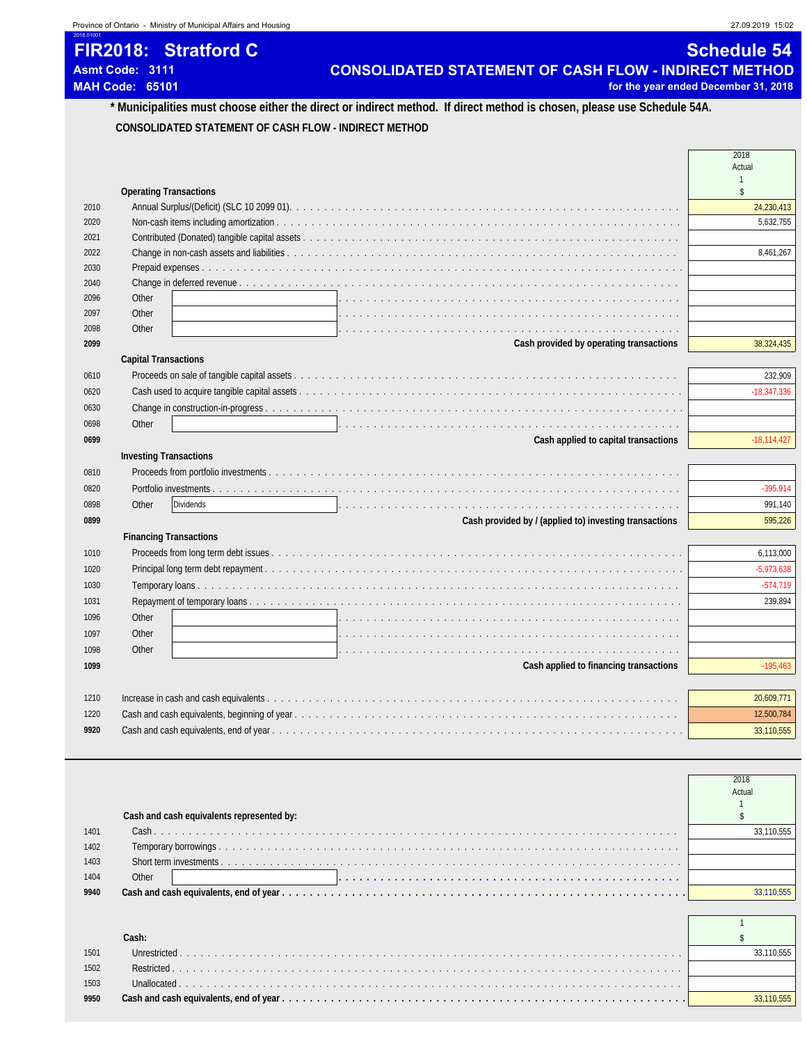# **FIR2018: Stratford C** Sample 34

2018.01001

Asmt Code: 3111 **CONSOLIDATED STATEMENT OF CASH FLOW - INDIRECT METHOD**<br>MAH Code: 65101 **MAH Code: 65101** for the year ended December 31, 2018

### **\* Municipalities must choose either the direct or indirect method. If direct method is chosen, please use Schedule 54A. CONSOLIDATED STATEMENT OF CASH FLOW - INDIRECT METHOD**

|      |                                                                                                                        | Actual        |
|------|------------------------------------------------------------------------------------------------------------------------|---------------|
|      | <b>Operating Transactions</b>                                                                                          | $\mathsf{\$}$ |
| 2010 |                                                                                                                        | 24,230,413    |
| 2020 |                                                                                                                        | 5,632,755     |
| 2021 |                                                                                                                        |               |
| 2022 |                                                                                                                        | 8,461,267     |
| 2030 |                                                                                                                        |               |
| 2040 |                                                                                                                        |               |
| 2096 | Other                                                                                                                  |               |
| 2097 | Other                                                                                                                  |               |
| 2098 | Other                                                                                                                  |               |
| 2099 | Cash provided by operating transactions                                                                                | 38,324,435    |
|      | <b>Capital Transactions</b>                                                                                            |               |
| 0610 |                                                                                                                        | 232,909       |
| 0620 |                                                                                                                        | $-18,347,336$ |
| 0630 |                                                                                                                        |               |
| 0698 | Other                                                                                                                  |               |
| 0699 | Cash applied to capital transactions                                                                                   | $-18,114,427$ |
|      | <b>Investing Transactions</b>                                                                                          |               |
| 0810 |                                                                                                                        |               |
| 0820 |                                                                                                                        | $-395,914$    |
| 0898 | <b>Dividends</b><br>Other                                                                                              | 991,140       |
| 0899 | Cash provided by / (applied to) investing transactions                                                                 | 595,226       |
|      | <b>Financing Transactions</b>                                                                                          |               |
| 1010 |                                                                                                                        | 6,113,000     |
| 1020 |                                                                                                                        | $-5,973,638$  |
| 1030 |                                                                                                                        | $-574,719$    |
| 1031 |                                                                                                                        | 239,894       |
| 1096 | Other                                                                                                                  |               |
| 1097 | Other                                                                                                                  |               |
| 1098 | Other<br>a constitution de la constitution de la constitution de la constitution de la constitution de la constitution |               |
| 1099 | Cash applied to financing transactions                                                                                 | $-195,463$    |
|      |                                                                                                                        |               |
| 1210 |                                                                                                                        | 20,609,771    |
| 1220 |                                                                                                                        | 12,500,784    |
| 9920 |                                                                                                                        | 33,110,555    |

|      |                                           | 2018   |
|------|-------------------------------------------|--------|
|      |                                           | Actual |
|      |                                           |        |
|      | Cash and cash equivalents represented by: |        |
| 1401 |                                           |        |
| 1402 | Temporary                                 |        |
| 1403 |                                           |        |
| 1404 | Other                                     |        |
| 9940 |                                           |        |
|      |                                           |        |

### **Cash:**  $\sim$  **Cash:**  $\sim$  **S**  Unrestricted . . . . . . . . . . . . . . . . . . . . . . . . . . . . . . . . . . . . . . . . . . . . . . . . . . . . . . . . . . . . . . . . . . . . . . . . 33,110,555 Restricted . . . . . . . . . . . . . . . . . . . . . . . . . . . . . . . . . . . . . . . . . . . . . . . . . . . . . . . . . . . . . . . . . . . . . . . . . Unallocated . . . . . . . . . . . . . . . . . . . . . . . . . . . . . . . . . . . . . . . . . . . . . . . . . . . . . . . . . . . . . . . . . . . . . . . . **9950 Cash and cash equivalents, end of year . . . . . . . . . . . . . . . . . . . . . . . . . . . . . . . . . . . . . . . . . . . . . . . . . . . . . . . . . .** 33,110,555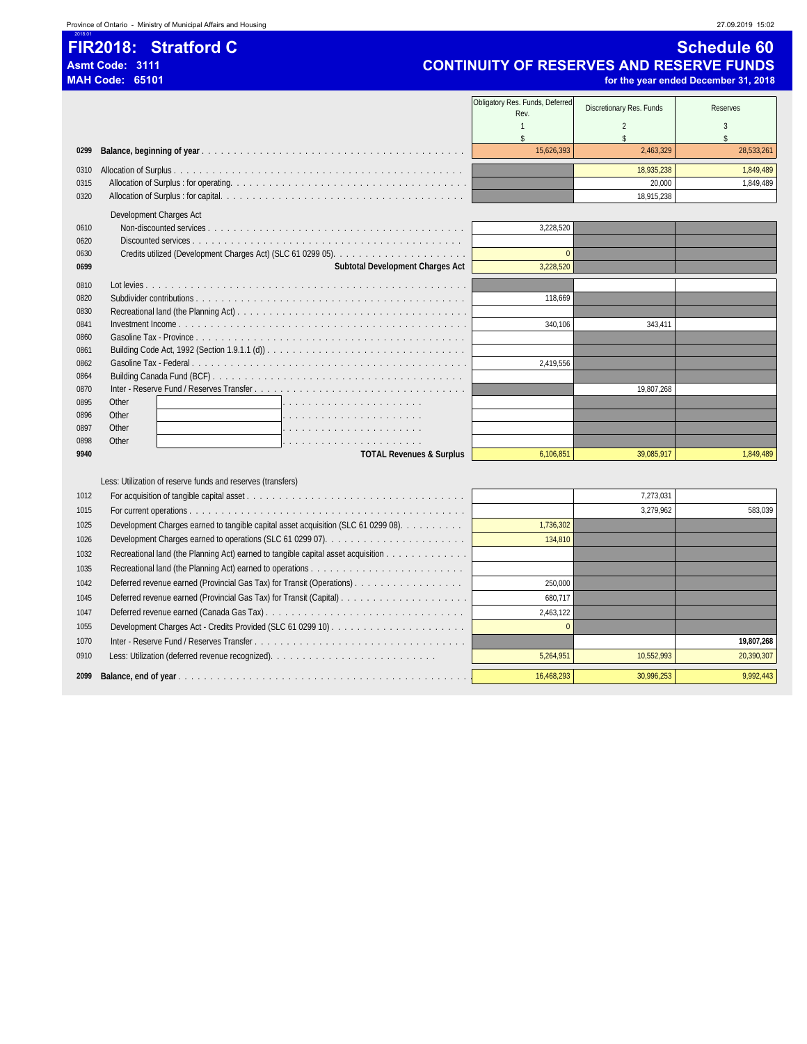### **FIR2018: Stratford C** Sample 19 and 200 and 200 and 200 and 200 and 200 and 200 and 200 and 200 and 200 and 200 and 200 and 200 and 200 and 200 and 200 and 200 and 200 and 200 and 200 and 200 and 200 and 200 and 200 and 2

2018.01

## **Asmt Code: 3111 CONTINUITY OF RESERVES AND RESERVE FUNDS**

|      | <b>MAH Code: 65101</b>                                      |                                         |                          | for the year ended December 31, 2018 |
|------|-------------------------------------------------------------|-----------------------------------------|--------------------------|--------------------------------------|
|      |                                                             | Obligatory Res. Funds, Deferred<br>Rev. | Discretionary Res. Funds | <b>Reserves</b>                      |
|      |                                                             |                                         | 2                        |                                      |
|      |                                                             |                                         |                          |                                      |
| 0299 |                                                             | 15.626.393                              | 2.463.329                | 28,533,261                           |
| 0310 |                                                             |                                         | 18,935,238               | 1,849,489                            |
| 0315 |                                                             |                                         | 20.000                   | 1,849,489                            |
| 0320 |                                                             |                                         | 18,915,238               |                                      |
|      | Development Charges Act                                     |                                         |                          |                                      |
| 0610 |                                                             | 3,228,520                               |                          |                                      |
| 0620 |                                                             |                                         |                          |                                      |
| 0630 |                                                             | $\Omega$                                |                          |                                      |
| 0699 | <b>Subtotal Development Charges Act</b>                     | 3,228,520                               |                          |                                      |
| 0810 |                                                             |                                         |                          |                                      |
| 0820 |                                                             | 118.669                                 |                          |                                      |
| 0830 |                                                             |                                         |                          |                                      |
| 0841 |                                                             | 340.106                                 | 343.411                  |                                      |
| 0860 |                                                             |                                         |                          |                                      |
| 0861 |                                                             |                                         |                          |                                      |
| 0862 |                                                             | 2,419,556                               |                          |                                      |
| 0864 |                                                             |                                         |                          |                                      |
| 0870 |                                                             |                                         | 19.807.268               |                                      |
| 0895 | Other                                                       |                                         |                          |                                      |
| 0896 | Other                                                       |                                         |                          |                                      |
| 0897 | Other<br>de la caractería de la caractería de la caractería |                                         |                          |                                      |
| 0898 | Other                                                       |                                         |                          |                                      |
| 9940 | <b>TOTAL Revenues &amp; Surplus</b>                         | 6,106,851                               | 39,085,917               | 1,849,489                            |
|      |                                                             |                                         |                          |                                      |

Less: Utilization of reserve funds and reserves (transfers)

| 1012 |                                                                                    |            | 7,273,031  |            |
|------|------------------------------------------------------------------------------------|------------|------------|------------|
| 1015 |                                                                                    |            | 3,279,962  | 583,039    |
| 1025 | Development Charges earned to tangible capital asset acquisition (SLC 61 0299 08). | 1,736,302  |            |            |
| 1026 |                                                                                    | 134,810    |            |            |
| 1032 | Recreational land (the Planning Act) earned to tangible capital asset acquisition  |            |            |            |
| 1035 |                                                                                    |            |            |            |
| 1042 | Deferred revenue earned (Provincial Gas Tax) for Transit (Operations)              | 250,000    |            |            |
| 1045 |                                                                                    | 680,717    |            |            |
| 1047 |                                                                                    | 2,463,122  |            |            |
| 1055 |                                                                                    | $\Omega$   |            |            |
| 1070 |                                                                                    |            |            | 19,807,268 |
| 0910 |                                                                                    | 5,264,951  | 10,552,993 | 20,390,307 |
| 2099 |                                                                                    | 16.468.293 | 30.996.253 | 9,992,443  |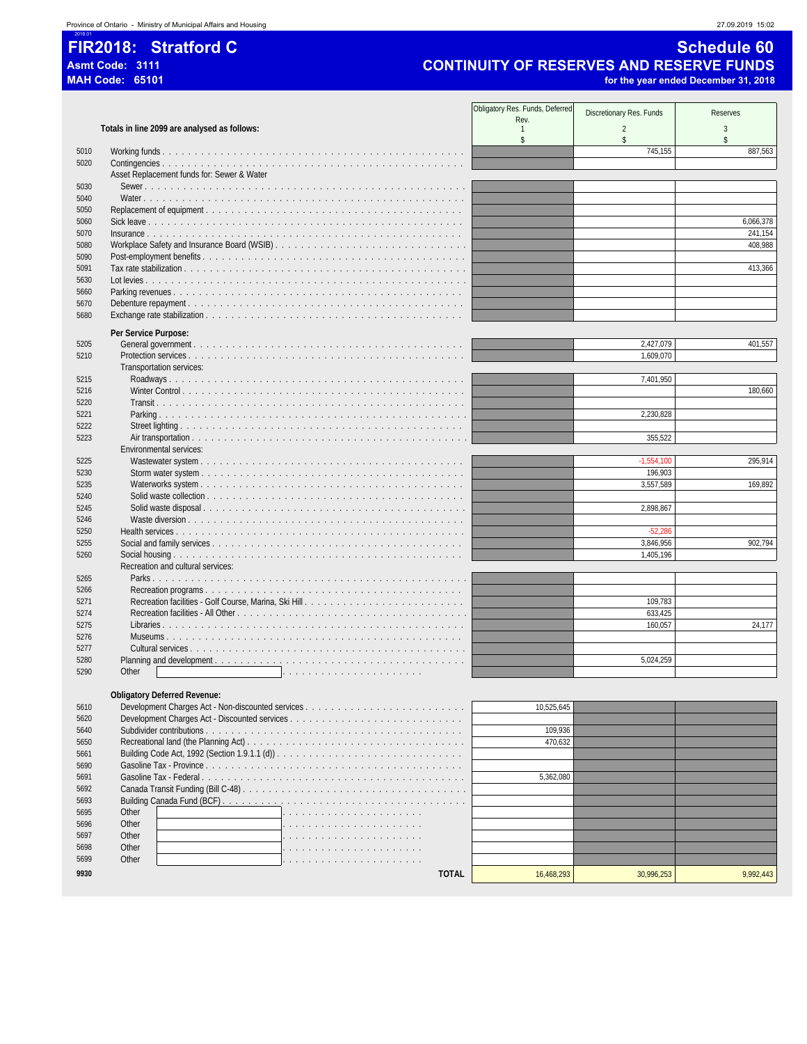### 2018.01 **FIR2018: Stratford C** Stratford C Schedule 60

## **Asmt Code: 3111 CONTINUITY OF RESERVES AND RESERVE FUNDS**

**MAH Code: 65101 for the year ended December 31, 2018**

Obligatory Res. Funds, Deferred S. Funds, Deferred Discretionary Res. Funds Reserves<br>
Rev. 2 3 Totals in line 2099 are analysed as follows:  $\begin{array}{ccccccccccc} \texttt{S} & & & & & & \texttt{S} & & & & \texttt{S} & & & \texttt{S} & & & \texttt{S} & & & \texttt{S} & & & \texttt{S} & & & \texttt{S} & & & \texttt{S} & & & \texttt{S} & & & \texttt{S} & & & \texttt{S} & & & \texttt{S} & & & \texttt{S} & & & \texttt{S} & & & \texttt{S} & & & \texttt{S} & & & \texttt{S} & & & \texttt{S} & & & \texttt{S} & & & \texttt{S} & & & \texttt{S} & & & \texttt{S} & & &$  Working funds . . . . . . . . . . . . . . . . . . . . . . . . . . . . . . . . . . . . . . . . . . . . . . . 745,155 887,563 Contingencies . . . . . . . . . . . . . . . . . . . . . . . . . . . . . . . . . . . . . . . . . . . . . . . Asset Replacement funds for: Sewer & Water Sewer . . . . . . . . . . . . . . . . . . . . . . . . . . . . . . . . . . . . . . . . . . . . . . . . . . Water . . . . . . . . . . . . . . . . . . . . . . . . . . . . . . . . . . . . . . . . . . . . . . . . . . Replacement of equipment . . . . . . . . . . . . . . . . . . . . . . . . . . . . . . . . . . . . . . . . Sick leave . . . . . . . . . . . . . . . . . . . . . . . . . . . . . . . . . . . . . . . . . . . . . . . . . 6,066,378 Insurance . . . . . . . . . . . . . . . . . . . . . . . . . . . . . . . . . . . . . . . . . . . . . . . . . 241,154 Workplace Safety and Insurance Board (WSIB) . . . . . . . . . . . . . . . . . . . . . . . . . . . . . . 408,988 Post-employment benefits . . . . . . . . . . . . . . . . . . . . . . . . . . . . . . . . . . . . . . . . . Tax rate stabilization . . . . . . . . . . . . . . . . . . . . . . . . . . . . . . . . . . . . . . . . . . . . 413,366 Lot levies . . . . . . . . . . . . . . . . . . . . . . . . . . . . . . . . . . . . . . . . . . . . . . . . . . Parking revenues . . . . . . . . . . . . . . . . . . . . . . . . . . . . . . . . . . . . . . . . . . . . . Debenture repayment . . . . . . . . . . . . . . . . . . . . . . . . . . . . . . . . . . . . . . . . . . . Exchange rate stabilization . . . . . . . . . . . . . . . . . . . . . . . . . . . . . . . . . . . . . . . . **Per Service Purpose:** General government . . . . . . . . . . . . . . . . . . . . . . . . . . . . . . . . . . . . . . . . . . 2,427,079 401,557 Protection services . . . . . . . . . . . . . . . . . . . . . . . . . . . . . . . . . . . . . . . . . . . 1,609,070 Transportation services: Roadways . . . . . . . . . . . . . . . . . . . . . . . . . . . . . . . . . . . . . . . . . . . . . . 7,401,950 Winter Control . . . . . . . . . . . . . . . . . . . . . . . . . . . . . . . . . . . . . . . . . . . . 180,660 Transit . . . . . . . . . . . . . . . . . . . . . . . . . . . . . . . . . . . . . . . . . . . . . . . . Parking . . . . . . . . . . . . . . . . . . . . . . . . . . . . . . . . . . . . . . . . . . . . . . . . 2,230,828 Street lighting . . . . . . . . . . . . . . . . . . . . . . . . . . . . . . . . . . . . . . . . . . . . Air transportation . . . . . . . . . . . . . . . . . . . . . . . . . . . . . . . . . . . . . . . . . . . 355,522 Environmental services: Wastewater system . . . . . . . . . . . . . . . . . . . . . . . . . . . . . . . . . . . . . . . . . -1,554,100 295,914 Storm water system . . . . . . . . . . . . . . . . . . . . . . . . . . . . . . . . . . . . . . . . . 196,903 Waterworks system . . . . . . . . . . . . . . . . . . . . . . . . . . . . . . . . . . . . . . . . . 3,557,589 169,892 Solid waste collection . . . . . . . . . . . . . . . . . . . . . . . . . . . . . . . . . . . . . . . . Solid waste disposal . . . . . . . . . . . . . . . . . . . . . . . . . . . . . . . . . . . . . . . . . 2,898,867 Waste diversion . . . . . . . . . . . . . . . . . . . . . . . . . . . . . . . . . . . . . . . . . . . Health services . . . . . . . . . . . . . . . . . . . . . . . . . . . . . . . . . . . . . . . . . . . . . -52,286 Social and family services . . . . . . . . . . . . . . . . . . . . . . . . . . . . . . . . . . . . . . . 3,846,956 902,794 Social housing . . . . . . . . . . . . . . . . . . . . . . . . . . . . . . . . . . . . . . . . . . . . . 1,405,196 Recreation and cultural services: Parks . . . . . . . . . . . . . . . . . . . . . . . . . . . . . . . . . . . . . . . . . . . . . . . . . Recreation programs . . . . . . . . . . . . . . . . . . . . . . . . . . . . . . . . . . . . . . . . Recreation facilities - Golf Course, Marina, Ski Hill . . . . . . . . . . . . . . . . . . . . . . . . . 109,783 Recreation facilities - All Other . . . . . . . . . . . . . . . . . . . . . . . . . . . . . . . . . . . . 633,425 Libraries . . . . . . . . . . . . . . . . . . . . . . . . . . . . . . . . . . . . . . . . . . . . . . . 160,057 24,177 Museums . . . . . . . . . . . . . . . . . . . . . . . . . . . . . . . . . . . . . . . . . . . . . . Cultural services . . . . . . . . . . . . . . . . . . . . . . . . . . . . . . . . . . . . . . . . . . . Planning and development . . . . . . . . . . . . . . . . . . . . . . . . . . . . . . . . . . . . . . . 5,024,259 Other . . . . . . . . . . . . . . . . . . . . . . **Obligatory Deferred Revenue:** Development Charges Act - Non-discounted services . . . . . . . . . . . . . . . . . . . . . . . . . 10,525,645 Development Charges Act - Discounted services . . . . . . . . . . . . . . . . . . . . . . . . . . . Subdivider contributions . . . . . . . . . . . . . . . . . . . . . . . . . . . . . . . . . . . . . . . . 109,936 Recreational land (the Planning Act) . . . . . . . . . . . . . . . . . . . . . . . . . . . . . . . . . . 470,632 5661 Building Code Act, 1992 (Section 1.9.1.1 (d)) . . . . . . . . . . . . . Gasoline Tax - Province . . . . . . . . . . . . . . . . . . . . . . . . . . . . . . . . . . . . . . . . Gasoline Tax - Federal . . . . . . . . . . . . . . . . . . . . . . . . . . . . . . . . . . . . . . . . . 5,362,080 5692 Canada Transit Funding (Bill C-48) . . . . . . . . . . 5693 Building Canada Fund (BCF). 5695 Other **Definition of the Contract of Structure Contract A** 

 Other . . . . . . . . . . . . . . . . . . . . . . 5697 Other **Definition of the Contract of Contract A** 

| JUY / | UUICI |  |              |           |          |
|-------|-------|--|--------------|-----------|----------|
| 5698  | Other |  |              |           |          |
| 5699  | Other |  |              |           |          |
| 9930  |       |  | <b>TOTAL</b> | 5.468.293 | ,992,443 |
|       |       |  |              |           |          |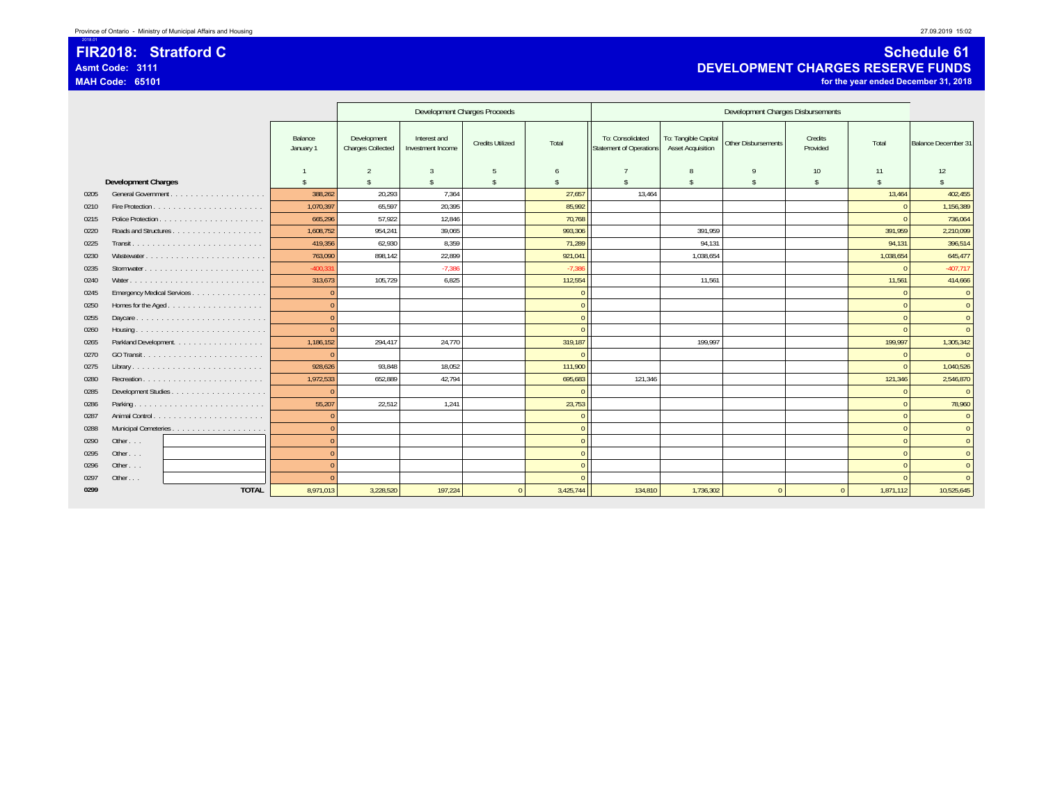### 2018.01 **FIR2018: Stratford CAsmt Code: 3111MAH Code: 65101**

### **Schedule 61 DEVELOPMENT CHARGES RESERVE FUNDS for the year ended December 31, 2018**

|      |                            |                            |                      | Development Charges Proceeds            |                                   |                         |           | Development Charges Disbursements                  |                                                  |                            |                     |                     |                            |
|------|----------------------------|----------------------------|----------------------|-----------------------------------------|-----------------------------------|-------------------------|-----------|----------------------------------------------------|--------------------------------------------------|----------------------------|---------------------|---------------------|----------------------------|
|      |                            |                            | Balance<br>January 1 | Development<br><b>Charges Collected</b> | Interest and<br>Investment Income | <b>Credits Utilized</b> | Total     | To: Consolidated<br><b>Statement of Operations</b> | To: Tangible Capital<br><b>Asset Acquisition</b> | <b>Other Disbursements</b> | Credits<br>Provided | Total               | <b>Balance December 31</b> |
|      |                            |                            |                      | $\overline{2}$                          | 3                                 | - 5                     |           |                                                    | 8                                                | 9                          | 10                  | 11                  | 12                         |
|      | <b>Development Charges</b> |                            | $\hat{\mathbf{x}}$   | $\hat{\mathbf{S}}$                      | $\hat{\mathbf{x}}$                | -\$                     | \$        | $\mathbf{\hat{s}}$                                 | \$                                               | $\mathbf{\hat{S}}$         | $\mathbf{\hat{s}}$  | $\hat{\mathcal{L}}$ |                            |
| 0205 |                            | General Government         | 388.262              | 20.293                                  | 7.364                             |                         | 27.657    | 13.464                                             |                                                  |                            |                     | 13,464              | 402,455                    |
| 0210 |                            |                            | 1.070.397            | 65,597                                  | 20,395                            |                         | 85,992    |                                                    |                                                  |                            |                     |                     | 1,156,389                  |
| 0215 |                            |                            | 665,296              | 57,922                                  | 12,846                            |                         | 70,768    |                                                    |                                                  |                            |                     |                     | 736,064                    |
| 0220 |                            |                            | 1,608,752            | 954,241                                 | 39,065                            |                         | 993,306   |                                                    | 391,959                                          |                            |                     | 391,959             | 2,210,099                  |
| 0225 |                            |                            | 419,356              | 62,930                                  | 8,359                             |                         | 71,289    |                                                    | 94,131                                           |                            |                     | 94,131              | 396,514                    |
| 0230 |                            | Wastewater                 | 763,090              | 898,142                                 | 22,899                            |                         | 921,041   |                                                    | 1,038,654                                        |                            |                     | 1,038,654           | 645,477                    |
| 0235 |                            |                            | $-400,331$           |                                         | $-7,386$                          |                         | $-7,386$  |                                                    |                                                  |                            |                     | $\Omega$            | $-407,717$                 |
| 0240 |                            |                            | 313,673              | 105,729                                 | 6,825                             |                         | 112,554   |                                                    | 11,561                                           |                            |                     | 11,561              | 414,666                    |
| 0245 |                            | Emergency Medical Services | $\Omega$             |                                         |                                   |                         | $\Omega$  |                                                    |                                                  |                            |                     | $\Omega$            | $\overline{0}$             |
| 0250 |                            | Homes for the Aged         | $\Omega$             |                                         |                                   |                         | $\Omega$  |                                                    |                                                  |                            |                     |                     | $\overline{0}$             |
| 0255 |                            | Daycare                    | $\Omega$             |                                         |                                   |                         | $\Omega$  |                                                    |                                                  |                            |                     | $\Omega$            | $\overline{0}$             |
| 0260 |                            |                            | $\Omega$             |                                         |                                   |                         | $\Omega$  |                                                    |                                                  |                            |                     | $\Omega$            | $\Omega$                   |
| 0265 |                            | Parkland Development.      | 1,186,152            | 294,417                                 | 24,770                            |                         | 319,187   |                                                    | 199,997                                          |                            |                     | 199,997             | 1,305,342                  |
| 0270 |                            |                            | $\Omega$             |                                         |                                   |                         |           |                                                    |                                                  |                            |                     | $\Omega$            | $\Omega$                   |
| 0275 |                            |                            | 928,626              | 93,848                                  | 18,052                            |                         | 111,900   |                                                    |                                                  |                            |                     | $\Omega$            | 1,040,526                  |
| 0280 |                            | Recreation                 | 1,972,533            | 652,889                                 | 42.794                            |                         | 695,683   | 121,346                                            |                                                  |                            |                     | 121,346             | 2,546,870                  |
| 0285 |                            |                            | $\Omega$             |                                         |                                   |                         | $\Omega$  |                                                    |                                                  |                            |                     | $\Omega$            | $\overline{0}$             |
| 0286 |                            | Parking                    | 55,207               | 22.512                                  | 1.241                             |                         | 23,753    |                                                    |                                                  |                            |                     |                     | 78,960                     |
| 0287 |                            |                            | $\Omega$             |                                         |                                   |                         | $\Omega$  |                                                    |                                                  |                            |                     | $\Omega$            | $\overline{0}$             |
| 0288 |                            |                            | $\Omega$             |                                         |                                   |                         | $\Omega$  |                                                    |                                                  |                            |                     | $\Omega$            | $\overline{0}$             |
| 0290 | Other                      |                            | $\Omega$             |                                         |                                   |                         | $\Omega$  |                                                    |                                                  |                            |                     | $\Omega$            | $\overline{0}$             |
| 0295 | Other $\ldots$             |                            | $\Omega$             |                                         |                                   |                         | $\Omega$  |                                                    |                                                  |                            |                     | $\Omega$            | $\overline{0}$             |
| 0296 | Other $\ldots$             |                            | $\Omega$             |                                         |                                   |                         | $\Omega$  |                                                    |                                                  |                            |                     |                     | $\overline{0}$             |
| 0297 | Other $\ldots$             |                            | $\Omega$             |                                         |                                   |                         |           |                                                    |                                                  |                            |                     |                     | $\overline{0}$             |
| 0299 |                            | <b>TOTAL</b>               | 8,971,013            | 3,228,520                               | 197,224                           |                         | 3,425,744 | 134,810                                            | 1,736,302                                        | $\Omega$                   | $\Omega$            | 1,871,112           | 10,525,645                 |
|      |                            |                            |                      |                                         |                                   |                         |           |                                                    |                                                  |                            |                     |                     |                            |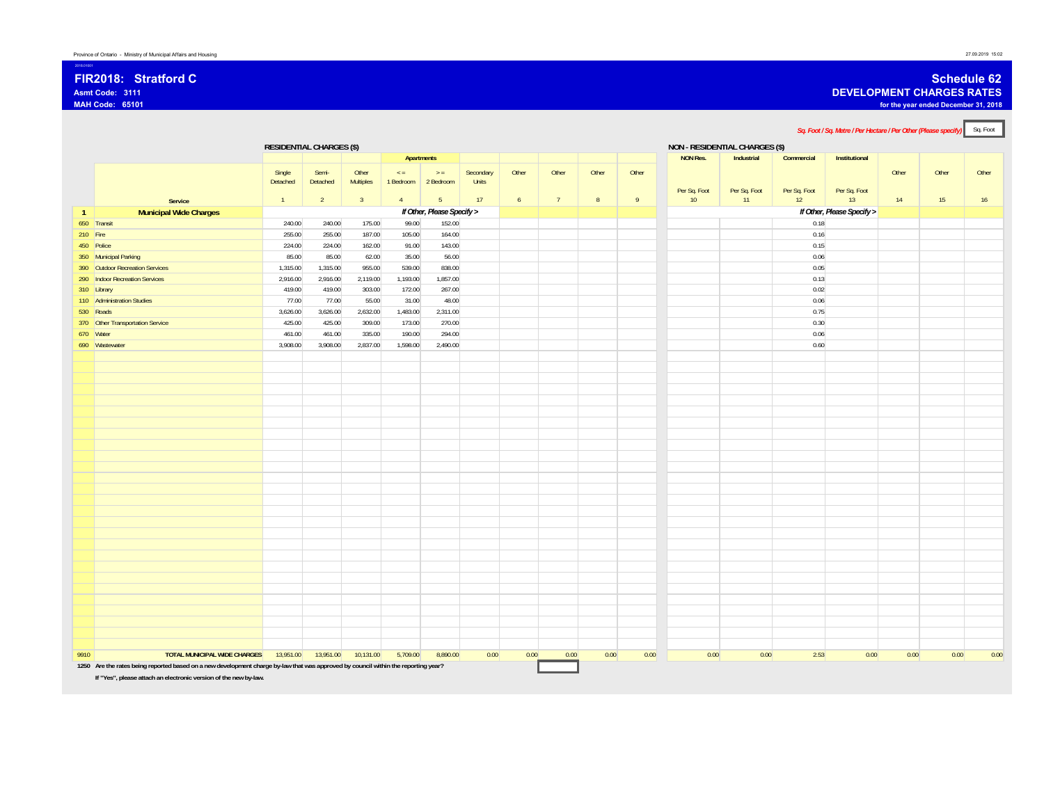### **FIR2018: Stratford CAsmt Code: 3111**

**MAH Code: 65101**

2018.01001

16

### **Schedule 62**

**DEVELOPMENT CHARGES RATES**

**for the year ended December 31, 2018**

Sq. Foot / Sq. Metre / Per Hectare / Per Other (Please specify) Sq. Foot **RESIDENTIAL CHARGES (\$) NON - RESIDENTIAL CHARGES (\$) Apartments NON Res. Industrial Commercial Institutional Service** Single Detached 1 Semi-Detached2 Other Multiples 3< = 1 Bedroom 2 Bedroom 4 $>$  = 5 Secondary **Units** 17 **Other** 6 **Other** 7 **Other** 8 **Other** 9Per Sq. Foot 10 Per Sq. Foot 11 Per Sq. Foot 12 Per Sq. Foot 13 **Other** 14 **Other** 15 **Other 1 Municipal Wide Charges** *If Other, Please Specify > If Other, Please Specify >* 650 Transit 240.00 240.00 175.00 99.00 152.000.18 210 Fire 255.00 255.00 255.00 187.00 105.00 164.00 0.16 450 Police 224.00 224.00 224.00 162.00 91.00 143.00 143.00 224.00 162.00 162.00 143.00 0.15 350 Municipal Parking 85.00 85.00 62.00 35.00 56.00 0.06 390 Outdoor Recreation Services 1,315.00 1,315.00 955.00 539.00 838.00 0.05 2<mark>90 Indoor Recreation Services 200 200 200 200 2,916.00 2,916.00 2,119.00 1,193.00 1,857.00 1,857.00 1,000 1,000 0.13</mark> 310 Library 419.00 419.00 303.00 172.00 267.00 0.02 110 Administration Studies 77.00 77.00 55.00 31.00 48.000.06 530 Roads 3,626.00 3,626.00 2,632.00 1,483.00 2,311.00 0.75 370 Other Transportation Service 425.00 425.00 425.00 309.00 173.00 270.00 270.00 0.30 670 Water 461.00 461.00 335.00 190.00 294.000.06 690 Wastewater 3,908.00 3,908.00 2,837.00 1,598.00 2,490.00 0.60 **TOTAL MUNICIPAL WIDE CHARGES** 13,951.00 13,951.00 10,131.00 5,709.00 8,890.00 0.00 0.00 0.00 0.00 0.00 0.00 0.00 2.53 0.00 0.00 0.00 0.00 **1250 Are the rates being reported based on a new development charge by-law that was approved by council within the reporting year?**

**If "Yes", please attach an electronic version of the new by-law.**

9910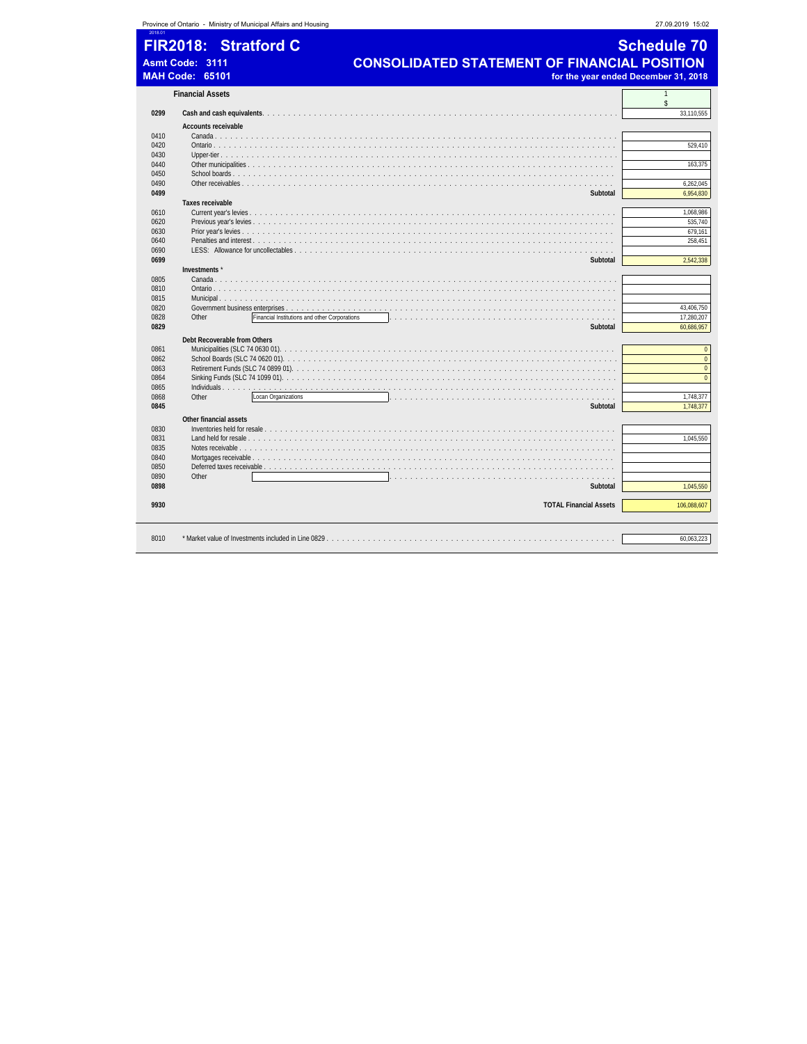|              |                            | Province of Ontario - Ministry of Municipal Affairs and Housing |                                                                                                             | 27.09.2019 15:02                     |
|--------------|----------------------------|-----------------------------------------------------------------|-------------------------------------------------------------------------------------------------------------|--------------------------------------|
|              |                            | FIR2018: Stratford C                                            |                                                                                                             | <b>Schedule 70</b>                   |
|              |                            |                                                                 |                                                                                                             |                                      |
|              | Asmt Code: 3111            |                                                                 | <b>CONSOLIDATED STATEMENT OF FINANCIAL POSITION</b>                                                         |                                      |
|              | <b>MAH Code: 65101</b>     |                                                                 |                                                                                                             | for the year ended December 31, 2018 |
|              | <b>Financial Assets</b>    |                                                                 |                                                                                                             | $\mathbf{1}$<br>\$                   |
| 0299         |                            |                                                                 |                                                                                                             | 33,110,555                           |
|              | <b>Accounts receivable</b> |                                                                 |                                                                                                             |                                      |
| 0410         |                            | Canada                                                          |                                                                                                             |                                      |
| 0420         |                            |                                                                 |                                                                                                             | 529.410                              |
| 0430         |                            |                                                                 |                                                                                                             |                                      |
| 0440<br>0450 |                            |                                                                 |                                                                                                             | 163,375                              |
| 0490         |                            |                                                                 |                                                                                                             | 6,262,045                            |
| 0499         |                            |                                                                 | Subtotal                                                                                                    | 6,954,830                            |
|              | <b>Taxes receivable</b>    |                                                                 |                                                                                                             |                                      |
| 0610         |                            |                                                                 |                                                                                                             | 1,068,986                            |
| 0620         |                            |                                                                 |                                                                                                             | 535,740                              |
| 0630         |                            |                                                                 |                                                                                                             | 679,161                              |
| 0640         |                            |                                                                 |                                                                                                             | 258,451                              |
| 0690         |                            | LESS: Allowance for uncollectables                              |                                                                                                             |                                      |
| 0699         |                            |                                                                 | Subtotal                                                                                                    | 2,542,338                            |
|              | Investments*               |                                                                 |                                                                                                             |                                      |
| 0805<br>0810 |                            |                                                                 |                                                                                                             |                                      |
| 0815         |                            |                                                                 |                                                                                                             |                                      |
| 0820         |                            |                                                                 |                                                                                                             | 43,406,750                           |
| 0828         | Other                      |                                                                 | Financial Institutions and other Corporations                                                               | 17,280,207                           |
| 0829         |                            |                                                                 | Subtotal                                                                                                    | 60,686,957                           |
|              |                            | Debt Recoverable from Others                                    |                                                                                                             |                                      |
| 0861         |                            |                                                                 |                                                                                                             | $\mathbf{0}$                         |
| 0862         |                            |                                                                 |                                                                                                             | $\pmb{0}$                            |
| 0863         |                            |                                                                 |                                                                                                             | $\mathbf{0}$                         |
| 0864         |                            |                                                                 |                                                                                                             | $\mathbf{0}$                         |
| 0865         | Other                      |                                                                 |                                                                                                             |                                      |
| 0868<br>0845 |                            | Locan Organizations                                             | the contract of the contract of the contract of the contract of the contract of the contract of<br>Subtotal | 1,748,377<br>1,748,377               |
|              |                            |                                                                 |                                                                                                             |                                      |
|              | Other financial assets     |                                                                 |                                                                                                             |                                      |
| 0830<br>0831 |                            |                                                                 |                                                                                                             | 1.045.550                            |
| 0835         |                            |                                                                 |                                                                                                             |                                      |
| 0840         |                            |                                                                 |                                                                                                             |                                      |
| 0850         |                            |                                                                 | .                                                                                                           |                                      |
| 0890         | Other                      |                                                                 | .                                                                                                           |                                      |
| 0898         |                            |                                                                 | Subtotal                                                                                                    | 1,045,550                            |
| 9930         |                            |                                                                 | <b>TOTAL Financial Assets</b>                                                                               | 106,088,607                          |
|              |                            |                                                                 |                                                                                                             |                                      |
|              |                            |                                                                 |                                                                                                             |                                      |
| 8010         |                            |                                                                 |                                                                                                             | 60,063,223                           |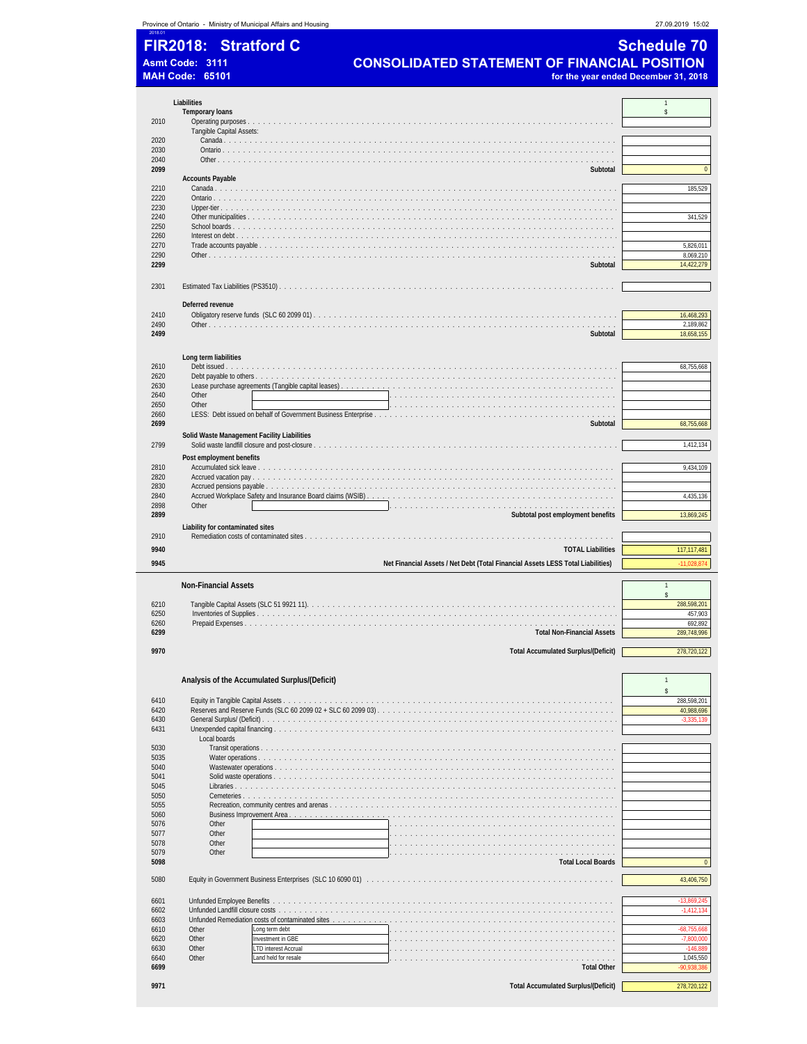|                              |                         | Province of Ontario - Ministry of Municipal Affairs and Housing                                                                                                                                                                | 27.09.2019 15:02                     |
|------------------------------|-------------------------|--------------------------------------------------------------------------------------------------------------------------------------------------------------------------------------------------------------------------------|--------------------------------------|
|                              | <b>FIR2018:</b>         | <b>Stratford C</b>                                                                                                                                                                                                             | <b>Schedule 70</b>                   |
|                              |                         |                                                                                                                                                                                                                                |                                      |
|                              | Asmt Code: 3111         | <b>CONSOLIDATED STATEMENT OF FINANCIAL POSITION</b>                                                                                                                                                                            |                                      |
|                              | <b>MAH Code: 65101</b>  |                                                                                                                                                                                                                                | for the year ended December 31, 2018 |
|                              |                         |                                                                                                                                                                                                                                |                                      |
|                              | Liabilities             |                                                                                                                                                                                                                                | 1                                    |
| 2010                         | <b>Temporary loans</b>  |                                                                                                                                                                                                                                | \$                                   |
|                              |                         | Tangible Capital Assets:                                                                                                                                                                                                       |                                      |
| 2020                         |                         |                                                                                                                                                                                                                                |                                      |
| 2030                         |                         |                                                                                                                                                                                                                                |                                      |
| 2040<br>2099                 |                         |                                                                                                                                                                                                                                | $\pmb{0}$                            |
|                              | <b>Accounts Payable</b> | Subtotal                                                                                                                                                                                                                       |                                      |
| 2210                         |                         |                                                                                                                                                                                                                                | 185,529                              |
| 2220                         |                         |                                                                                                                                                                                                                                |                                      |
| 2230<br>2240                 |                         |                                                                                                                                                                                                                                | 341,529                              |
| 2250                         |                         |                                                                                                                                                                                                                                |                                      |
| 2260                         |                         |                                                                                                                                                                                                                                |                                      |
| 2270                         |                         |                                                                                                                                                                                                                                | 5,826,011                            |
| 2290                         |                         |                                                                                                                                                                                                                                | 8,069,210                            |
| 2299                         |                         | Subtotal                                                                                                                                                                                                                       | 14,422,279                           |
| 2301                         |                         |                                                                                                                                                                                                                                |                                      |
|                              |                         |                                                                                                                                                                                                                                |                                      |
|                              | Deferred revenue        |                                                                                                                                                                                                                                |                                      |
| 2410                         |                         |                                                                                                                                                                                                                                | 16,468,293                           |
| 2490<br>2499                 |                         | Subtotal                                                                                                                                                                                                                       | 2,189,862<br>18,658,155              |
|                              |                         |                                                                                                                                                                                                                                |                                      |
|                              | Long term liabilities   |                                                                                                                                                                                                                                |                                      |
| 2610                         |                         |                                                                                                                                                                                                                                | 68,755,668                           |
| 2620                         |                         |                                                                                                                                                                                                                                |                                      |
| 2630<br>2640                 | Other                   |                                                                                                                                                                                                                                |                                      |
| 2650                         | Other                   | the contract of the contract of the contract of the contract of the contract of the contract of the contract of                                                                                                                |                                      |
| 2660                         |                         |                                                                                                                                                                                                                                |                                      |
| 2699                         |                         | Subtotal                                                                                                                                                                                                                       | 68,755,668                           |
|                              |                         | Solid Waste Management Facility Liabilities                                                                                                                                                                                    |                                      |
| 2799                         |                         |                                                                                                                                                                                                                                | 1,412,134                            |
|                              |                         | Post employment benefits                                                                                                                                                                                                       |                                      |
| 2810<br>2820                 |                         |                                                                                                                                                                                                                                | 9,434,109                            |
| 2830                         |                         |                                                                                                                                                                                                                                |                                      |
| 2840                         |                         |                                                                                                                                                                                                                                | 4,435,136                            |
| 2898                         | Other                   | a dia kaominina mpikambana amin'ny fivondronan-kaominin'i Carlo Carlo Carlo Carlo Carlo Carlo Carlo Carlo                                                                                                                      |                                      |
| 2899                         |                         | Subtotal post employment benefits                                                                                                                                                                                              | 13,869,245                           |
| 2910                         |                         | Liability for contaminated sites                                                                                                                                                                                               |                                      |
| 9940                         |                         | <b>TOTAL Liabilities</b>                                                                                                                                                                                                       | 117, 117, 481                        |
| 9945                         |                         |                                                                                                                                                                                                                                | 11,028,874                           |
|                              |                         | Net Financial Assets / Net Debt (Total Financial Assets LESS Total Liabilities)                                                                                                                                                |                                      |
|                              |                         | <b>Non-Financial Assets</b>                                                                                                                                                                                                    | $\mathbf{1}$                         |
|                              |                         |                                                                                                                                                                                                                                | $\hat{\mathbf{S}}$                   |
| 6210                         |                         |                                                                                                                                                                                                                                | 288,598,201                          |
| 6250<br>6260                 |                         | Inventories of Supplies<br>.                                                                                                                                                                                                   | 457,903<br>692,892                   |
| 6299                         |                         | <b>Total Non-Financial Assets</b>                                                                                                                                                                                              | 289,748,996                          |
|                              |                         |                                                                                                                                                                                                                                |                                      |
| 9970                         |                         | <b>Total Accumulated Surplus/(Deficit)</b>                                                                                                                                                                                     | 278,720,122                          |
|                              |                         |                                                                                                                                                                                                                                |                                      |
|                              |                         | Analysis of the Accumulated Surplus/(Deficit)                                                                                                                                                                                  | $\mathbf{1}$                         |
| 6410                         |                         |                                                                                                                                                                                                                                | \$<br>288,598,201                    |
| 6420                         |                         |                                                                                                                                                                                                                                | 40,988,696                           |
| 6430                         |                         |                                                                                                                                                                                                                                | $-3,335,139$                         |
| 6431                         |                         |                                                                                                                                                                                                                                |                                      |
| 5030                         |                         | Local boards                                                                                                                                                                                                                   |                                      |
| 5035                         |                         |                                                                                                                                                                                                                                |                                      |
| 5040                         |                         | Wastewater operations                                                                                                                                                                                                          |                                      |
| 5041                         |                         |                                                                                                                                                                                                                                |                                      |
| 5045<br>5050                 |                         |                                                                                                                                                                                                                                |                                      |
| 5055                         |                         |                                                                                                                                                                                                                                |                                      |
| 5060                         |                         | Business Improvement Area                                                                                                                                                                                                      |                                      |
| 5076                         |                         | Other                                                                                                                                                                                                                          |                                      |
| 5077<br>5078                 |                         | Other<br>Other<br>.                                                                                                                                                                                                            |                                      |
| 5079                         |                         | Other<br>.                                                                                                                                                                                                                     |                                      |
| 5098                         |                         | <b>Total Local Boards</b>                                                                                                                                                                                                      | $\pmb{0}$                            |
| 5080                         |                         | Equity in Government Business Enterprises (SLC 10 6090 01) with the state of the state of the state of the state of the state of the state of the state of the state of the state of the state of the state of the state of th | 43,406,750                           |
|                              |                         |                                                                                                                                                                                                                                |                                      |
| 6601                         |                         |                                                                                                                                                                                                                                | $-13,869,245$                        |
| 6602<br>6603                 |                         | Unfunded Landfill closure costs.<br>Unfunded Remediation costs of contaminated sites                                                                                                                                           | $-1,412,134$                         |
| 6610                         | Other                   | .<br>Long term debt                                                                                                                                                                                                            | $-68,755,668$                        |
|                              |                         | Investment in GBE                                                                                                                                                                                                              | $-7,800,000$                         |
|                              | Other                   |                                                                                                                                                                                                                                |                                      |
|                              | Other                   | LTD interest Accrual                                                                                                                                                                                                           | $-146,889$                           |
| 6620<br>6630<br>6640<br>6699 | Other                   | Land held for resale<br><b>Total Other</b>                                                                                                                                                                                     | 1,045,550<br>90,938,386              |

**9971 Total Accumulated Surplus/(Deficit)** 278,720,122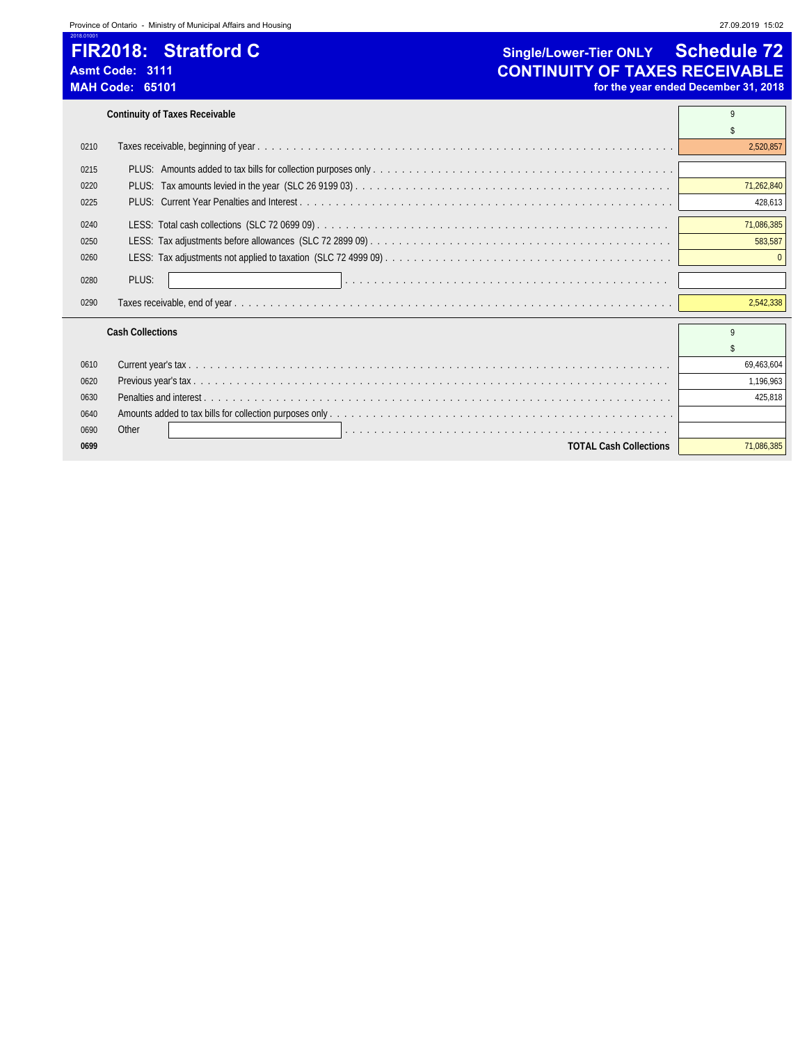2018.01001

### **FIR2018: Stratford C Single/Lower-Tier ONLY Schedule 72**<br>Asmt Code: 3111 **Schedule 72**<br>**CONTINUITY OF TAXES RECEIVABLE** Asmt Code: 3111<br>
MAH Code: 65101<br>
MAH Code: 65101 for the year ended December 31, 2018

```
Continuity of Taxes Receivable 9
```

| 0210 |                                 | 2.520.857    |
|------|---------------------------------|--------------|
| 0215 |                                 |              |
| 0220 |                                 | 71,262,840   |
| 0225 |                                 | 428,613      |
| 0240 |                                 | 71,086,385   |
| 0250 |                                 | 583,587      |
| 0260 |                                 |              |
| 0280 | PLUS:                           |              |
| 0290 |                                 | 2.542.338    |
|      | <b>Cash Collections</b>         | $\mathsf{o}$ |
|      |                                 |              |
| 0610 |                                 | 69,463,604   |
| 0620 |                                 | 1,196,963    |
| 0630 | <b>Penalties and interest</b> . | 425.818      |
| 0640 |                                 |              |
| 0690 | Other                           |              |
| 0699 | <b>TOTAL Cash Collections</b>   | 71.086.385   |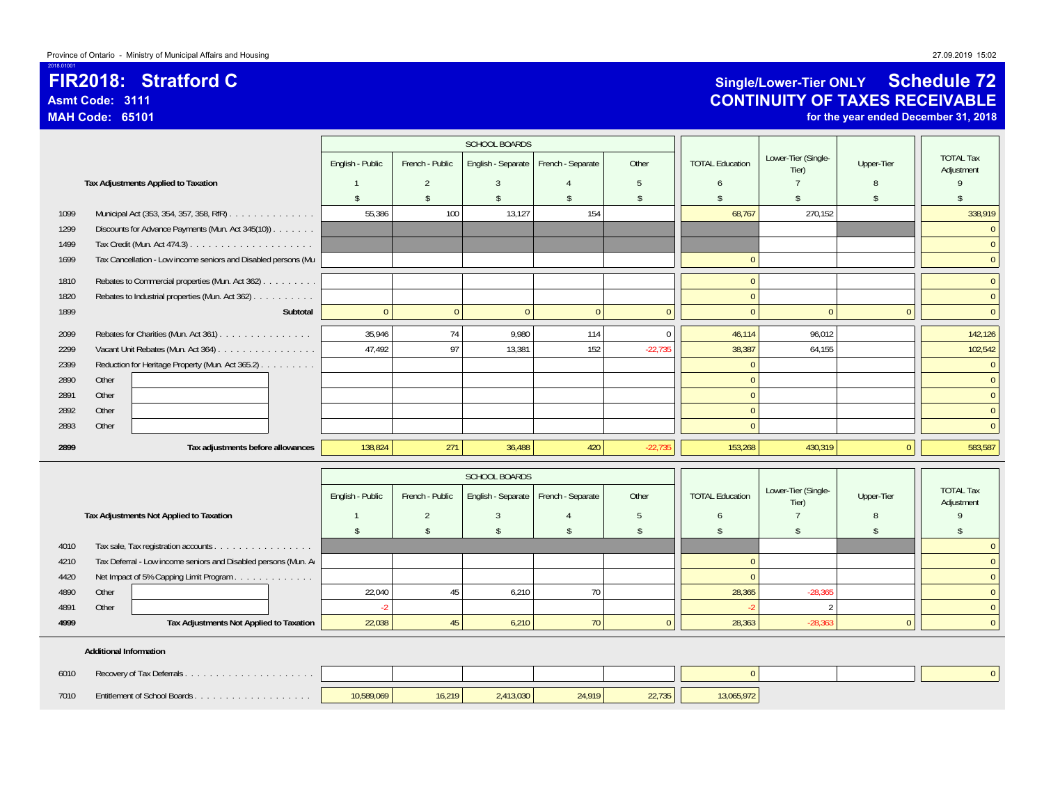### **FIR2018: Stratford CAsmt Code: 3111**

**MAH Code: 65101**

2018.01001

### **Single/Lower-Tier ONLY Schedule 72 CONTINUITY OF TAXES RECEIVABLE**

**for the year ended December 31, 2018**

|      |                                                                |                    |                    | <b>SCHOOL BOARDS</b> |                   |                |                        |                              |                    |                                |
|------|----------------------------------------------------------------|--------------------|--------------------|----------------------|-------------------|----------------|------------------------|------------------------------|--------------------|--------------------------------|
|      |                                                                | English - Public   | French - Public    | English - Separate   | French - Separate | Other          | <b>TOTAL Education</b> | Lower-Tier (Single-<br>Tier) | Upper-Tier         | <b>TOTAL Tax</b><br>Adjustment |
|      | Tax Adjustments Applied to Taxation                            |                    | $\overline{2}$     | $\overline{3}$       |                   | 5              | 6                      |                              | 8                  | $\mathsf{Q}$                   |
|      |                                                                | $\mathbb{S}$       | $\mathsf{\$}$      | $\mathsf{\$}$        | \$.               | $\mathsf{\$}$  | -\$                    |                              | $\mathbf{\hat{S}}$ | $\hat{\zeta}$                  |
| 1099 | Municipal Act (353, 354, 357, 358, RfR)                        | 55.386             | 100                | 13,127               | 154               |                | 68,767                 | 270.152                      |                    | 338,919                        |
| 1299 | Discounts for Advance Payments (Mun. Act 345(10)).             |                    |                    |                      |                   |                |                        |                              |                    | $\Omega$                       |
| 1499 |                                                                |                    |                    |                      |                   |                |                        |                              |                    | $\overline{0}$                 |
| 1699 | Tax Cancellation - Low income seniors and Disabled persons (Mu |                    |                    |                      |                   |                | $\Omega$               |                              |                    | $\mathbf{0}$                   |
| 1810 | Rebates to Commercial properties (Mun. Act 362)                |                    |                    |                      |                   |                | $\Omega$               |                              |                    | $\overline{0}$                 |
| 1820 | Rebates to Industrial properties (Mun. Act 362)                |                    |                    |                      |                   |                | $\Omega$               |                              |                    | $\overline{0}$                 |
| 1899 | Subtotal                                                       | $\overline{0}$     | $\mathbf{0}$       | $\mathbf{0}$         | $\mathbf{0}$      | $\overline{0}$ | $\overline{0}$         | $\mathbf{0}$                 | $\mathbf{0}$       | $\overline{0}$                 |
| 2099 | Rebates for Charities (Mun. Act 361)                           | 35,946             | 74                 | 9.980                | 114               | $\Omega$       | 46,114                 | 96,012                       |                    | 142,126                        |
| 2299 | Vacant Unit Rebates (Mun. Act 364)                             | 47,492             | 97                 | 13,381               | 152               | $-22,735$      | 38,387                 | 64,155                       |                    | 102,542                        |
| 2399 | Reduction for Heritage Property (Mun. Act 365.2)               |                    |                    |                      |                   |                | $\Omega$               |                              |                    | $\overline{0}$                 |
| 2890 | Other                                                          |                    |                    |                      |                   |                | $\Omega$               |                              |                    | $\overline{0}$                 |
| 2891 | Other                                                          |                    |                    |                      |                   |                | $\Omega$               |                              |                    | $\overline{0}$                 |
| 2892 | Other                                                          |                    |                    |                      |                   |                | $\Omega$               |                              |                    | $\overline{0}$                 |
| 2893 | Other                                                          |                    |                    |                      |                   |                | $\Omega$               |                              |                    | $\overline{0}$                 |
| 2899 | Tax adjustments before allowances                              | 138,824            | 271                | 36,488               | 420               | $-22,735$      | 153,268                | 430,319                      | $\overline{0}$     | 583,587                        |
|      |                                                                |                    |                    | SCHOOL BOARDS        |                   |                |                        |                              |                    |                                |
|      |                                                                |                    |                    |                      |                   |                |                        | Lower-Tier (Single-          |                    | <b>TOTAL Tax</b>               |
|      |                                                                | English - Public   | French - Public    | English - Separate   | French - Separate | Other          | <b>TOTAL Education</b> | Tier)                        | Upper-Tier         | Adjustment                     |
|      | Tax Adjustments Not Applied to Taxation                        |                    | $\overline{2}$     | $\overline{3}$       |                   | 5              | 6                      |                              | $\mathsf{R}$       | 9                              |
|      |                                                                | $\mathbf{\hat{S}}$ | $\mathbf{\hat{s}}$ | $\mathsf{\$}$        | $\mathcal{L}$     | $\mathsf{\$}$  | $\mathcal{S}$          | $\mathbf{\hat{S}}$           | $\mathbf{\hat{S}}$ | \$                             |
| 4010 | Tax sale, Tax registration accounts                            |                    |                    |                      |                   |                |                        |                              |                    |                                |
| 4210 | Tax Deferral - Low income seniors and Disabled persons (Mun. A |                    |                    |                      |                   |                | $\Omega$               |                              |                    | $\theta$                       |
| 4420 | Net Impact of 5% Capping Limit Program                         |                    |                    |                      |                   |                |                        |                              |                    | $\Omega$                       |
| 4890 | Other                                                          | 22,040             | 45                 | 6,210                | 70                |                | 28,365                 | $-28,365$                    |                    | $\mathbf{0}$                   |
| 4891 | Other                                                          | $-2$               |                    |                      |                   |                |                        | $\mathfrak{D}$               |                    |                                |

### **Additional Information**

| 6010 |                              |            |        |           |        |        |            |  |
|------|------------------------------|------------|--------|-----------|--------|--------|------------|--|
| 7010 | Entitlement of School Boards | 10,589,069 | 16.219 | 2,413,030 | 24.919 | 22.735 | 13,065,972 |  |

**4999 Tax Adjustments Not Applied to Taxation** 22,038 45 6,210 70 0 28,363 -28,363 0 0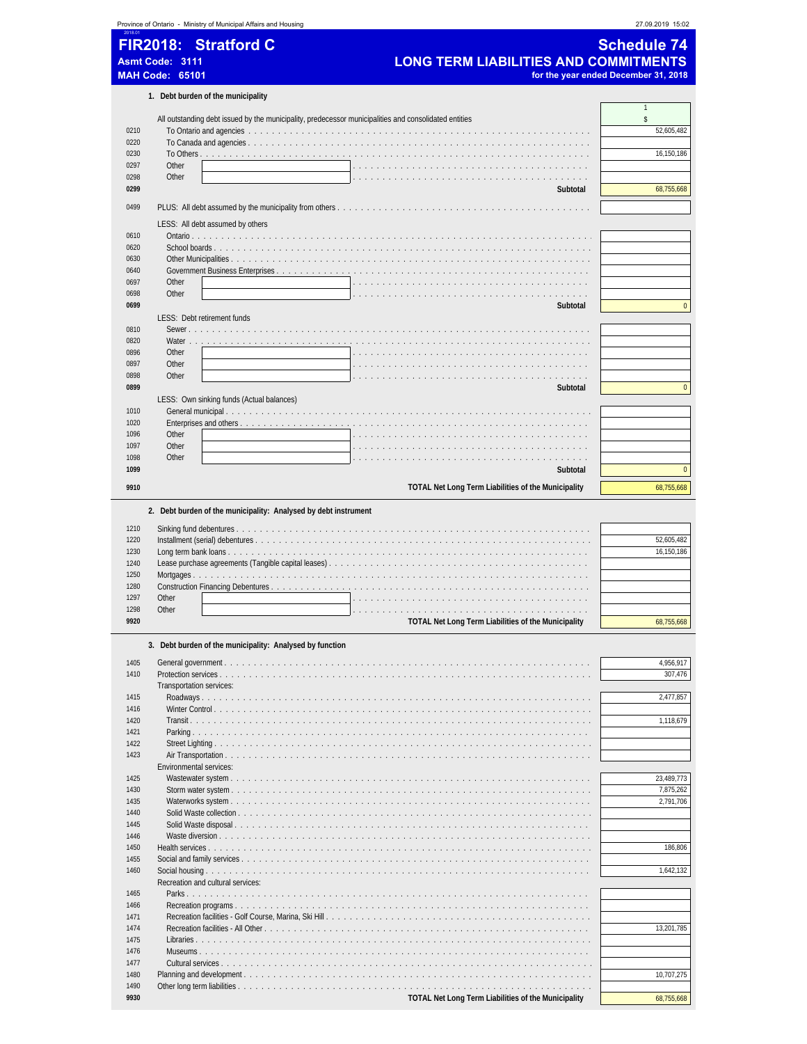| FIR2018: Stratford C<br><b>Schedule 74</b><br><b>LONG TERM LIABILITIES AND COMMITMENTS</b><br><b>Asmt Code: 3111</b><br><b>MAH Code: 65101</b><br>for the year ended December 31, 2018<br>1. Debt burden of the municipality<br>$\mathbf{1}$<br>\$<br>All outstanding debt issued by the municipality, predecessor municipalities and consolidated entities<br>0210<br>0220<br>0230<br>0297<br>Other<br>Other<br>0298<br>0299<br>Subtotal<br>0499<br>LESS: All debt assumed by others<br>0610<br>0620<br>0630<br>0640<br>0697<br>Other<br>0698<br>Other<br>0699<br>Subtotal<br>LESS: Debt retirement funds<br>0810<br>Sewer<br>0820<br>Water<br>0896<br>Other<br>Other<br>0897<br>0898<br>Other<br>0899<br>Subtotal<br>LESS: Own sinking funds (Actual balances)<br>1010<br>1020<br>Enterprises and others<br>1096<br>Other<br>Other<br>1097<br>Other<br>1098<br>1099<br>Subtotal<br>9910<br>TOTAL Net Long Term Liabilities of the Municipality<br>2. Debt burden of the municipality: Analysed by debt instrument<br>1210<br>1220<br>52,605,482<br>1230<br>1240<br>Lease purchase agreements (Tangible capital leases)<br>1250<br>Mortgages<br>1280<br>1297<br>Other<br>1298<br>Other<br>9920<br>TOTAL Net Long Term Liabilities of the Municipality<br>3. Debt burden of the municipality: Analysed by function<br>1405<br>1410<br>Protection services<br>Transportation services:<br>1415<br>1416<br>1420<br>1421<br>1422<br>1423<br>Environmental services: |      | Province of Ontario - Ministry of Municipal Affairs and Housing | 27.09.2019 15:02                                                           |
|------------------------------------------------------------------------------------------------------------------------------------------------------------------------------------------------------------------------------------------------------------------------------------------------------------------------------------------------------------------------------------------------------------------------------------------------------------------------------------------------------------------------------------------------------------------------------------------------------------------------------------------------------------------------------------------------------------------------------------------------------------------------------------------------------------------------------------------------------------------------------------------------------------------------------------------------------------------------------------------------------------------------------------------------------------------------------------------------------------------------------------------------------------------------------------------------------------------------------------------------------------------------------------------------------------------------------------------------------------------------------------------------------------------------------------------------------------------|------|-----------------------------------------------------------------|----------------------------------------------------------------------------|
|                                                                                                                                                                                                                                                                                                                                                                                                                                                                                                                                                                                                                                                                                                                                                                                                                                                                                                                                                                                                                                                                                                                                                                                                                                                                                                                                                                                                                                                                  |      |                                                                 |                                                                            |
|                                                                                                                                                                                                                                                                                                                                                                                                                                                                                                                                                                                                                                                                                                                                                                                                                                                                                                                                                                                                                                                                                                                                                                                                                                                                                                                                                                                                                                                                  |      |                                                                 |                                                                            |
|                                                                                                                                                                                                                                                                                                                                                                                                                                                                                                                                                                                                                                                                                                                                                                                                                                                                                                                                                                                                                                                                                                                                                                                                                                                                                                                                                                                                                                                                  |      |                                                                 |                                                                            |
|                                                                                                                                                                                                                                                                                                                                                                                                                                                                                                                                                                                                                                                                                                                                                                                                                                                                                                                                                                                                                                                                                                                                                                                                                                                                                                                                                                                                                                                                  |      |                                                                 |                                                                            |
|                                                                                                                                                                                                                                                                                                                                                                                                                                                                                                                                                                                                                                                                                                                                                                                                                                                                                                                                                                                                                                                                                                                                                                                                                                                                                                                                                                                                                                                                  |      |                                                                 |                                                                            |
|                                                                                                                                                                                                                                                                                                                                                                                                                                                                                                                                                                                                                                                                                                                                                                                                                                                                                                                                                                                                                                                                                                                                                                                                                                                                                                                                                                                                                                                                  |      |                                                                 |                                                                            |
|                                                                                                                                                                                                                                                                                                                                                                                                                                                                                                                                                                                                                                                                                                                                                                                                                                                                                                                                                                                                                                                                                                                                                                                                                                                                                                                                                                                                                                                                  |      |                                                                 | 52,605,482                                                                 |
|                                                                                                                                                                                                                                                                                                                                                                                                                                                                                                                                                                                                                                                                                                                                                                                                                                                                                                                                                                                                                                                                                                                                                                                                                                                                                                                                                                                                                                                                  |      |                                                                 |                                                                            |
|                                                                                                                                                                                                                                                                                                                                                                                                                                                                                                                                                                                                                                                                                                                                                                                                                                                                                                                                                                                                                                                                                                                                                                                                                                                                                                                                                                                                                                                                  |      |                                                                 | 16,150,186                                                                 |
|                                                                                                                                                                                                                                                                                                                                                                                                                                                                                                                                                                                                                                                                                                                                                                                                                                                                                                                                                                                                                                                                                                                                                                                                                                                                                                                                                                                                                                                                  |      |                                                                 |                                                                            |
|                                                                                                                                                                                                                                                                                                                                                                                                                                                                                                                                                                                                                                                                                                                                                                                                                                                                                                                                                                                                                                                                                                                                                                                                                                                                                                                                                                                                                                                                  |      |                                                                 | 68,755,668                                                                 |
|                                                                                                                                                                                                                                                                                                                                                                                                                                                                                                                                                                                                                                                                                                                                                                                                                                                                                                                                                                                                                                                                                                                                                                                                                                                                                                                                                                                                                                                                  |      |                                                                 |                                                                            |
|                                                                                                                                                                                                                                                                                                                                                                                                                                                                                                                                                                                                                                                                                                                                                                                                                                                                                                                                                                                                                                                                                                                                                                                                                                                                                                                                                                                                                                                                  |      |                                                                 |                                                                            |
|                                                                                                                                                                                                                                                                                                                                                                                                                                                                                                                                                                                                                                                                                                                                                                                                                                                                                                                                                                                                                                                                                                                                                                                                                                                                                                                                                                                                                                                                  |      |                                                                 |                                                                            |
|                                                                                                                                                                                                                                                                                                                                                                                                                                                                                                                                                                                                                                                                                                                                                                                                                                                                                                                                                                                                                                                                                                                                                                                                                                                                                                                                                                                                                                                                  |      |                                                                 |                                                                            |
|                                                                                                                                                                                                                                                                                                                                                                                                                                                                                                                                                                                                                                                                                                                                                                                                                                                                                                                                                                                                                                                                                                                                                                                                                                                                                                                                                                                                                                                                  |      |                                                                 |                                                                            |
|                                                                                                                                                                                                                                                                                                                                                                                                                                                                                                                                                                                                                                                                                                                                                                                                                                                                                                                                                                                                                                                                                                                                                                                                                                                                                                                                                                                                                                                                  |      |                                                                 |                                                                            |
|                                                                                                                                                                                                                                                                                                                                                                                                                                                                                                                                                                                                                                                                                                                                                                                                                                                                                                                                                                                                                                                                                                                                                                                                                                                                                                                                                                                                                                                                  |      |                                                                 |                                                                            |
|                                                                                                                                                                                                                                                                                                                                                                                                                                                                                                                                                                                                                                                                                                                                                                                                                                                                                                                                                                                                                                                                                                                                                                                                                                                                                                                                                                                                                                                                  |      |                                                                 |                                                                            |
|                                                                                                                                                                                                                                                                                                                                                                                                                                                                                                                                                                                                                                                                                                                                                                                                                                                                                                                                                                                                                                                                                                                                                                                                                                                                                                                                                                                                                                                                  |      |                                                                 | $\mathbf{0}$                                                               |
|                                                                                                                                                                                                                                                                                                                                                                                                                                                                                                                                                                                                                                                                                                                                                                                                                                                                                                                                                                                                                                                                                                                                                                                                                                                                                                                                                                                                                                                                  |      |                                                                 |                                                                            |
|                                                                                                                                                                                                                                                                                                                                                                                                                                                                                                                                                                                                                                                                                                                                                                                                                                                                                                                                                                                                                                                                                                                                                                                                                                                                                                                                                                                                                                                                  |      |                                                                 |                                                                            |
|                                                                                                                                                                                                                                                                                                                                                                                                                                                                                                                                                                                                                                                                                                                                                                                                                                                                                                                                                                                                                                                                                                                                                                                                                                                                                                                                                                                                                                                                  |      |                                                                 |                                                                            |
|                                                                                                                                                                                                                                                                                                                                                                                                                                                                                                                                                                                                                                                                                                                                                                                                                                                                                                                                                                                                                                                                                                                                                                                                                                                                                                                                                                                                                                                                  |      |                                                                 |                                                                            |
|                                                                                                                                                                                                                                                                                                                                                                                                                                                                                                                                                                                                                                                                                                                                                                                                                                                                                                                                                                                                                                                                                                                                                                                                                                                                                                                                                                                                                                                                  |      |                                                                 |                                                                            |
|                                                                                                                                                                                                                                                                                                                                                                                                                                                                                                                                                                                                                                                                                                                                                                                                                                                                                                                                                                                                                                                                                                                                                                                                                                                                                                                                                                                                                                                                  |      |                                                                 | $\mathbf 0$                                                                |
|                                                                                                                                                                                                                                                                                                                                                                                                                                                                                                                                                                                                                                                                                                                                                                                                                                                                                                                                                                                                                                                                                                                                                                                                                                                                                                                                                                                                                                                                  |      |                                                                 |                                                                            |
|                                                                                                                                                                                                                                                                                                                                                                                                                                                                                                                                                                                                                                                                                                                                                                                                                                                                                                                                                                                                                                                                                                                                                                                                                                                                                                                                                                                                                                                                  |      |                                                                 |                                                                            |
|                                                                                                                                                                                                                                                                                                                                                                                                                                                                                                                                                                                                                                                                                                                                                                                                                                                                                                                                                                                                                                                                                                                                                                                                                                                                                                                                                                                                                                                                  |      |                                                                 |                                                                            |
|                                                                                                                                                                                                                                                                                                                                                                                                                                                                                                                                                                                                                                                                                                                                                                                                                                                                                                                                                                                                                                                                                                                                                                                                                                                                                                                                                                                                                                                                  |      |                                                                 |                                                                            |
|                                                                                                                                                                                                                                                                                                                                                                                                                                                                                                                                                                                                                                                                                                                                                                                                                                                                                                                                                                                                                                                                                                                                                                                                                                                                                                                                                                                                                                                                  |      |                                                                 |                                                                            |
|                                                                                                                                                                                                                                                                                                                                                                                                                                                                                                                                                                                                                                                                                                                                                                                                                                                                                                                                                                                                                                                                                                                                                                                                                                                                                                                                                                                                                                                                  |      |                                                                 |                                                                            |
|                                                                                                                                                                                                                                                                                                                                                                                                                                                                                                                                                                                                                                                                                                                                                                                                                                                                                                                                                                                                                                                                                                                                                                                                                                                                                                                                                                                                                                                                  |      |                                                                 | $\mathbf{0}$                                                               |
|                                                                                                                                                                                                                                                                                                                                                                                                                                                                                                                                                                                                                                                                                                                                                                                                                                                                                                                                                                                                                                                                                                                                                                                                                                                                                                                                                                                                                                                                  |      |                                                                 | 68,755,668                                                                 |
|                                                                                                                                                                                                                                                                                                                                                                                                                                                                                                                                                                                                                                                                                                                                                                                                                                                                                                                                                                                                                                                                                                                                                                                                                                                                                                                                                                                                                                                                  |      |                                                                 |                                                                            |
|                                                                                                                                                                                                                                                                                                                                                                                                                                                                                                                                                                                                                                                                                                                                                                                                                                                                                                                                                                                                                                                                                                                                                                                                                                                                                                                                                                                                                                                                  |      |                                                                 | 16,150,186                                                                 |
|                                                                                                                                                                                                                                                                                                                                                                                                                                                                                                                                                                                                                                                                                                                                                                                                                                                                                                                                                                                                                                                                                                                                                                                                                                                                                                                                                                                                                                                                  |      |                                                                 |                                                                            |
|                                                                                                                                                                                                                                                                                                                                                                                                                                                                                                                                                                                                                                                                                                                                                                                                                                                                                                                                                                                                                                                                                                                                                                                                                                                                                                                                                                                                                                                                  |      |                                                                 |                                                                            |
|                                                                                                                                                                                                                                                                                                                                                                                                                                                                                                                                                                                                                                                                                                                                                                                                                                                                                                                                                                                                                                                                                                                                                                                                                                                                                                                                                                                                                                                                  |      |                                                                 | 68.755.668                                                                 |
|                                                                                                                                                                                                                                                                                                                                                                                                                                                                                                                                                                                                                                                                                                                                                                                                                                                                                                                                                                                                                                                                                                                                                                                                                                                                                                                                                                                                                                                                  |      |                                                                 |                                                                            |
|                                                                                                                                                                                                                                                                                                                                                                                                                                                                                                                                                                                                                                                                                                                                                                                                                                                                                                                                                                                                                                                                                                                                                                                                                                                                                                                                                                                                                                                                  |      |                                                                 |                                                                            |
|                                                                                                                                                                                                                                                                                                                                                                                                                                                                                                                                                                                                                                                                                                                                                                                                                                                                                                                                                                                                                                                                                                                                                                                                                                                                                                                                                                                                                                                                  |      |                                                                 | 4,956,917                                                                  |
|                                                                                                                                                                                                                                                                                                                                                                                                                                                                                                                                                                                                                                                                                                                                                                                                                                                                                                                                                                                                                                                                                                                                                                                                                                                                                                                                                                                                                                                                  |      |                                                                 | 307,476                                                                    |
|                                                                                                                                                                                                                                                                                                                                                                                                                                                                                                                                                                                                                                                                                                                                                                                                                                                                                                                                                                                                                                                                                                                                                                                                                                                                                                                                                                                                                                                                  |      |                                                                 | 2,477,857                                                                  |
|                                                                                                                                                                                                                                                                                                                                                                                                                                                                                                                                                                                                                                                                                                                                                                                                                                                                                                                                                                                                                                                                                                                                                                                                                                                                                                                                                                                                                                                                  |      |                                                                 |                                                                            |
|                                                                                                                                                                                                                                                                                                                                                                                                                                                                                                                                                                                                                                                                                                                                                                                                                                                                                                                                                                                                                                                                                                                                                                                                                                                                                                                                                                                                                                                                  |      |                                                                 | 1,118,679                                                                  |
|                                                                                                                                                                                                                                                                                                                                                                                                                                                                                                                                                                                                                                                                                                                                                                                                                                                                                                                                                                                                                                                                                                                                                                                                                                                                                                                                                                                                                                                                  |      |                                                                 |                                                                            |
|                                                                                                                                                                                                                                                                                                                                                                                                                                                                                                                                                                                                                                                                                                                                                                                                                                                                                                                                                                                                                                                                                                                                                                                                                                                                                                                                                                                                                                                                  |      |                                                                 |                                                                            |
|                                                                                                                                                                                                                                                                                                                                                                                                                                                                                                                                                                                                                                                                                                                                                                                                                                                                                                                                                                                                                                                                                                                                                                                                                                                                                                                                                                                                                                                                  |      |                                                                 |                                                                            |
| 1430                                                                                                                                                                                                                                                                                                                                                                                                                                                                                                                                                                                                                                                                                                                                                                                                                                                                                                                                                                                                                                                                                                                                                                                                                                                                                                                                                                                                                                                             | 1425 |                                                                 |                                                                            |
| 1435                                                                                                                                                                                                                                                                                                                                                                                                                                                                                                                                                                                                                                                                                                                                                                                                                                                                                                                                                                                                                                                                                                                                                                                                                                                                                                                                                                                                                                                             |      |                                                                 |                                                                            |
| 1440                                                                                                                                                                                                                                                                                                                                                                                                                                                                                                                                                                                                                                                                                                                                                                                                                                                                                                                                                                                                                                                                                                                                                                                                                                                                                                                                                                                                                                                             |      |                                                                 |                                                                            |
|                                                                                                                                                                                                                                                                                                                                                                                                                                                                                                                                                                                                                                                                                                                                                                                                                                                                                                                                                                                                                                                                                                                                                                                                                                                                                                                                                                                                                                                                  |      |                                                                 |                                                                            |
|                                                                                                                                                                                                                                                                                                                                                                                                                                                                                                                                                                                                                                                                                                                                                                                                                                                                                                                                                                                                                                                                                                                                                                                                                                                                                                                                                                                                                                                                  | 1445 |                                                                 |                                                                            |
|                                                                                                                                                                                                                                                                                                                                                                                                                                                                                                                                                                                                                                                                                                                                                                                                                                                                                                                                                                                                                                                                                                                                                                                                                                                                                                                                                                                                                                                                  | 1446 |                                                                 |                                                                            |
| 1455                                                                                                                                                                                                                                                                                                                                                                                                                                                                                                                                                                                                                                                                                                                                                                                                                                                                                                                                                                                                                                                                                                                                                                                                                                                                                                                                                                                                                                                             | 1450 |                                                                 |                                                                            |
| 1460<br>Recreation and cultural services:                                                                                                                                                                                                                                                                                                                                                                                                                                                                                                                                                                                                                                                                                                                                                                                                                                                                                                                                                                                                                                                                                                                                                                                                                                                                                                                                                                                                                        |      |                                                                 |                                                                            |
| 1465                                                                                                                                                                                                                                                                                                                                                                                                                                                                                                                                                                                                                                                                                                                                                                                                                                                                                                                                                                                                                                                                                                                                                                                                                                                                                                                                                                                                                                                             |      |                                                                 |                                                                            |
| 1466<br>1471                                                                                                                                                                                                                                                                                                                                                                                                                                                                                                                                                                                                                                                                                                                                                                                                                                                                                                                                                                                                                                                                                                                                                                                                                                                                                                                                                                                                                                                     |      |                                                                 |                                                                            |
| 1474                                                                                                                                                                                                                                                                                                                                                                                                                                                                                                                                                                                                                                                                                                                                                                                                                                                                                                                                                                                                                                                                                                                                                                                                                                                                                                                                                                                                                                                             |      |                                                                 |                                                                            |
| 1475                                                                                                                                                                                                                                                                                                                                                                                                                                                                                                                                                                                                                                                                                                                                                                                                                                                                                                                                                                                                                                                                                                                                                                                                                                                                                                                                                                                                                                                             |      |                                                                 |                                                                            |
| 1476                                                                                                                                                                                                                                                                                                                                                                                                                                                                                                                                                                                                                                                                                                                                                                                                                                                                                                                                                                                                                                                                                                                                                                                                                                                                                                                                                                                                                                                             |      |                                                                 |                                                                            |
| 1477                                                                                                                                                                                                                                                                                                                                                                                                                                                                                                                                                                                                                                                                                                                                                                                                                                                                                                                                                                                                                                                                                                                                                                                                                                                                                                                                                                                                                                                             |      |                                                                 | 23,489,773<br>7,875,262<br>2,791,706<br>186,806<br>1,642,132<br>13,201,785 |
| 1480                                                                                                                                                                                                                                                                                                                                                                                                                                                                                                                                                                                                                                                                                                                                                                                                                                                                                                                                                                                                                                                                                                                                                                                                                                                                                                                                                                                                                                                             |      |                                                                 | 10,707,275                                                                 |
|                                                                                                                                                                                                                                                                                                                                                                                                                                                                                                                                                                                                                                                                                                                                                                                                                                                                                                                                                                                                                                                                                                                                                                                                                                                                                                                                                                                                                                                                  |      |                                                                 |                                                                            |
|                                                                                                                                                                                                                                                                                                                                                                                                                                                                                                                                                                                                                                                                                                                                                                                                                                                                                                                                                                                                                                                                                                                                                                                                                                                                                                                                                                                                                                                                  |      |                                                                 |                                                                            |
|                                                                                                                                                                                                                                                                                                                                                                                                                                                                                                                                                                                                                                                                                                                                                                                                                                                                                                                                                                                                                                                                                                                                                                                                                                                                                                                                                                                                                                                                  |      |                                                                 |                                                                            |
|                                                                                                                                                                                                                                                                                                                                                                                                                                                                                                                                                                                                                                                                                                                                                                                                                                                                                                                                                                                                                                                                                                                                                                                                                                                                                                                                                                                                                                                                  |      |                                                                 |                                                                            |
|                                                                                                                                                                                                                                                                                                                                                                                                                                                                                                                                                                                                                                                                                                                                                                                                                                                                                                                                                                                                                                                                                                                                                                                                                                                                                                                                                                                                                                                                  |      |                                                                 |                                                                            |
|                                                                                                                                                                                                                                                                                                                                                                                                                                                                                                                                                                                                                                                                                                                                                                                                                                                                                                                                                                                                                                                                                                                                                                                                                                                                                                                                                                                                                                                                  |      |                                                                 |                                                                            |
|                                                                                                                                                                                                                                                                                                                                                                                                                                                                                                                                                                                                                                                                                                                                                                                                                                                                                                                                                                                                                                                                                                                                                                                                                                                                                                                                                                                                                                                                  |      |                                                                 |                                                                            |
|                                                                                                                                                                                                                                                                                                                                                                                                                                                                                                                                                                                                                                                                                                                                                                                                                                                                                                                                                                                                                                                                                                                                                                                                                                                                                                                                                                                                                                                                  |      |                                                                 |                                                                            |
|                                                                                                                                                                                                                                                                                                                                                                                                                                                                                                                                                                                                                                                                                                                                                                                                                                                                                                                                                                                                                                                                                                                                                                                                                                                                                                                                                                                                                                                                  |      |                                                                 |                                                                            |
|                                                                                                                                                                                                                                                                                                                                                                                                                                                                                                                                                                                                                                                                                                                                                                                                                                                                                                                                                                                                                                                                                                                                                                                                                                                                                                                                                                                                                                                                  |      |                                                                 |                                                                            |
|                                                                                                                                                                                                                                                                                                                                                                                                                                                                                                                                                                                                                                                                                                                                                                                                                                                                                                                                                                                                                                                                                                                                                                                                                                                                                                                                                                                                                                                                  |      |                                                                 |                                                                            |
|                                                                                                                                                                                                                                                                                                                                                                                                                                                                                                                                                                                                                                                                                                                                                                                                                                                                                                                                                                                                                                                                                                                                                                                                                                                                                                                                                                                                                                                                  |      |                                                                 |                                                                            |
|                                                                                                                                                                                                                                                                                                                                                                                                                                                                                                                                                                                                                                                                                                                                                                                                                                                                                                                                                                                                                                                                                                                                                                                                                                                                                                                                                                                                                                                                  |      |                                                                 |                                                                            |
| 1490<br>9930<br>TOTAL Net Long Term Liabilities of the Municipality                                                                                                                                                                                                                                                                                                                                                                                                                                                                                                                                                                                                                                                                                                                                                                                                                                                                                                                                                                                                                                                                                                                                                                                                                                                                                                                                                                                              |      |                                                                 | 68,755,668                                                                 |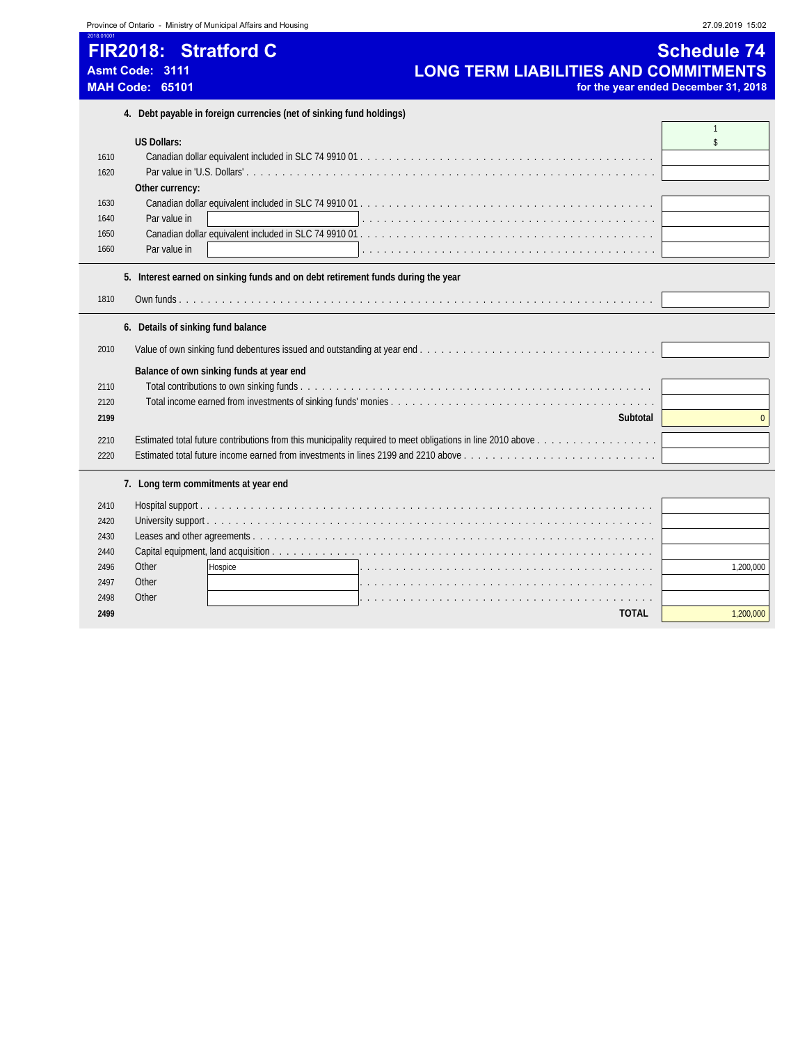|                                              | Province of Ontario - Ministry of Municipal Affairs and Housing                                                          | 27.09.2019 15:02                                           |
|----------------------------------------------|--------------------------------------------------------------------------------------------------------------------------|------------------------------------------------------------|
| 2018 01001                                   | FIR2018: Stratford C<br><b>LONG TERM LIABILITIES AND COMMITMENTS</b><br><b>Asmt Code: 3111</b><br><b>MAH Code: 65101</b> | <b>Schedule 74</b><br>for the year ended December 31, 2018 |
|                                              | 4. Debt payable in foreign currencies (net of sinking fund holdings)                                                     |                                                            |
| 1610<br>1620<br>1630<br>1640<br>1650<br>1660 | <b>US Dollars:</b><br>Other currency:<br>Par value in<br>Par value in                                                    | $\mathbf{1}$<br>\$                                         |
|                                              | 5. Interest earned on sinking funds and on debt retirement funds during the year                                         |                                                            |
| 1810                                         |                                                                                                                          |                                                            |
|                                              | 6. Details of sinking fund balance                                                                                       |                                                            |
| 2010                                         |                                                                                                                          |                                                            |
| 2110<br>2120<br>2199                         | Balance of own sinking funds at year end<br>Subtotal                                                                     | $\Omega$                                                   |
| 2210                                         |                                                                                                                          |                                                            |

Other Hospice . . . . . . . . . . . . . . . . . . . . . . . . . . . . . . . . . . . . . . . . . 1,200,000

**TOTAL** 1,200,000

Estimated total future income earned from investments in lines 2199 and 2210 above . . . . . . . . . . . . . . . . . . . . . . . . . . .

 Hospital support . . . . . . . . . . . . . . . . . . . . . . . . . . . . . . . . . . . . . . . . . . . . . . . . . . . . . . . . . . . . . . . University support . . . . . . . . . . . . . . . . . . . . . . . . . . . . . . . . . . . . . . . . . . . . . . . . . . . . . . . . . . . . . . Leases and other agreements . . . . . . . . . . . . . . . . . . . . . . . . . . . . . . . . . . . . . . . . . . . . . . . . . . . . . . . . Capital equipment, land acquisition . . . . . . . . . . . . . . . . . . . . . . . . . . . . . . . . . . . . . . . . . . . . . . . . . . . . .

 Other . . . . . . . . . . . . . . . . . . . . . . . . . . . . . . . . . . . . . . . . . Other . . . . . . . . . . . . . . . . . . . . . . . . . . . . . . . . . . . . . . . . .

**7. Long term commitments at year end**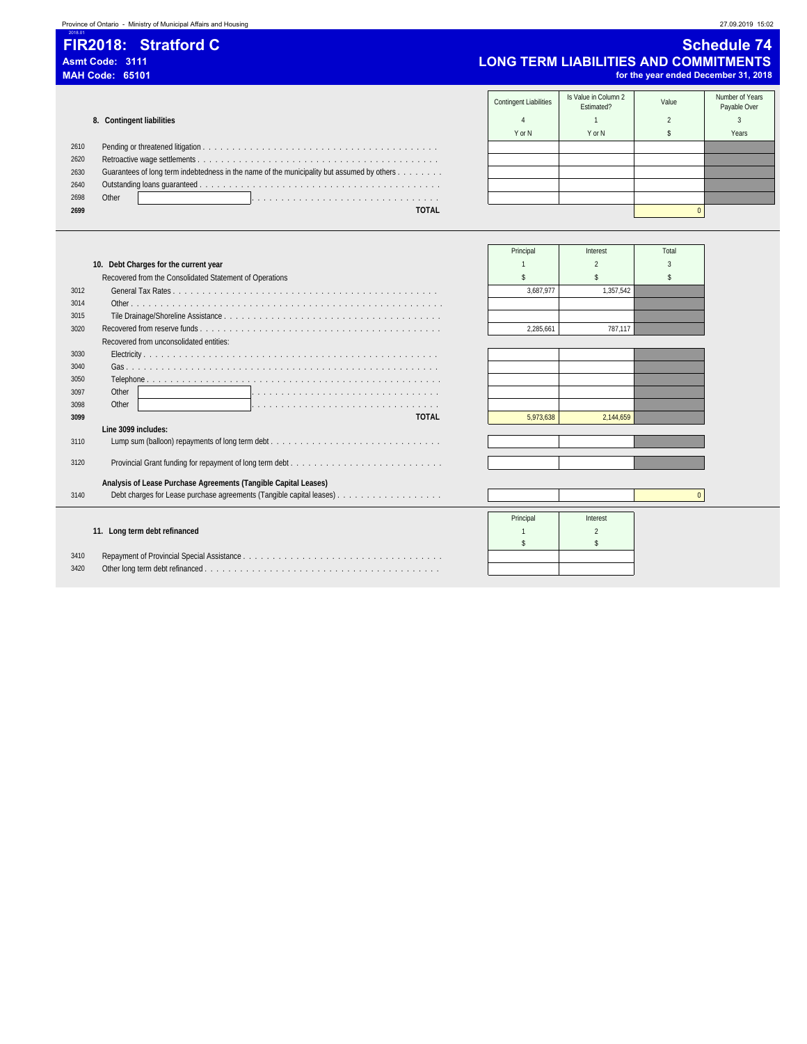# 2018.01

### **FIR2018: Stratford C** Schedule 74<br>Asmt Code: 3111 Asmt Code: 3111 Asmt Code: 3111<br>MAH Code: 65101 **COMMITMENTS**<br>MAH Code: 65101 **ICONG TERM LIABILITIES AND COMMITMENTS** for the year ended December 31, 2018

Contingent Liabilities Is Value in Column 2 Ilue in Column 2 (Inc. 2014)<br>Estimated? Estimated? Column Payable Over **8. Contingent liabilities 8. Contingent liabilities 1 1 2 3 3** YorN | YorN | \$ | Years 2610 Pending or threatened litigation . . . . . . . . . . . . . . . . . . . . . . . . . . . . . . . . . . . . . . . . 2620 Retroactive wage settlements . . . . . . . . . . . . . . . . . . . . . . . . . . . . . . . . . . . . . . . . . 2630 Guarantees of long term indebtedness in the name of the municipality but assumed by others . . . . . . . . 2640 Outstanding loans guaranteed . . . . . . . . . . . . . . . . . . . . . . . . . . . . . . . . . . . . . . . . . 2698 Other . . . . . . . . . . . . . . . . . . . . . . . . . . . . . . . . **2699 TOTAL** 0

|              |                                                                 | Principal | Interest  | Total    |
|--------------|-----------------------------------------------------------------|-----------|-----------|----------|
|              | 10. Debt Charges for the current year                           |           |           |          |
|              | Recovered from the Consolidated Statement of Operations         |           |           |          |
| 3012         |                                                                 | 3.687.977 | 1.357.542 |          |
| 3014         |                                                                 |           |           |          |
| 3015         |                                                                 |           |           |          |
| 3020         |                                                                 | 2.285.661 | 787.117   |          |
|              | Recovered from unconsolidated entities:                         |           |           |          |
| 3030         |                                                                 |           |           |          |
| 3040         |                                                                 |           |           |          |
| 3050         |                                                                 |           |           |          |
| 3097         | Other                                                           |           |           |          |
| 3098         | Other                                                           |           |           |          |
| 3099         | <b>TOTAL</b>                                                    | 5.973.638 | 2.144.659 |          |
|              | Line 3099 includes:                                             |           |           |          |
| 3110         |                                                                 |           |           |          |
| 3120         |                                                                 |           |           |          |
|              |                                                                 |           |           |          |
|              | Analysis of Lease Purchase Agreements (Tangible Capital Leases) |           |           |          |
| 3140         |                                                                 |           |           | $\Omega$ |
|              |                                                                 |           |           |          |
|              |                                                                 |           |           |          |
|              |                                                                 | Principal | Interest  |          |
|              | 11. Long term debt refinanced                                   |           |           |          |
|              |                                                                 |           |           |          |
| 3410<br>3420 |                                                                 |           |           |          |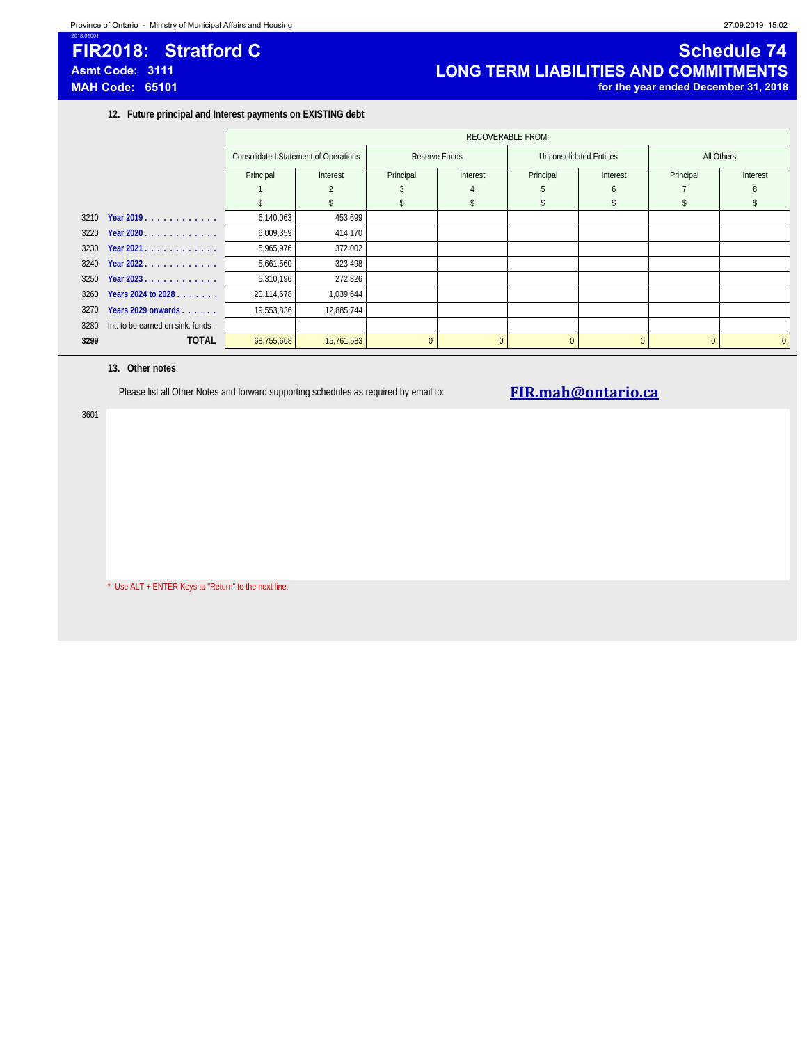# 2018.01001

### **FIR2018: Stratford C** Sample 14 and 2011 12 and 2012 12 and 2012 12 and 2012 12 and 2012 12 and 2012 12 and 2012 12 and 2012 12 and 2012 12 and 2012 12 and 2012 12 and 2012 12 and 2012 12 and 2012 12 and 2012 12 and 2012 **Asmt Code: 3111 LONG TERM LIABILITIES AND COMMITMENTS MAH Code: 65101 for the year ended December 31, 2018**

**12. Future principal and Interest payments on EXISTING debt**

|      |                                   |            | <b>RECOVERABLE FROM:</b>                    |           |               |              |                                |           |              |  |
|------|-----------------------------------|------------|---------------------------------------------|-----------|---------------|--------------|--------------------------------|-----------|--------------|--|
|      |                                   |            | <b>Consolidated Statement of Operations</b> |           | Reserve Funds |              | <b>Unconsolidated Entities</b> |           | All Others   |  |
|      |                                   | Principal  | Interest                                    | Principal | Interest      | Principal    | Interest                       | Principal | Interest     |  |
|      |                                   |            |                                             |           |               |              | <sub>6</sub>                   |           |              |  |
|      |                                   |            |                                             |           |               |              |                                |           |              |  |
| 3210 | Year 2019.                        | 6,140,063  | 453,699                                     |           |               |              |                                |           |              |  |
| 3220 | Year 2020                         | 6,009,359  | 414,170                                     |           |               |              |                                |           |              |  |
| 3230 | Year 2021.                        | 5,965,976  | 372,002                                     |           |               |              |                                |           |              |  |
|      | $3240$ Year 2022                  | 5,661,560  | 323,498                                     |           |               |              |                                |           |              |  |
| 3250 | Year 2023.                        | 5,310,196  | 272,826                                     |           |               |              |                                |           |              |  |
| 3260 | Years 2024 to 2028                | 20,114,678 | 1,039,644                                   |           |               |              |                                |           |              |  |
| 3270 | Years 2029 onwards                | 19,553,836 | 12,885,744                                  |           |               |              |                                |           |              |  |
| 3280 | Int. to be earned on sink. funds. |            |                                             |           |               |              |                                |           |              |  |
| 3299 | <b>TOTAL</b>                      | 68,755,668 | 15,761,583                                  | $\Omega$  | $\Omega$      | $\mathbf{0}$ |                                |           | $\mathbf{0}$ |  |

### **13. Other notes**

3601

Please list all Other Notes and forward supporting schedules as required by email to: **FIR.mah@ontario.ca** 

\* Use ALT + ENTER Keys to "Return" to the next line.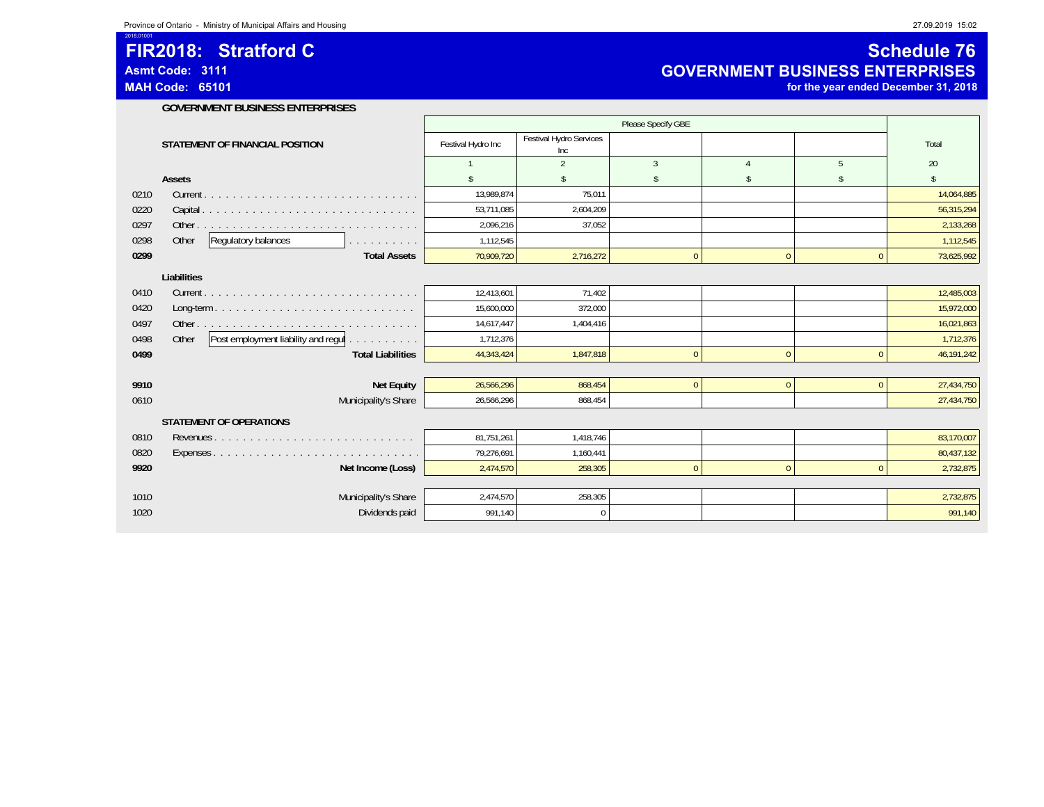**Asmt Code: 3111**

2018.01001

**MAH Code: 65101**

### **FIR2018: Stratford C C** *Schedule 76* **C** *Schedule 76* **Schedule 76 GOVERNMENT BUSINESS ENTERPRISES**

**for the year ended December 31, 2018**

| <b>GOVERNMENT BUSINESS ENTERPRISES</b> |
|----------------------------------------|
|                                        |

|             | STATEMENT OF FINANCIAL POSITION                     | Festival Hydro Inc | Festival Hydro Services<br>Inc |               |                |                | Total      |  |
|-------------|-----------------------------------------------------|--------------------|--------------------------------|---------------|----------------|----------------|------------|--|
|             |                                                     |                    | 2                              | 3             | $\overline{4}$ | $\overline{5}$ | 20         |  |
|             | Assets                                              |                    | <sup>\$</sup>                  | $\mathsf{\$}$ | \$             | -\$            | \$         |  |
| 0210        |                                                     | 13,989,874         | 75,011                         |               |                |                | 14,064,885 |  |
| 0220        |                                                     | 53,711,085         | 2,604,209                      |               |                |                | 56,315,294 |  |
| 0297        |                                                     | 2,096,216          | 37.052                         |               |                |                | 2,133,268  |  |
| 0298        | Regulatory balances<br>Other<br>and and and and and | 1,112,545          |                                |               |                |                | 1,112,545  |  |
| 0299        | <b>Total Assets</b>                                 | 70,909,720         | 2,716,272                      | $\Omega$      | $\Omega$       | $\Omega$       | 73,625,992 |  |
| Liabilities |                                                     |                    |                                |               |                |                |            |  |
| 0410        |                                                     | 12,413,601         | 71.402                         |               |                |                | 12,485,003 |  |
| 0420        |                                                     | 15,600,000         | 372,000                        |               |                |                | 15,972,000 |  |
| 0497        |                                                     | 14,617,447         | 1,404,416                      |               |                |                | 16,021,863 |  |
| 0498        | Post employment liability and regul<br>Other        | 1,712,376          |                                |               |                |                | 1,712,376  |  |
| 0499        | <b>Total Liabilities</b>                            | 44,343,424         | 1,847,818                      | $\mathbf{0}$  | $\mathbf{0}$   | $\mathbf{0}$   | 46,191,242 |  |
|             |                                                     |                    |                                |               |                |                |            |  |
| 9910        | <b>Net Equity</b>                                   | 26,566,296         | 868,454                        | $\mathbf{0}$  | $\mathbf{0}$   | $\mathbf{0}$   | 27,434,750 |  |
| 0610        | Municipality's Share                                | 26,566,296         | 868,454                        |               |                |                | 27,434,750 |  |
|             | <b>STATEMENT OF OPERATIONS</b>                      |                    |                                |               |                |                |            |  |
| 0810        |                                                     | 81,751,261         | 1,418,746                      |               |                |                | 83,170,007 |  |
| 0820        |                                                     | 79,276,691         | 1,160,441                      |               |                |                | 80,437,132 |  |
| 9920        | Net Income (Loss)                                   | 2,474,570          | 258,305                        | $\Omega$      | $\mathbf{0}$   | $\mathbf{0}$   | 2,732,875  |  |
|             |                                                     |                    |                                |               |                |                |            |  |
| 1010        | Municipality's Share                                | 2,474,570          | 258,305                        |               |                |                | 2,732,875  |  |
| 1020        | Dividends paid                                      | 991,140            | $\Omega$                       |               |                |                | 991,140    |  |

 $\overline{\text{SES}}$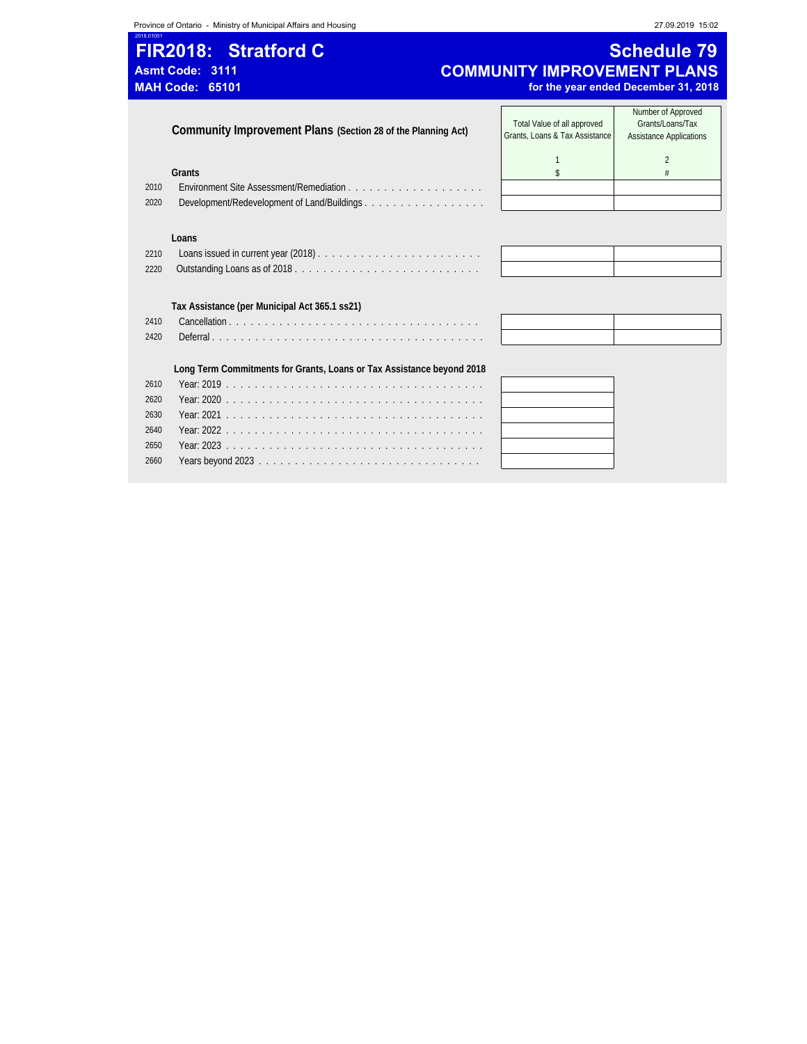**Province of Ontario - Ministry of Municipal Affairs and Housing 27.09.2019 15:02** 

2660 Years beyond 2023 . . . . . . . . . . . . . . . . . . . . . . . . . . . . . . .

# 2018.01001 **FIR2018: Stratford C Schedule 79** Asmt Code: 3111<br> **Asmt Code: 3111 COMMUNITY IMPROVEMENT PLANS**<br> **MAH Code: 65101 for the year ended December 31, 2018**

for the year ended December 31, 2018

|      | Community Improvement Plans (Section 28 of the Planning Act)          | Total Value of all approved<br>Grants, Loans & Tax Assistance | Number of Approved<br>Grants/Loans/Tax<br><b>Assistance Applications</b> |
|------|-----------------------------------------------------------------------|---------------------------------------------------------------|--------------------------------------------------------------------------|
|      |                                                                       |                                                               | $\mathfrak{D}$                                                           |
|      | Grants                                                                |                                                               |                                                                          |
| 2010 |                                                                       |                                                               |                                                                          |
| 2020 |                                                                       |                                                               |                                                                          |
|      |                                                                       |                                                               |                                                                          |
|      | Loans                                                                 |                                                               |                                                                          |
| 2210 |                                                                       |                                                               |                                                                          |
| 2220 |                                                                       |                                                               |                                                                          |
|      |                                                                       |                                                               |                                                                          |
|      | Tax Assistance (per Municipal Act 365.1 ss21)                         |                                                               |                                                                          |
| 2410 |                                                                       |                                                               |                                                                          |
| 2420 |                                                                       |                                                               |                                                                          |
|      |                                                                       |                                                               |                                                                          |
|      |                                                                       |                                                               |                                                                          |
|      | Long Term Commitments for Grants, Loans or Tax Assistance beyond 2018 |                                                               |                                                                          |
| 2610 |                                                                       |                                                               |                                                                          |
| 2620 |                                                                       |                                                               |                                                                          |
| 2630 |                                                                       |                                                               |                                                                          |
| 2640 |                                                                       |                                                               |                                                                          |
| 2650 | Year: 2023                                                            |                                                               |                                                                          |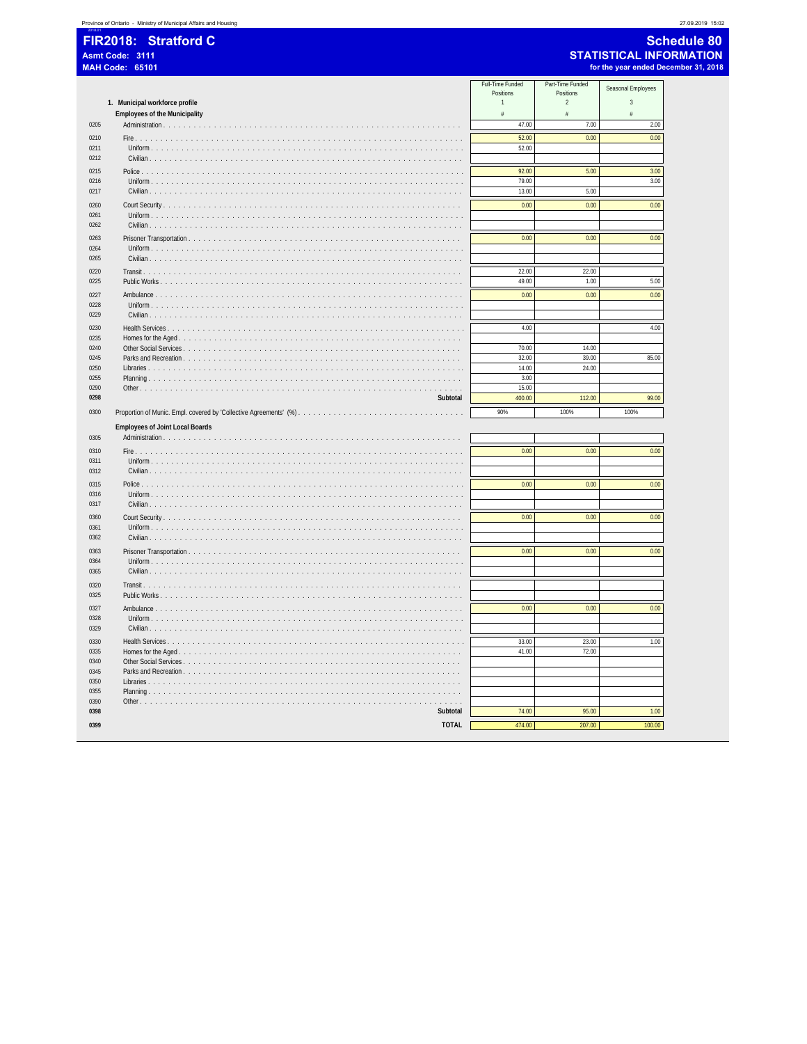| <b>Schedule 80</b> |
|--------------------|
| -----------------  |

**STATISTICAL INFORMATION**<br>for the year ended December 31, 2018

|              | I IIVAV IV.<br>w.<br>Asmt Code: 3111<br><b>MAH Code: 65101</b> |                               |                               | $-$<br><b>STATISTICAL INFO</b><br>for the year ended Dec |
|--------------|----------------------------------------------------------------|-------------------------------|-------------------------------|----------------------------------------------------------|
|              |                                                                | Full-Time Funded<br>Positions | Part-Time Funded<br>Positions | Seasonal Employees                                       |
|              | 1. Municipal workforce profile                                 | $\mathbf{1}$                  | $\overline{2}$                | $\sqrt{3}$                                               |
|              | <b>Employees of the Municipality</b>                           | #                             | #                             | $\#$                                                     |
| 0205         |                                                                | 47.00                         | 7.00                          | 2.00                                                     |
| 0210         |                                                                | 52.00                         | 0.00                          | 0.00                                                     |
| 0211<br>0212 | Civilian $\ldots$ , $\ldots$ , $\ldots$                        | 52.00                         |                               |                                                          |
| 0215         | Police                                                         | 92.00                         | 5.00                          | 3.00                                                     |
| 0216         | Uniform                                                        | 79.00                         |                               | 3.00                                                     |
| 0217         |                                                                | 13.00                         | 5.00                          |                                                          |
| 0260         |                                                                | 0.00                          | 0.00                          | 0.00                                                     |
| 0261<br>0262 | Civilian $\ldots$ $\ldots$ $\ldots$ $\ldots$                   |                               |                               |                                                          |
| 0263         |                                                                | 0.00                          | 0.00                          | 0.00                                                     |
| 0264         | Uniform                                                        |                               |                               |                                                          |
| 0265         |                                                                |                               |                               |                                                          |
|              |                                                                |                               |                               |                                                          |
| 0220         |                                                                | 22.00                         | 22.00                         |                                                          |
| 0225         |                                                                | 49.00                         | 1.00                          | 5.00                                                     |
| 0227         | Ambulance                                                      | 0.00                          | 0.00                          | 0.00                                                     |
| 0228         |                                                                |                               |                               |                                                          |
| 0229         |                                                                |                               |                               |                                                          |
| 0230         | Health Services                                                | 4.00                          |                               | 4.00                                                     |
| 0235         |                                                                |                               |                               |                                                          |
| 0240         | Other Social Services                                          | 70.00                         | 14.00                         |                                                          |
| 0245<br>0250 |                                                                | 32.00<br>14.00                | 39.00<br>24.00                | 85.00                                                    |
| 0255         | Planning                                                       | 3.00                          |                               |                                                          |
| 0290         | Other<br>.                                                     | 15.00                         |                               |                                                          |
| 0298         | Subtotal                                                       | 400.00                        | 112.00                        | 99.00                                                    |
| 0300         |                                                                | 90%                           | 100%                          | 100%                                                     |
|              | <b>Employees of Joint Local Boards</b>                         |                               |                               |                                                          |
| 0305         |                                                                |                               |                               |                                                          |
| 0310         | Fire                                                           | 0.00                          | 0.00                          | 0.00                                                     |
| 0311         |                                                                |                               |                               |                                                          |
| 0312         |                                                                |                               |                               |                                                          |
| 0315         | Police                                                         | 0.00                          | 0.00                          | 0.00                                                     |
| 0316         | Uniform                                                        |                               |                               |                                                          |
| 0317         |                                                                |                               |                               |                                                          |
| 0360         |                                                                | 0.00                          | 0.00                          | 0.00                                                     |
| 0361         |                                                                |                               |                               |                                                          |
| 0362         | Civilian $\ldots$ $\ldots$ $\ldots$                            |                               |                               |                                                          |
|              |                                                                |                               |                               |                                                          |
| 0363<br>0364 | Uniform $\ldots$ $\ldots$ $\ldots$ $\ldots$                    | 0.00                          | 0.00                          | 0.00                                                     |
| 0365         | Civilian                                                       |                               |                               |                                                          |
|              |                                                                |                               |                               |                                                          |
| 0320         | Transit.                                                       |                               |                               |                                                          |
| 0325         | Public Works                                                   |                               |                               |                                                          |
| 0327         | Ambulance                                                      | 0.00                          | 0.00                          | 0.00                                                     |
| 0328         |                                                                |                               |                               |                                                          |
| 0329         |                                                                |                               |                               |                                                          |
| 0330         |                                                                | 33.00                         | 23.00                         | 1.00                                                     |
| 0335         |                                                                | 41.00                         | 72.00                         |                                                          |
| 0340         |                                                                |                               |                               |                                                          |
|              |                                                                |                               |                               |                                                          |
| 0345         |                                                                |                               |                               |                                                          |
| 0350         | .                                                              |                               |                               |                                                          |
| 0355         |                                                                |                               |                               |                                                          |
| 0390         | $\alpha$ , $\alpha$ , $\alpha$ , $\alpha$                      |                               |                               |                                                          |
| 0398<br>0399 | Subtotal<br>TOTAL                                              | 74.00<br>474.00               | 95.00<br>207.00               | 1.00<br>100.00                                           |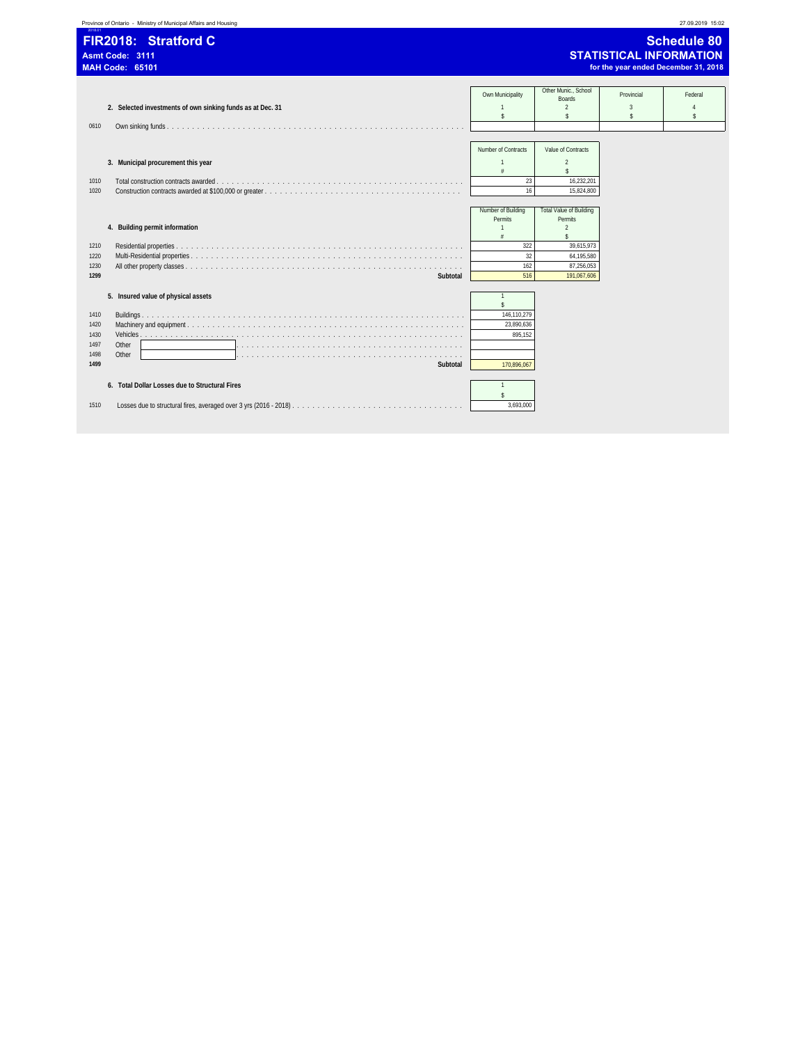| 2018.01                                      | Province of Ontario - Ministry of Municipal Affairs and Housing   |                                                                                  |                                                                                                                                            | 27.09.2019 15:02                                      |                                                                                              |
|----------------------------------------------|-------------------------------------------------------------------|----------------------------------------------------------------------------------|--------------------------------------------------------------------------------------------------------------------------------------------|-------------------------------------------------------|----------------------------------------------------------------------------------------------|
|                                              | FIR2018: Stratford C<br>Asmt Code: 3111<br><b>MAH Code: 65101</b> |                                                                                  |                                                                                                                                            |                                                       | <b>Schedule 80</b><br><b>STATISTICAL INFORMATION</b><br>for the year ended December 31, 2018 |
| 0610                                         | 2. Selected investments of own sinking funds as at Dec. 31        | Own Municipality<br>$\mathbf{1}$<br>$\mathsf{s}$                                 | Other Munic., School<br><b>Boards</b><br>$\overline{2}$<br>$\mathbb{S}$                                                                    | Provincial<br>$\overline{\mathbf{3}}$<br>$\mathsf{s}$ | Federal<br>$\mathsf S$                                                                       |
| 1010<br>1020                                 | 3. Municipal procurement this year                                | Number of Contracts<br>$\mathbf{1}$<br>$\#$<br>23<br>16                          | Value of Contracts<br>$\overline{2}$<br>$\mathbb{S}$<br>16.232.201<br>15,824,800                                                           |                                                       |                                                                                              |
| 1210<br>1220<br>1230<br>1299                 | 4. Building permit information<br>Subtotal                        | Number of Building<br>Permits<br>$\mathbf{1}$<br>$\#$<br>322<br>32<br>162<br>516 | <b>Total Value of Building</b><br>Permits<br>$\overline{2}$<br>$\mathbf{\hat{s}}$<br>39,615,973<br>64,195,580<br>87,256,053<br>191,067,606 |                                                       |                                                                                              |
| 1410<br>1420<br>1430<br>1497<br>1498<br>1499 | 5. Insured value of physical assets<br>Other<br>Other<br>Subtotal | \$<br>146.110.279<br>23,890,636<br>895.152<br>170.896.067                        |                                                                                                                                            |                                                       |                                                                                              |
| 1510                                         | 6. Total Dollar Losses due to Structural Fires                    | $\mathbf{1}$<br>\$<br>3.693.000                                                  |                                                                                                                                            |                                                       |                                                                                              |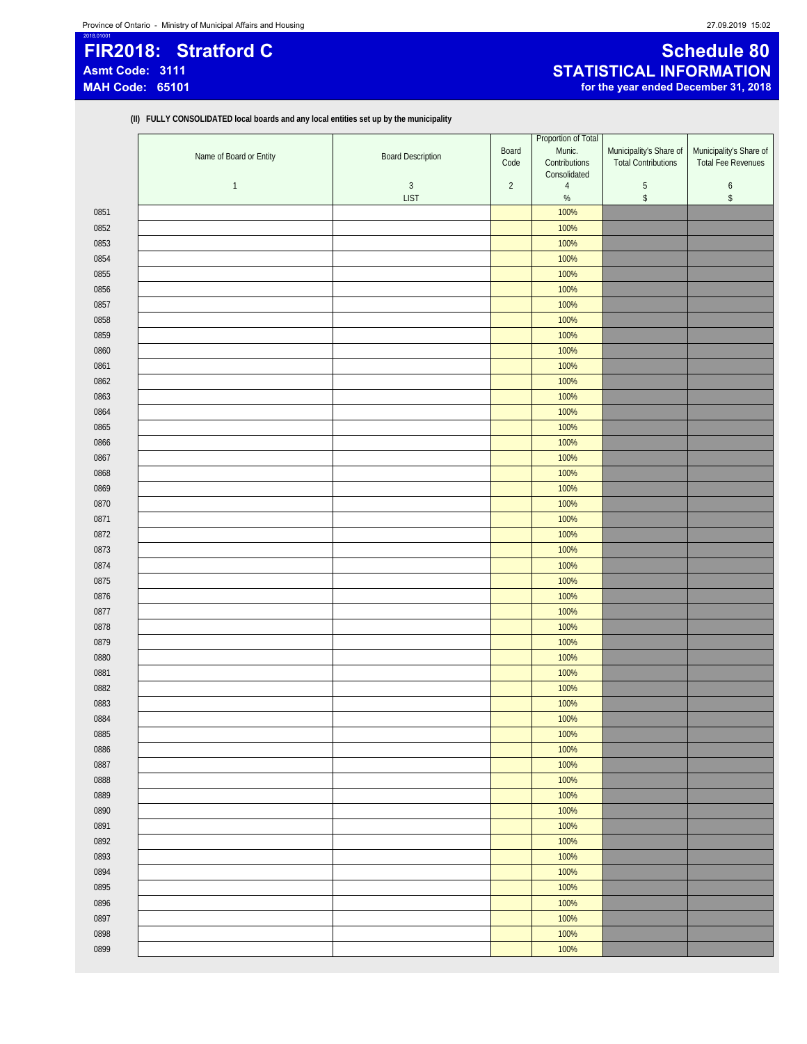# 2018.01001 **FIR2018: Stratford C Schedule 80**

### **Asmt Code: 3111 STATISTICAL INFORMATION** for the year ended December 31, 2018

**(II) FULLY CONSOLIDATED local boards and any local entities set up by the municipality**

|      | Name of Board or Entity | <b>Board Description</b> | Board<br>Code  | Proportion of Total<br>Munic.<br>Contributions | Municipality's Share of<br><b>Total Contributions</b> | Municipality's Share of<br><b>Total Fee Revenues</b> |
|------|-------------------------|--------------------------|----------------|------------------------------------------------|-------------------------------------------------------|------------------------------------------------------|
|      | $\mathbf{1}$            | $\sqrt{3}$               | $\overline{2}$ | Consolidated<br>$\overline{4}$                 | $\sqrt{5}$                                            | $\boldsymbol{6}$                                     |
|      |                         | <b>LIST</b>              |                | $\%$                                           | $\,$                                                  | $\,$                                                 |
| 0851 |                         |                          |                | 100%                                           |                                                       |                                                      |
| 0852 |                         |                          |                | 100%                                           |                                                       |                                                      |
| 0853 |                         |                          |                | 100%                                           |                                                       |                                                      |
| 0854 |                         |                          |                | 100%                                           |                                                       |                                                      |
| 0855 |                         |                          |                | 100%                                           |                                                       |                                                      |
| 0856 |                         |                          |                | 100%                                           |                                                       |                                                      |
| 0857 |                         |                          |                | 100%                                           |                                                       |                                                      |
| 0858 |                         |                          |                | 100%                                           |                                                       |                                                      |
| 0859 |                         |                          |                | 100%                                           |                                                       |                                                      |
| 0860 |                         |                          |                | 100%                                           |                                                       |                                                      |
| 0861 |                         |                          |                | 100%                                           |                                                       |                                                      |
| 0862 |                         |                          |                | 100%                                           |                                                       |                                                      |
| 0863 |                         |                          |                | 100%                                           |                                                       |                                                      |
| 0864 |                         |                          |                | 100%                                           |                                                       |                                                      |
| 0865 |                         |                          |                | 100%                                           |                                                       |                                                      |
| 0866 |                         |                          |                | 100%                                           |                                                       |                                                      |
| 0867 |                         |                          |                | 100%                                           |                                                       |                                                      |
| 0868 |                         |                          |                | 100%                                           |                                                       |                                                      |
| 0869 |                         |                          |                | 100%                                           |                                                       |                                                      |
| 0870 |                         |                          |                | 100%                                           |                                                       |                                                      |
| 0871 |                         |                          |                | 100%                                           |                                                       |                                                      |
| 0872 |                         |                          |                | 100%                                           |                                                       |                                                      |
| 0873 |                         |                          |                | 100%                                           |                                                       |                                                      |
| 0874 |                         |                          |                | 100%                                           |                                                       |                                                      |
| 0875 |                         |                          |                | 100%                                           |                                                       |                                                      |
| 0876 |                         |                          |                | 100%                                           |                                                       |                                                      |
| 0877 |                         |                          |                | 100%                                           |                                                       |                                                      |
| 0878 |                         |                          |                | 100%                                           |                                                       |                                                      |
| 0879 |                         |                          |                | 100%                                           |                                                       |                                                      |
| 0880 |                         |                          |                | 100%                                           |                                                       |                                                      |
| 0881 |                         |                          |                | 100%                                           |                                                       |                                                      |
| 0882 |                         |                          |                | 100%                                           |                                                       |                                                      |
| 0883 |                         |                          |                | 100%                                           |                                                       |                                                      |
| 0884 |                         |                          |                | 100%                                           |                                                       |                                                      |
| 0885 |                         |                          |                | 100%                                           |                                                       |                                                      |
| 0886 |                         |                          |                | 100%                                           |                                                       |                                                      |
| 0887 |                         |                          |                | 100%                                           |                                                       |                                                      |
| 0888 |                         |                          |                | 100%                                           |                                                       |                                                      |
| 0889 |                         |                          |                | 100%                                           |                                                       |                                                      |
| 0890 |                         |                          |                | 100%                                           |                                                       |                                                      |
| 0891 |                         |                          |                | 100%                                           |                                                       |                                                      |
| 0892 |                         |                          |                | 100%                                           |                                                       |                                                      |
| 0893 |                         |                          |                | 100%                                           |                                                       |                                                      |
| 0894 |                         |                          |                | 100%                                           |                                                       |                                                      |
| 0895 |                         |                          |                | 100%                                           |                                                       |                                                      |
| 0896 |                         |                          |                | 100%                                           |                                                       |                                                      |
| 0897 |                         |                          |                | 100%                                           |                                                       |                                                      |
| 0898 |                         |                          |                | 100%                                           |                                                       |                                                      |
| 0899 |                         |                          |                | 100%                                           |                                                       |                                                      |
|      |                         |                          |                |                                                |                                                       |                                                      |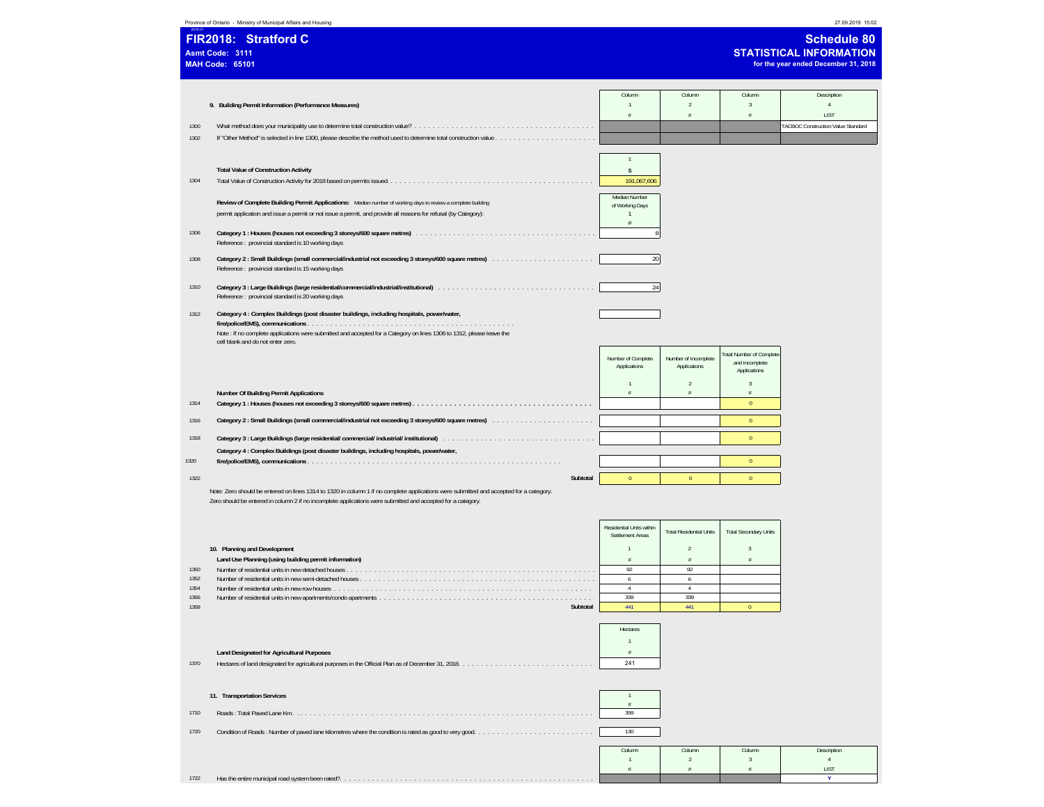| Province of Ontario - Ministry of Municipal Affairs and Housir |  |  |  |  |
|----------------------------------------------------------------|--|--|--|--|
|                                                                |  |  |  |  |

|      | Province of Ontario - Ministry of Municipal Affairs and Housing                                                   |                                  |        |        | 27.09.2019 15:02                                                                             |
|------|-------------------------------------------------------------------------------------------------------------------|----------------------------------|--------|--------|----------------------------------------------------------------------------------------------|
|      | FIR2018: Stratford C<br>Asmt Code: 3111<br><b>MAH Code: 65101</b>                                                 |                                  |        |        | <b>Schedule 80</b><br><b>STATISTICAL INFORMATION</b><br>for the year ended December 31, 2018 |
|      |                                                                                                                   | Column                           | Column | Column | Description                                                                                  |
|      | 9. Building Permit Information (Performance Measures)                                                             |                                  |        |        |                                                                                              |
|      |                                                                                                                   |                                  |        |        | LIST                                                                                         |
| 1300 |                                                                                                                   |                                  |        |        | TACBOC Construction Value Standard                                                           |
| 1302 | If "Other Method" is selected in line 1300, please describe the method used to determine total construction value |                                  |        |        |                                                                                              |
|      |                                                                                                                   |                                  |        |        |                                                                                              |
|      |                                                                                                                   |                                  |        |        |                                                                                              |
|      | <b>Total Value of Construction Activity</b>                                                                       |                                  |        |        |                                                                                              |
| 1304 |                                                                                                                   | 191,067,606                      |        |        |                                                                                              |
|      |                                                                                                                   |                                  |        |        |                                                                                              |
|      | Review of Complete Building Permit Applications: Median number of working days to review a complete building      | Median Number<br>of Working Days |        |        |                                                                                              |
|      | permit application and issue a permit or not issue a permit, and provide all reasons for refusal (by Category):   |                                  |        |        |                                                                                              |
|      |                                                                                                                   |                                  |        |        |                                                                                              |
|      |                                                                                                                   |                                  |        |        |                                                                                              |

1306 **Category 1 : Houses (houses not exceeding 3 storeys/600 square metres)** . . . . . . . . . . . . . . . . . . . . . . . . . . . . . . . . . . . . . . . 8 Reference : provincial standard is 10 working days

- 1308 **Category 2 : Small Buildings (small commercial/industrial not exceeding 3 storeys/600 square metres)** . . . . . . . . . . . . . . . . . . . . . . 20 Reference : provincial standard is 15 working days
- 1310 **Category 3 : Large Buildings (large residential/commercial/industrial/institutional)** . . . . . . . . . . . . . . . . . . . . . . . . . . . . . . . . . . 24 Reference : provincial standard is 20 working days
- 1312 **Category 4 : Complex Buildings (post disaster buildings, including hospitals, power/water, fire/police/EMS), communications** . . . . . . . . . . . . . . . . . . . . . . . . . . . . . . . . . . . . . . . . . . . . . Note : If no complete applications were submitted and accepted for a Category on lines 1306 to 1312, please leave the cell blank and do not enter zero.

|      |                                                                                            | Number of Complete<br>Applications | Number of Incomplete<br>Applications | <b>Total Number of Complete</b><br>and Incomplete<br>Applications |
|------|--------------------------------------------------------------------------------------------|------------------------------------|--------------------------------------|-------------------------------------------------------------------|
|      |                                                                                            |                                    |                                      |                                                                   |
|      | <b>Number Of Building Permit Applications</b>                                              |                                    |                                      |                                                                   |
| 1314 |                                                                                            |                                    |                                      |                                                                   |
| 1316 |                                                                                            |                                    |                                      |                                                                   |
| 1318 |                                                                                            |                                    |                                      |                                                                   |
|      | Category 4 : Complex Buildings (post disaster buildings, including hospitals, power/water, |                                    |                                      |                                                                   |
| 1320 |                                                                                            |                                    |                                      |                                                                   |
| 1322 | Subtotal                                                                                   |                                    |                                      |                                                                   |

Note: Zero should be entered on lines 1314 to 1320 in column 1 if no complete applications were submitted and accepted for a category. Zero should be entered in column 2 if no incomplete applications were submitted and accepted for a category.

|      |                                                       | Residential Units within<br>Settlement Areas | <b>Total Residential Units</b> | <b>Total Secondary Units</b> |  |
|------|-------------------------------------------------------|----------------------------------------------|--------------------------------|------------------------------|--|
|      | 10. Planning and Development                          |                                              |                                |                              |  |
|      | Land Use Planning (using building permit information) |                                              |                                |                              |  |
| 1350 |                                                       |                                              |                                |                              |  |
| 1352 |                                                       |                                              |                                |                              |  |
| 1354 |                                                       |                                              |                                |                              |  |
| 1356 |                                                       | 339                                          |                                |                              |  |
| 1358 | Subtotal                                              | 441                                          |                                |                              |  |

|      |                                           | Hectares |  |
|------|-------------------------------------------|----------|--|
|      |                                           |          |  |
|      | Land Designated for Agricultural Purposes |          |  |
| 1370 |                                           | 241      |  |

|      | 11. Transportation Services                       |        |        |        |             |
|------|---------------------------------------------------|--------|--------|--------|-------------|
| 1710 |                                                   | 399    |        |        |             |
| 1720 |                                                   | 130    |        |        |             |
|      |                                                   | Column | Column | Column | Description |
|      |                                                   |        |        |        |             |
|      |                                                   |        |        |        | LIST        |
| 1722 | Has the entire municipal road system been rated?. |        |        |        |             |
|      |                                                   |        |        |        |             |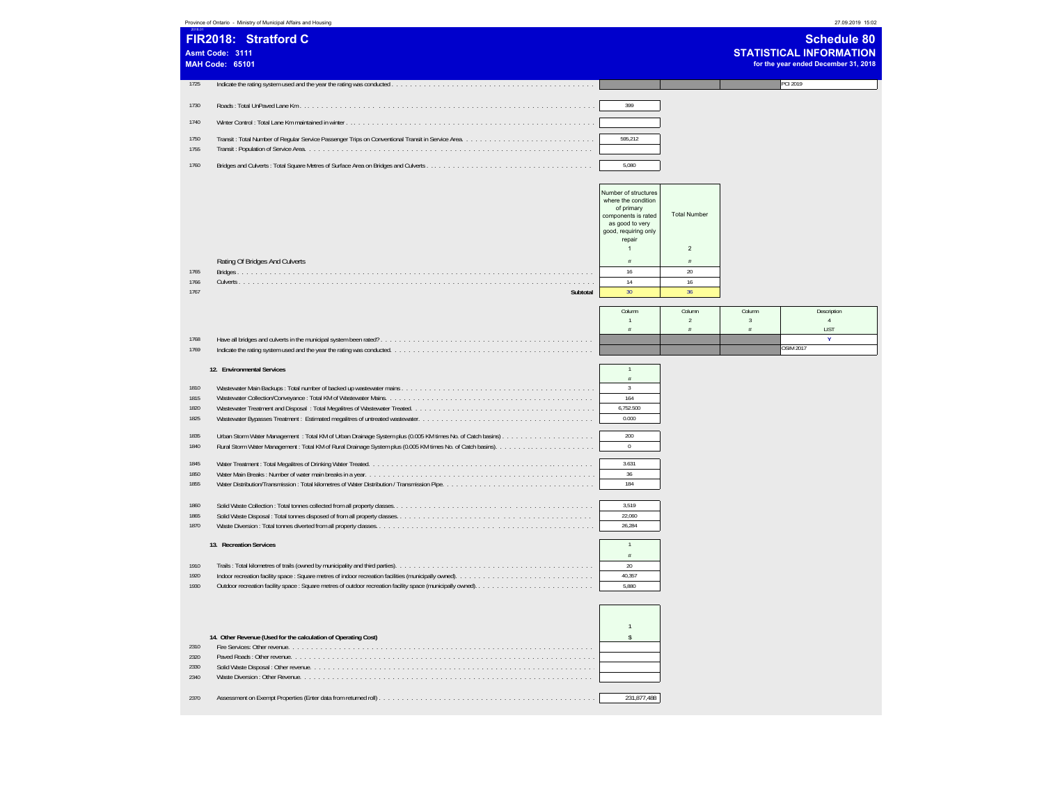|                                      | Province of Ontario - Ministry of Municipal Affairs and Housing   |                                                                                                                             |                          |                          | 27.09.2019 15:02                                                                             |
|--------------------------------------|-------------------------------------------------------------------|-----------------------------------------------------------------------------------------------------------------------------|--------------------------|--------------------------|----------------------------------------------------------------------------------------------|
|                                      | FIR2018: Stratford C<br>Asmt Code: 3111<br><b>MAH Code: 65101</b> |                                                                                                                             |                          |                          | <b>Schedule 80</b><br><b>STATISTICAL INFORMATION</b><br>for the year ended December 31, 2018 |
| 1725                                 |                                                                   |                                                                                                                             |                          |                          | <b>PCI 2019</b>                                                                              |
| 1730                                 |                                                                   | 399                                                                                                                         |                          |                          |                                                                                              |
| 1740                                 |                                                                   |                                                                                                                             |                          |                          |                                                                                              |
| 1750                                 |                                                                   | 595,212                                                                                                                     |                          |                          |                                                                                              |
| 1755                                 |                                                                   |                                                                                                                             |                          |                          |                                                                                              |
| 1760                                 |                                                                   | 5,080                                                                                                                       |                          |                          |                                                                                              |
|                                      |                                                                   | Number of structures<br>where the condition<br>of primary<br>components is rated<br>as good to very<br>good, requiring only | <b>Total Number</b>      |                          |                                                                                              |
|                                      |                                                                   | repair<br>$\mathbf{1}$                                                                                                      | $\overline{c}$           |                          |                                                                                              |
|                                      | Rating Of Bridges And Culverts                                    | #                                                                                                                           | #                        |                          |                                                                                              |
| 1765<br>1766                         |                                                                   | 16<br>14                                                                                                                    | $20\,$<br>16             |                          |                                                                                              |
| 1767                                 | Subtotal                                                          | 30                                                                                                                          | 36                       |                          |                                                                                              |
|                                      |                                                                   | Column                                                                                                                      | Column<br>$\overline{2}$ | Column<br>$\overline{3}$ | Description<br>$\overline{4}$                                                                |
|                                      |                                                                   | #                                                                                                                           | #                        | #                        | LIST                                                                                         |
| 1768<br>1769                         |                                                                   |                                                                                                                             |                          |                          | Ÿ<br><b>OSIM 2017</b>                                                                        |
|                                      | 12. Environmental Services                                        | $\overline{1}$                                                                                                              |                          |                          |                                                                                              |
|                                      |                                                                   | $\#$                                                                                                                        |                          |                          |                                                                                              |
| 1810<br>1815                         |                                                                   | $\mathbf{3}$<br>164                                                                                                         |                          |                          |                                                                                              |
| 1820<br>1825                         |                                                                   | 6,752.500<br>0.000                                                                                                          |                          |                          |                                                                                              |
| 1835                                 |                                                                   | 200                                                                                                                         |                          |                          |                                                                                              |
| 1840                                 |                                                                   | $\mathbf 0$                                                                                                                 |                          |                          |                                                                                              |
| 1845                                 |                                                                   | 3.631                                                                                                                       |                          |                          |                                                                                              |
| 1850<br>1855                         |                                                                   | 36<br>184                                                                                                                   |                          |                          |                                                                                              |
|                                      |                                                                   |                                                                                                                             |                          |                          |                                                                                              |
| 1860<br>1865                         |                                                                   | 3,519<br>22,060                                                                                                             |                          |                          |                                                                                              |
| 1870                                 |                                                                   | 26,284                                                                                                                      |                          |                          |                                                                                              |
|                                      | 13. Recreation Services                                           | $\mathbf{1}$                                                                                                                |                          |                          |                                                                                              |
| 1910                                 |                                                                   | $\frac{\pi}{H}$<br>20                                                                                                       |                          |                          |                                                                                              |
| 1920<br>1930                         |                                                                   | 40,357<br>5.880                                                                                                             |                          |                          |                                                                                              |
|                                      |                                                                   |                                                                                                                             |                          |                          |                                                                                              |
| 2310<br>2320<br>2330<br>2340<br>2370 | 14. Other Revenue (Used for the calculation of Operating Cost)    | $\mathbf{1}$<br>\$<br>231,877,488                                                                                           |                          |                          |                                                                                              |
|                                      |                                                                   |                                                                                                                             |                          |                          |                                                                                              |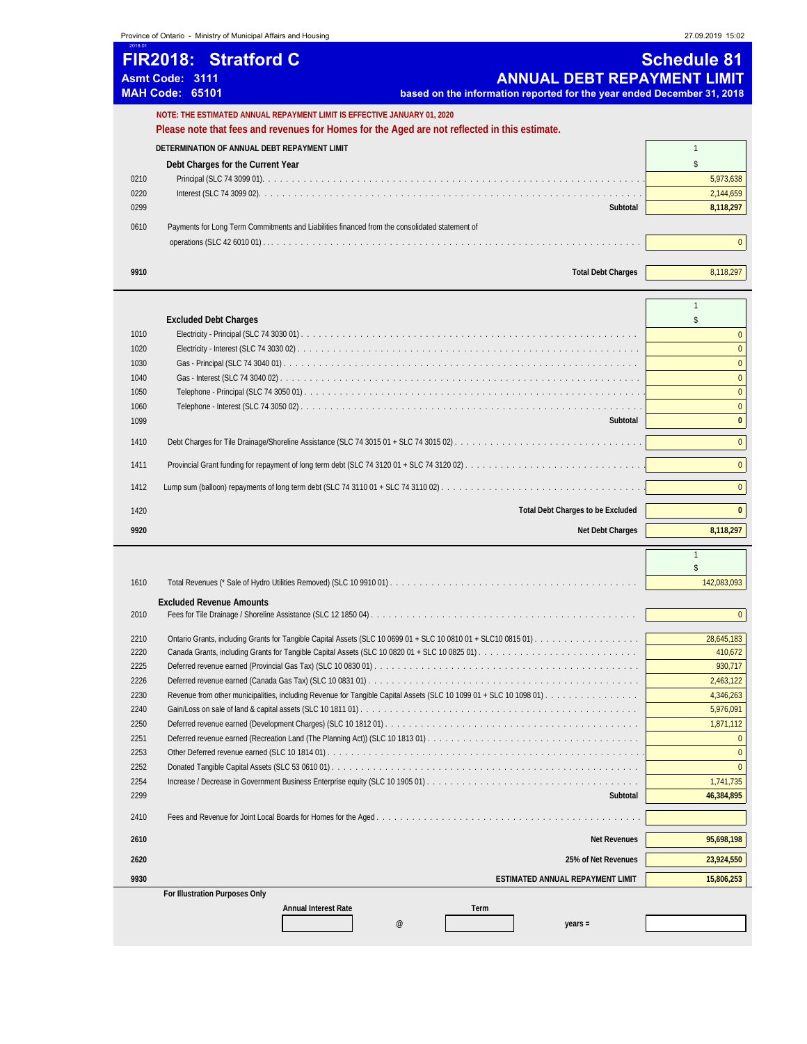**Province of Ontario - Ministry of Municipal Affairs and Housing 27.09.2019 15:02** 

| 2018.01 | <b>FIR2018: Stratford C</b><br><b>ANNUAL DEBT REPAYMENT LIMIT</b><br>Asmt Code: 3111<br><b>MAH Code: 65101</b><br>based on the information reported for the year ended December 31, 2018 | <b>Schedule 81</b> |
|---------|------------------------------------------------------------------------------------------------------------------------------------------------------------------------------------------|--------------------|
|         | NOTE: THE ESTIMATED ANNUAL REPAYMENT LIMIT IS EFFECTIVE JANUARY 01, 2020<br>Please note that fees and revenues for Homes for the Aged are not reflected in this estimate.                |                    |
|         |                                                                                                                                                                                          |                    |
|         | DETERMINATION OF ANNUAL DEBT REPAYMENT LIMIT                                                                                                                                             |                    |
|         | Debt Charges for the Current Year                                                                                                                                                        |                    |
| 0210    |                                                                                                                                                                                          | 5,973,638          |
| 0220    |                                                                                                                                                                                          | 2,144,659          |
| 0299    | Subtotal                                                                                                                                                                                 | 8,118,297          |
| 0610    | Payments for Long Term Commitments and Liabilities financed from the consolidated statement of                                                                                           |                    |
|         |                                                                                                                                                                                          |                    |
|         |                                                                                                                                                                                          |                    |
| 9910    | <b>Total Debt Charges</b>                                                                                                                                                                | 8.118.297          |
|         |                                                                                                                                                                                          |                    |

|      | <b>Excluded Debt Charges</b>             |              |
|------|------------------------------------------|--------------|
| 1010 |                                          |              |
| 1020 |                                          | $\Omega$     |
| 1030 |                                          | $\Omega$     |
| 1040 |                                          | $\Omega$     |
| 1050 |                                          | $\Omega$     |
| 1060 |                                          | $\Omega$     |
| 1099 | Subtotal                                 | $\mathbf{0}$ |
| 1410 |                                          | $\Omega$     |
| 1411 |                                          |              |
| 1412 |                                          | $\Omega$     |
| 1420 | <b>Total Debt Charges to be Excluded</b> | $\Omega$     |
| 9920 | Net Debt Charges                         | 8.118.297    |
|      |                                          |              |

| 1610 |                                            | 142,083,093  |  |  |  |  |
|------|--------------------------------------------|--------------|--|--|--|--|
|      | <b>Excluded Revenue Amounts</b>            |              |  |  |  |  |
| 2010 |                                            | $\mathbf{0}$ |  |  |  |  |
|      |                                            |              |  |  |  |  |
| 2210 |                                            | 28,645,183   |  |  |  |  |
| 2220 |                                            | 410,672      |  |  |  |  |
| 2225 |                                            | 930,717      |  |  |  |  |
| 2226 |                                            | 2,463,122    |  |  |  |  |
| 2230 |                                            | 4,346,263    |  |  |  |  |
| 2240 |                                            | 5,976,091    |  |  |  |  |
| 2250 |                                            | 1,871,112    |  |  |  |  |
| 2251 |                                            |              |  |  |  |  |
| 2253 |                                            |              |  |  |  |  |
| 2252 |                                            |              |  |  |  |  |
| 2254 |                                            | 1,741,735    |  |  |  |  |
| 2299 | Subtotal                                   | 46,384,895   |  |  |  |  |
| 2410 |                                            |              |  |  |  |  |
| 2610 | <b>Net Revenues</b>                        | 95,698,198   |  |  |  |  |
| 2620 | 25% of Net Revenues                        | 23,924,550   |  |  |  |  |
| 9930 | <b>ESTIMATED ANNUAL REPAYMENT LIMIT</b>    | 15,806,253   |  |  |  |  |
|      | For Illustration Purposes Only             |              |  |  |  |  |
|      | <b>Annual Interest Rate</b><br><b>Term</b> |              |  |  |  |  |
|      | $^{\circ}$<br>$years =$                    |              |  |  |  |  |

\$